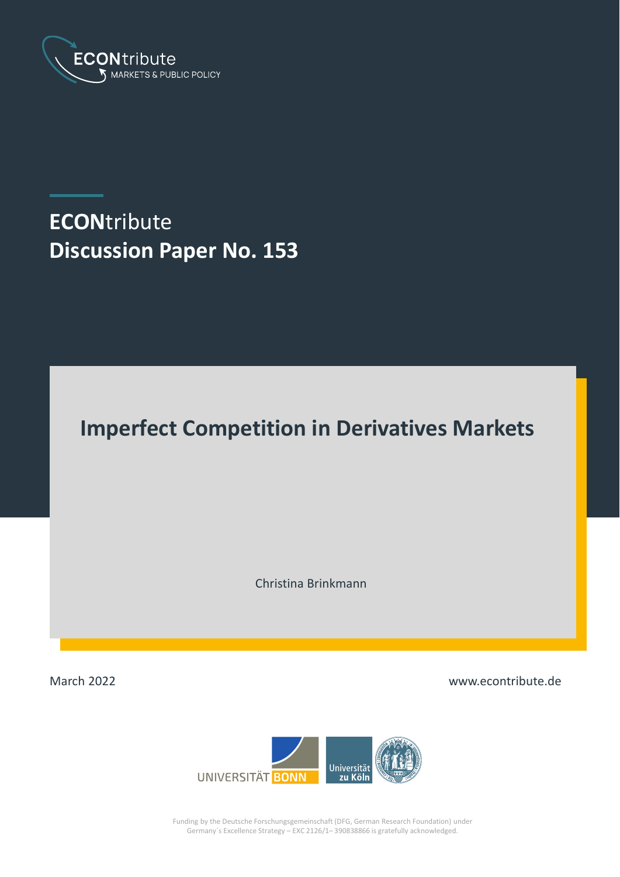

# **ECON**tribute **Discussion Paper No. 153**

# **Imperfect Competition in Derivatives Markets**

Christina Brinkmann

March 2022

www.econtribute.de



Funding by the Deutsche Forschungsgemeinschaft (DFG, German Research Foundation) under Germany´s Excellence Strategy – EXC 2126/1– 390838866 is gratefully acknowledged.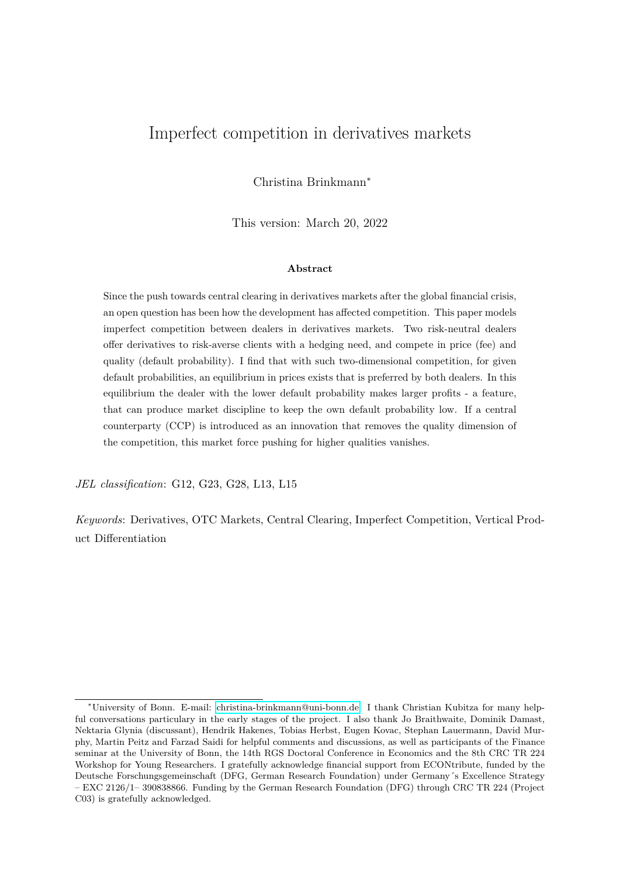# <span id="page-1-0"></span>Imperfect competition in derivatives markets

Christina Brinkmann<sup>∗</sup>

This version: March 20, 2022

#### **Abstract**

Since the push towards central clearing in derivatives markets after the global financial crisis, an open question has been how the development has affected competition. This paper models imperfect competition between dealers in derivatives markets. Two risk-neutral dealers offer derivatives to risk-averse clients with a hedging need, and compete in price (fee) and quality (default probability). I find that with such two-dimensional competition, for given default probabilities, an equilibrium in prices exists that is preferred by both dealers. In this equilibrium the dealer with the lower default probability makes larger profits - a feature, that can produce market discipline to keep the own default probability low. If a central counterparty (CCP) is introduced as an innovation that removes the quality dimension of the competition, this market force pushing for higher qualities vanishes.

*JEL classification*: G12, G23, G28, L13, L15

*Keywords*: Derivatives, OTC Markets, Central Clearing, Imperfect Competition, Vertical Product Differentiation

<sup>∗</sup>University of Bonn. E-mail: [christina-brinkmann@uni-bonn.de.](mailto:christina-brinkmann@uni-bonn.de) I thank Christian Kubitza for many helpful conversations particulary in the early stages of the project. I also thank Jo Braithwaite, Dominik Damast, Nektaria Glynia (discussant), Hendrik Hakenes, Tobias Herbst, Eugen Kovac, Stephan Lauermann, David Murphy, Martin Peitz and Farzad Saidi for helpful comments and discussions, as well as participants of the Finance seminar at the University of Bonn, the 14th RGS Doctoral Conference in Economics and the 8th CRC TR 224 Workshop for Young Researchers. I gratefully acknowledge financial support from ECONtribute, funded by the Deutsche Forschungsgemeinschaft (DFG, German Research Foundation) under Germany´s Excellence Strategy – EXC 2126/1– 390838866. Funding by the German Research Foundation (DFG) through CRC TR 224 (Project C03) is gratefully acknowledged.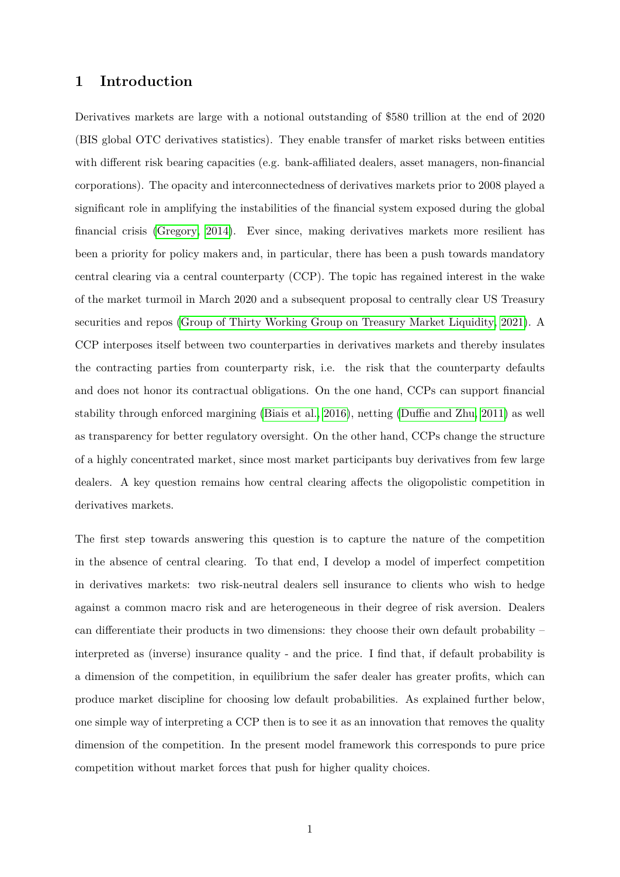# **1 Introduction**

Derivatives markets are large with a notional outstanding of \$580 trillion at the end of 2020 (BIS global OTC derivatives statistics). They enable transfer of market risks between entities with different risk bearing capacities (e.g. bank-affiliated dealers, asset managers, non-financial corporations). The opacity and interconnectedness of derivatives markets prior to 2008 played a significant role in amplifying the instabilities of the financial system exposed during the global financial crisis [\(Gregory, 2014\)](#page-27-0). Ever since, making derivatives markets more resilient has been a priority for policy makers and, in particular, there has been a push towards mandatory central clearing via a central counterparty (CCP). The topic has regained interest in the wake of the market turmoil in March 2020 and a subsequent proposal to centrally clear US Treasury securities and repos [\(Group of Thirty Working Group on Treasury Market Liquidity, 2021\)](#page-27-1). A CCP interposes itself between two counterparties in derivatives markets and thereby insulates the contracting parties from counterparty risk, i.e. the risk that the counterparty defaults and does not honor its contractual obligations. On the one hand, CCPs can support financial stability through enforced margining [\(Biais et al., 2016\)](#page-26-0), netting [\(Duffie and Zhu, 2011\)](#page-26-1) as well as transparency for better regulatory oversight. On the other hand, CCPs change the structure of a highly concentrated market, since most market participants buy derivatives from few large dealers. A key question remains how central clearing affects the oligopolistic competition in derivatives markets.

The first step towards answering this question is to capture the nature of the competition in the absence of central clearing. To that end, I develop a model of imperfect competition in derivatives markets: two risk-neutral dealers sell insurance to clients who wish to hedge against a common macro risk and are heterogeneous in their degree of risk aversion. Dealers can differentiate their products in two dimensions: they choose their own default probability – interpreted as (inverse) insurance quality - and the price. I find that, if default probability is a dimension of the competition, in equilibrium the safer dealer has greater profits, which can produce market discipline for choosing low default probabilities. As explained further below, one simple way of interpreting a CCP then is to see it as an innovation that removes the quality dimension of the competition. In the present model framework this corresponds to pure price competition without market forces that push for higher quality choices.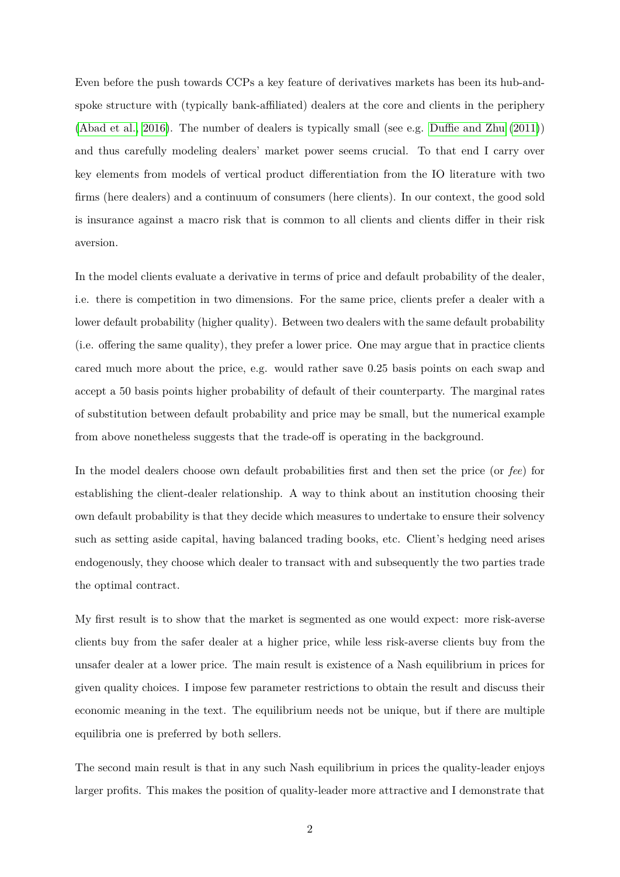Even before the push towards CCPs a key feature of derivatives markets has been its hub-andspoke structure with (typically bank-affiliated) dealers at the core and clients in the periphery [\(Abad et al., 2016\)](#page-26-2). The number of dealers is typically small (see e.g. [Duffie and Zhu](#page-26-1) [\(2011\)](#page-26-1)) and thus carefully modeling dealers' market power seems crucial. To that end I carry over key elements from models of vertical product differentiation from the IO literature with two firms (here dealers) and a continuum of consumers (here clients). In our context, the good sold is insurance against a macro risk that is common to all clients and clients differ in their risk aversion.

In the model clients evaluate a derivative in terms of price and default probability of the dealer, i.e. there is competition in two dimensions. For the same price, clients prefer a dealer with a lower default probability (higher quality). Between two dealers with the same default probability (i.e. offering the same quality), they prefer a lower price. One may argue that in practice clients cared much more about the price, e.g. would rather save 0.25 basis points on each swap and accept a 50 basis points higher probability of default of their counterparty. The marginal rates of substitution between default probability and price may be small, but the numerical example from above nonetheless suggests that the trade-off is operating in the background.

In the model dealers choose own default probabilities first and then set the price (or *fee*) for establishing the client-dealer relationship. A way to think about an institution choosing their own default probability is that they decide which measures to undertake to ensure their solvency such as setting aside capital, having balanced trading books, etc. Client's hedging need arises endogenously, they choose which dealer to transact with and subsequently the two parties trade the optimal contract.

My first result is to show that the market is segmented as one would expect: more risk-averse clients buy from the safer dealer at a higher price, while less risk-averse clients buy from the unsafer dealer at a lower price. The main result is existence of a Nash equilibrium in prices for given quality choices. I impose few parameter restrictions to obtain the result and discuss their economic meaning in the text. The equilibrium needs not be unique, but if there are multiple equilibria one is preferred by both sellers.

The second main result is that in any such Nash equilibrium in prices the quality-leader enjoys larger profits. This makes the position of quality-leader more attractive and I demonstrate that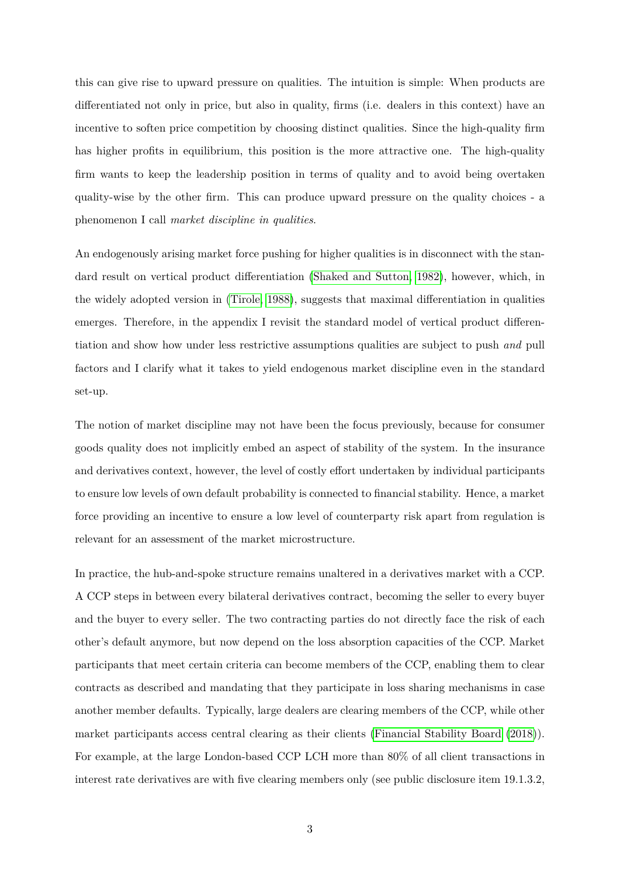this can give rise to upward pressure on qualities. The intuition is simple: When products are differentiated not only in price, but also in quality, firms (i.e. dealers in this context) have an incentive to soften price competition by choosing distinct qualities. Since the high-quality firm has higher profits in equilibrium, this position is the more attractive one. The high-quality firm wants to keep the leadership position in terms of quality and to avoid being overtaken quality-wise by the other firm. This can produce upward pressure on the quality choices - a phenomenon I call *market discipline in qualities*.

An endogenously arising market force pushing for higher qualities is in disconnect with the standard result on vertical product differentiation [\(Shaked and Sutton, 1982\)](#page-27-2), however, which, in the widely adopted version in [\(Tirole, 1988\)](#page-27-3), suggests that maximal differentiation in qualities emerges. Therefore, in the appendix I revisit the standard model of vertical product differentiation and show how under less restrictive assumptions qualities are subject to push *and* pull factors and I clarify what it takes to yield endogenous market discipline even in the standard set-up.

The notion of market discipline may not have been the focus previously, because for consumer goods quality does not implicitly embed an aspect of stability of the system. In the insurance and derivatives context, however, the level of costly effort undertaken by individual participants to ensure low levels of own default probability is connected to financial stability. Hence, a market force providing an incentive to ensure a low level of counterparty risk apart from regulation is relevant for an assessment of the market microstructure.

In practice, the hub-and-spoke structure remains unaltered in a derivatives market with a CCP. A CCP steps in between every bilateral derivatives contract, becoming the seller to every buyer and the buyer to every seller. The two contracting parties do not directly face the risk of each other's default anymore, but now depend on the loss absorption capacities of the CCP. Market participants that meet certain criteria can become members of the CCP, enabling them to clear contracts as described and mandating that they participate in loss sharing mechanisms in case another member defaults. Typically, large dealers are clearing members of the CCP, while other market participants access central clearing as their clients [\(Financial Stability Board](#page-26-3) [\(2018\)](#page-26-3)). For example, at the large London-based CCP LCH more than 80% of all client transactions in interest rate derivatives are with five clearing members only (see public disclosure item 19.1.3.2,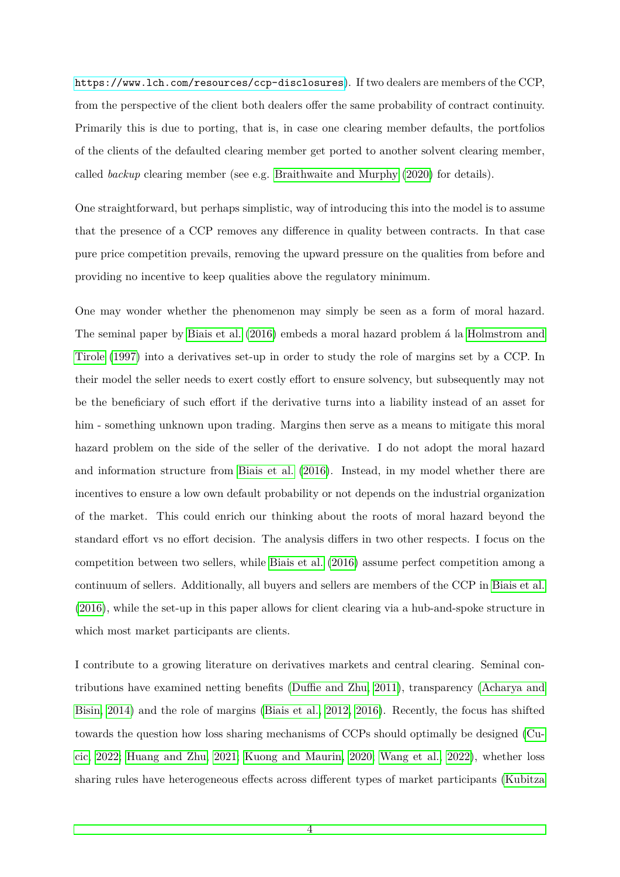<https://www.lch.com/resources/ccp-disclosures>). If two dealers are members of the CCP, from the perspective of the client both dealers offer the same probability of contract continuity. Primarily this is due to porting, that is, in case one clearing member defaults, the portfolios of the clients of the defaulted clearing member get ported to another solvent clearing member, called *backup* clearing member (see e.g. [Braithwaite and Murphy](#page-26-4) [\(2020\)](#page-26-4) for details).

One straightforward, but perhaps simplistic, way of introducing this into the model is to assume that the presence of a CCP removes any difference in quality between contracts. In that case pure price competition prevails, removing the upward pressure on the qualities from before and providing no incentive to keep qualities above the regulatory minimum.

One may wonder whether the phenomenon may simply be seen as a form of moral hazard. The seminal paper by [Biais et al.](#page-26-0) [\(2016\)](#page-26-0) embeds a moral hazard problem a la [Holmstrom and](#page-27-4) [Tirole](#page-27-4) [\(1997\)](#page-27-4) into a derivatives set-up in order to study the role of margins set by a CCP. In their model the seller needs to exert costly effort to ensure solvency, but subsequently may not be the beneficiary of such effort if the derivative turns into a liability instead of an asset for him - something unknown upon trading. Margins then serve as a means to mitigate this moral hazard problem on the side of the seller of the derivative. I do not adopt the moral hazard and information structure from [Biais et al.](#page-26-0) [\(2016\)](#page-26-0). Instead, in my model whether there are incentives to ensure a low own default probability or not depends on the industrial organization of the market. This could enrich our thinking about the roots of moral hazard beyond the standard effort vs no effort decision. The analysis differs in two other respects. I focus on the competition between two sellers, while [Biais et al.](#page-26-0) [\(2016\)](#page-26-0) assume perfect competition among a continuum of sellers. Additionally, all buyers and sellers are members of the CCP in [Biais et al.](#page-26-0) [\(2016\)](#page-26-0), while the set-up in this paper allows for client clearing via a hub-and-spoke structure in which most market participants are clients.

I contribute to a growing literature on derivatives markets and central clearing. Seminal contributions have examined netting benefits [\(Duffie and Zhu, 2011\)](#page-26-1), transparency [\(Acharya and](#page-26-5) [Bisin, 2014\)](#page-26-5) and the role of margins [\(Biais et al., 2012,](#page-26-6) [2016\)](#page-26-0). Recently, the focus has shifted towards the question how loss sharing mechanisms of CCPs should optimally be designed [\(Cu](#page-26-7)[cic, 2022;](#page-26-7) [Huang and Zhu, 2021;](#page-27-5) [Kuong and Maurin, 2020;](#page-27-6) [Wang et al., 2022\)](#page-27-7), whether loss sharing rules have heterogeneous effects across different types of market participants [\(Kubitza](#page-27-8)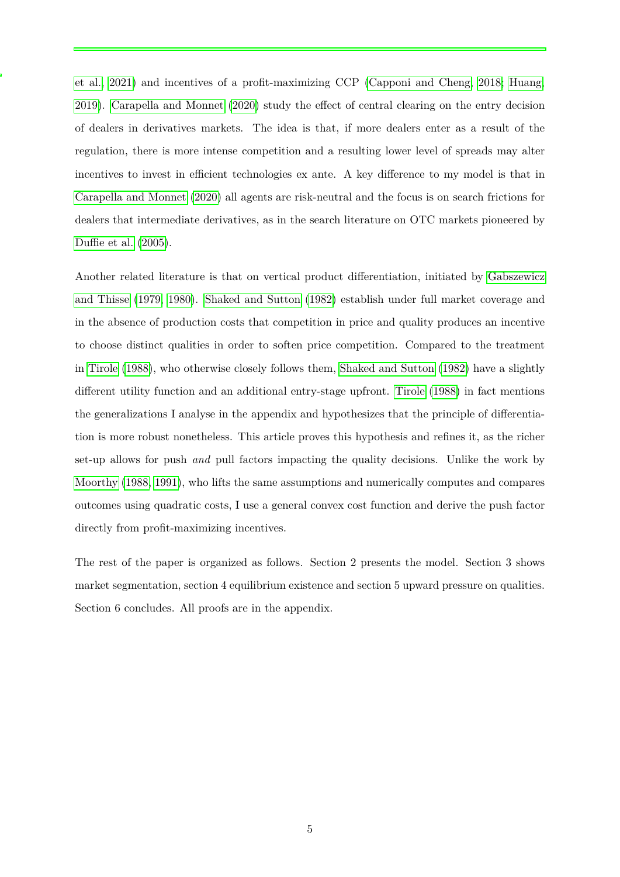[et al., 2021\)](#page-27-8) and incentives of a profit-maximizing CCP [\(Capponi and Cheng, 2018;](#page-26-8) [Huang,](#page-27-9) [2019\)](#page-27-9). [Carapella and Monnet](#page-26-9) [\(2020\)](#page-26-9) study the effect of central clearing on the entry decision of dealers in derivatives markets. The idea is that, if more dealers enter as a result of the regulation, there is more intense competition and a resulting lower level of spreads may alter incentives to invest in efficient technologies ex ante. A key difference to my model is that in [Carapella and Monnet](#page-26-9) [\(2020\)](#page-26-9) all agents are risk-neutral and the focus is on search frictions for dealers that intermediate derivatives, as in the search literature on OTC markets pioneered by [Duffie et al.](#page-26-10) [\(2005\)](#page-26-10).

Another related literature is that on vertical product differentiation, initiated by [Gabszewicz](#page-27-10) [and Thisse](#page-27-10) [\(1979,](#page-27-10) [1980\)](#page-27-11). [Shaked and Sutton](#page-27-2) [\(1982\)](#page-27-2) establish under full market coverage and in the absence of production costs that competition in price and quality produces an incentive to choose distinct qualities in order to soften price competition. Compared to the treatment in [Tirole](#page-27-3) [\(1988\)](#page-27-3), who otherwise closely follows them, [Shaked and Sutton](#page-27-2) [\(1982\)](#page-27-2) have a slightly different utility function and an additional entry-stage upfront. [Tirole](#page-27-3) [\(1988\)](#page-27-3) in fact mentions the generalizations I analyse in the appendix and hypothesizes that the principle of differentiation is more robust nonetheless. This article proves this hypothesis and refines it, as the richer set-up allows for push *and* pull factors impacting the quality decisions. Unlike the work by [Moorthy](#page-27-12) [\(1988,](#page-27-12) [1991\)](#page-27-13), who lifts the same assumptions and numerically computes and compares outcomes using quadratic costs, I use a general convex cost function and derive the push factor directly from profit-maximizing incentives.

The rest of the paper is organized as follows. Section 2 presents the model. Section 3 shows market segmentation, section 4 equilibrium existence and section 5 upward pressure on qualities. Section 6 concludes. All proofs are in the appendix.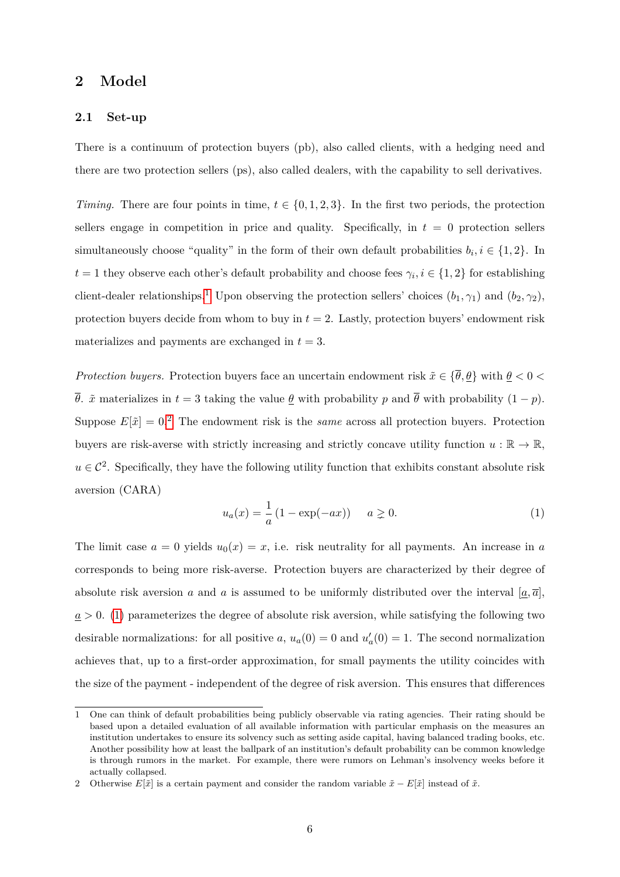# **2 Model**

#### **2.1 Set-up**

There is a continuum of protection buyers (pb), also called clients, with a hedging need and there are two protection sellers (ps), also called dealers, with the capability to sell derivatives.

*Timing.* There are four points in time,  $t \in \{0, 1, 2, 3\}$ . In the first two periods, the protection sellers engage in competition in price and quality. Specifically, in  $t = 0$  protection sellers simultaneously choose "quality" in the form of their own default probabilities  $b_i, i \in \{1, 2\}$ . In  $t = 1$  they observe each other's default probability and choose fees  $\gamma_i, i \in \{1, 2\}$  for establishing client-dealer relationships.<sup>[1](#page-7-0)</sup> Upon observing the protection sellers' choices  $(b_1, \gamma_1)$  and  $(b_2, \gamma_2)$ , protection buyers decide from whom to buy in  $t = 2$ . Lastly, protection buyers' endowment risk materializes and payments are exchanged in  $t = 3$ .

*Protection buyers.* Protection buyers face an uncertain endowment risk  $\tilde{x} \in {\overline{\theta}, \theta}$  with  $\theta < 0$  $\overline{\theta}$ .  $\tilde{x}$  materializes in  $t = 3$  taking the value  $\underline{\theta}$  with probability *p* and  $\overline{\theta}$  with probability  $(1 - p)$ . Suppose  $E[\tilde{x}] = 0.2$  $E[\tilde{x}] = 0.2$  The endowment risk is the *same* across all protection buyers. Protection buyers are risk-averse with strictly increasing and strictly concave utility function  $u : \mathbb{R} \to \mathbb{R}$ ,  $u \in \mathcal{C}^2$ . Specifically, they have the following utility function that exhibits constant absolute risk aversion (CARA)

<span id="page-7-2"></span>
$$
u_a(x) = \frac{1}{a} (1 - \exp(-ax)) \quad a \ge 0.
$$
 (1)

The limit case  $a = 0$  yields  $u_0(x) = x$ , i.e. risk neutrality for all payments. An increase in *a* corresponds to being more risk-averse. Protection buyers are characterized by their degree of absolute risk aversion *a* and *a* is assumed to be uniformly distributed over the interval  $[\underline{a}, \overline{a}]$ ,  $a > 0$ . [\(1\)](#page-7-2) parameterizes the degree of absolute risk aversion, while satisfying the following two desirable normalizations: for all positive *a*,  $u_a(0) = 0$  and  $u'_a(0) = 1$ . The second normalization achieves that, up to a first-order approximation, for small payments the utility coincides with the size of the payment - independent of the degree of risk aversion. This ensures that differences

<span id="page-7-0"></span><sup>1</sup> One can think of default probabilities being publicly observable via rating agencies. Their rating should be based upon a detailed evaluation of all available information with particular emphasis on the measures an institution undertakes to ensure its solvency such as setting aside capital, having balanced trading books, etc. Another possibility how at least the ballpark of an institution's default probability can be common knowledge is through rumors in the market. For example, there were rumors on Lehman's insolvency weeks before it actually collapsed.

<span id="page-7-1"></span><sup>2</sup> Otherwise  $E[\tilde{x}]$  is a certain payment and consider the random variable  $\tilde{x} - E[\tilde{x}]$  instead of  $\tilde{x}$ .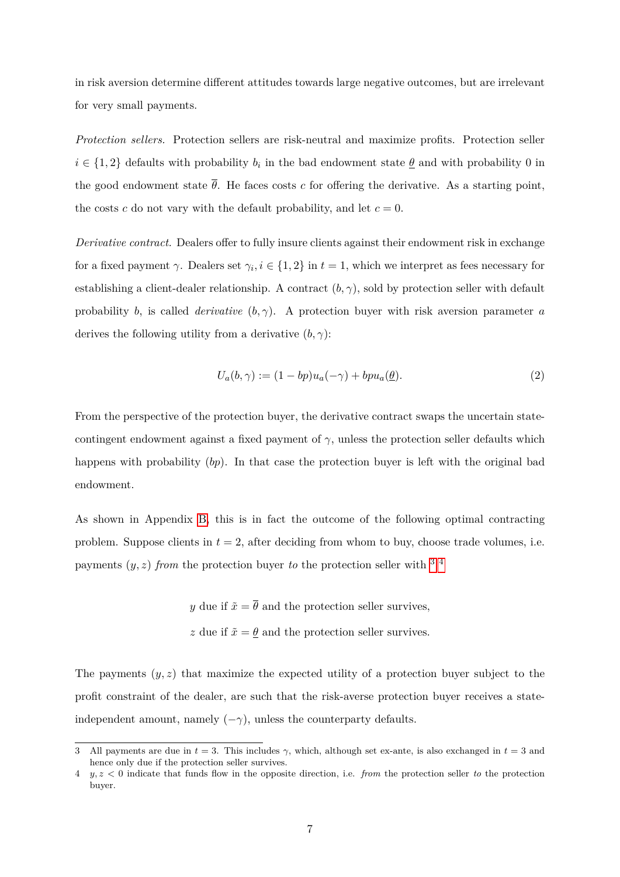in risk aversion determine different attitudes towards large negative outcomes, but are irrelevant for very small payments.

*Protection sellers.* Protection sellers are risk-neutral and maximize profits. Protection seller  $i \in \{1, 2\}$  defaults with probability  $b_i$  in the bad endowment state  $\underline{\theta}$  and with probability 0 in the good endowment state  $\overline{\theta}$ . He faces costs *c* for offering the derivative. As a starting point, the costs *c* do not vary with the default probability, and let  $c = 0$ .

*Derivative contract.* Dealers offer to fully insure clients against their endowment risk in exchange for a fixed payment  $\gamma$ . Dealers set  $\gamma_i, i \in \{1, 2\}$  in  $t = 1$ , which we interpret as fees necessary for establishing a client-dealer relationship. A contract  $(b, \gamma)$ , sold by protection seller with default probability *b*, is called *derivative*  $(b, \gamma)$ . A protection buyer with risk aversion parameter *a* derives the following utility from a derivative  $(b, \gamma)$ :

$$
U_a(b,\gamma) := (1 - bp)u_a(-\gamma) + bpu_a(\underline{\theta}).
$$
\n(2)

From the perspective of the protection buyer, the derivative contract swaps the uncertain statecontingent endowment against a fixed payment of  $\gamma$ , unless the protection seller defaults which happens with probability (*bp*). In that case the protection buyer is left with the original bad endowment.

As shown in Appendix [B,](#page-47-0) this is in fact the outcome of the following optimal contracting problem. Suppose clients in  $t = 2$ , after deciding from whom to buy, choose trade volumes, i.e. payments  $(y, z)$  *from* the protection buyer *to* the protection seller with  $3\frac{4}{3}$  $3\frac{4}{3}$ 

> *y* due if  $\tilde{x} = \overline{\theta}$  and the protection seller survives, *z* due if  $\tilde{x} = \theta$  and the protection seller survives.

The payments (*y, z*) that maximize the expected utility of a protection buyer subject to the profit constraint of the dealer, are such that the risk-averse protection buyer receives a stateindependent amount, namely  $(-\gamma)$ , unless the counterparty defaults.

<span id="page-8-0"></span><sup>3</sup> All payments are due in  $t = 3$ . This includes  $\gamma$ , which, although set ex-ante, is also exchanged in  $t = 3$  and hence only due if the protection seller survives.

<span id="page-8-1"></span><sup>4</sup> *y, z <* 0 indicate that funds flow in the opposite direction, i.e. *from* the protection seller *to* the protection buyer.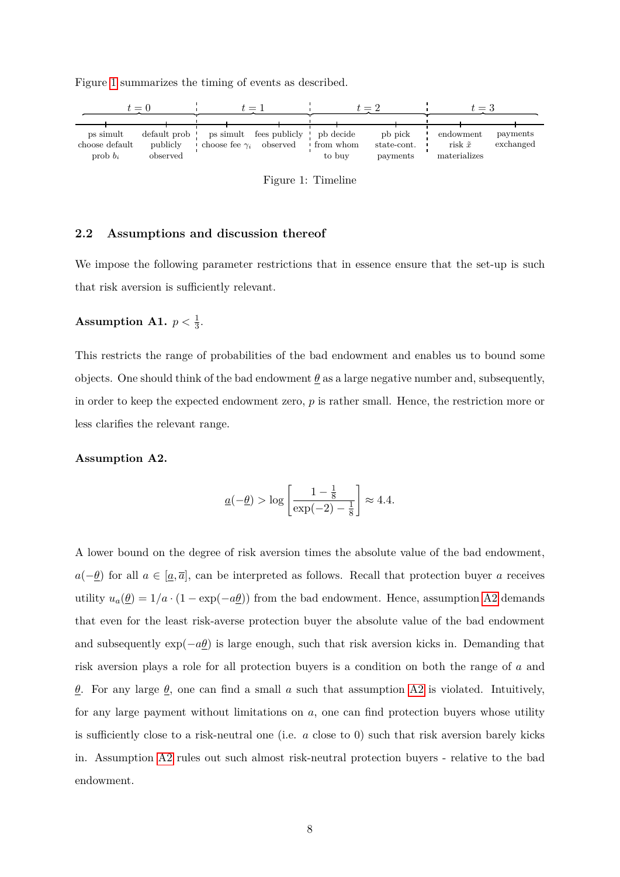<span id="page-9-0"></span>Figure [1](#page-9-0) summarizes the timing of events as described.



Figure 1: Timeline

# **2.2 Assumptions and discussion thereof**

We impose the following parameter restrictions that in essence ensure that the set-up is such that risk aversion is sufficiently relevant.

# <span id="page-9-2"></span>Assumption A1.  $p < \frac{1}{3}$ .

This restricts the range of probabilities of the bad endowment and enables us to bound some objects. One should think of the bad endowment  $\theta$  as a large negative number and, subsequently, in order to keep the expected endowment zero, *p* is rather small. Hence, the restriction more or less clarifies the relevant range.

#### <span id="page-9-1"></span>**Assumption A2.**

$$
\underline{a}(-\underline{\theta}) > \log \left[\frac{1 - \frac{1}{8}}{\exp(-2) - \frac{1}{8}}\right] \approx 4.4.
$$

A lower bound on the degree of risk aversion times the absolute value of the bad endowment, *a*(−*θ*) for all *a* ∈ [*a,*  $\overline{a}$ ], can be interpreted as follows. Recall that protection buyer *a* receives utility  $u_a(\underline{\theta}) = 1/a \cdot (1 - \exp(-a\underline{\theta}))$  from the bad endowment. Hence, assumption [A2](#page-9-1) demands that even for the least risk-averse protection buyer the absolute value of the bad endowment and subsequently  $\exp(-a\theta)$  is large enough, such that risk aversion kicks in. Demanding that risk aversion plays a role for all protection buyers is a condition on both the range of *a* and *θ*. For any large *θ*, one can find a small *a* such that assumption [A2](#page-9-1) is violated. Intuitively, for any large payment without limitations on *a*, one can find protection buyers whose utility is sufficiently close to a risk-neutral one (i.e. *a* close to 0) such that risk aversion barely kicks in. Assumption [A2](#page-9-1) rules out such almost risk-neutral protection buyers - relative to the bad endowment.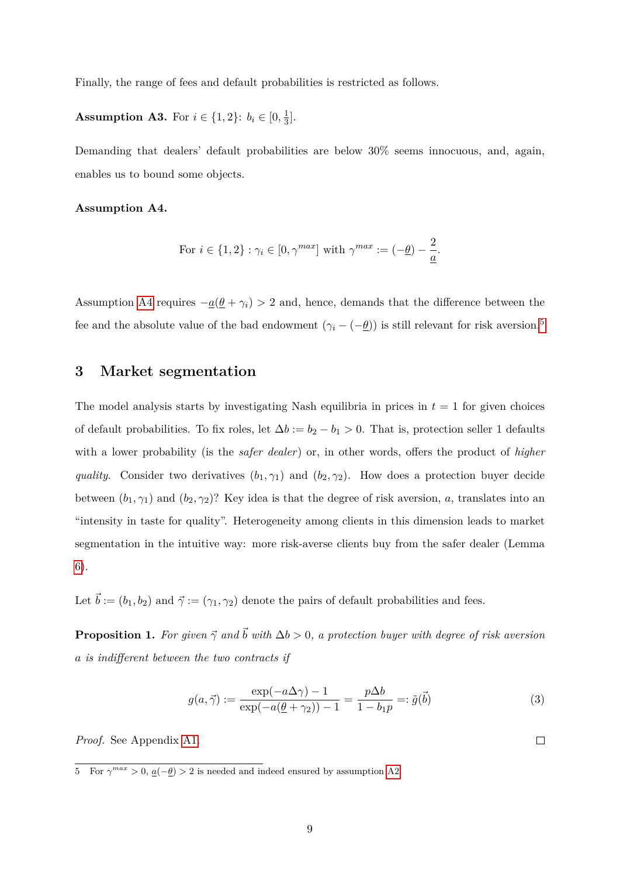Finally, the range of fees and default probabilities is restricted as follows.

<span id="page-10-3"></span>**Assumption A3.** For  $i \in \{1, 2\}$ :  $b_i \in [0, \frac{1}{3}]$  $\frac{1}{3}$ .

Demanding that dealers' default probabilities are below  $30\%$  seems innocuous, and, again, enables us to bound some objects.

<span id="page-10-0"></span>**Assumption A4.**

For 
$$
i \in \{1, 2\} : \gamma_i \in [0, \gamma^{max}]
$$
 with  $\gamma^{max} := (-\underline{\theta}) - \frac{2}{\underline{a}}$ .

Assumption [A4](#page-10-0) requires  $-\underline{a}(\underline{\theta} + \gamma_i) > 2$  and, hence, demands that the difference between the fee and the absolute value of the bad endowment  $(\gamma_i - (-\underline{\theta}))$  is still relevant for risk aversion.<sup>[5](#page-10-1)</sup>

# **3 Market segmentation**

The model analysis starts by investigating Nash equilibria in prices in  $t = 1$  for given choices of default probabilities. To fix roles, let  $\Delta b := b_2 - b_1 > 0$ . That is, protection seller 1 defaults with a lower probability (is the *safer dealer*) or, in other words, offers the product of *higher quality.* Consider two derivatives  $(b_1, \gamma_1)$  and  $(b_2, \gamma_2)$ . How does a protection buyer decide between  $(b_1, \gamma_1)$  and  $(b_2, \gamma_2)$ ? Key idea is that the degree of risk aversion, *a*, translates into an "intensity in taste for quality". Heterogeneity among clients in this dimension leads to market segmentation in the intuitive way: more risk-averse clients buy from the safer dealer (Lemma [6\)](#page-13-0).

Let  $\vec{b} := (b_1, b_2)$  and  $\vec{\gamma} := (\gamma_1, \gamma_2)$  denote the pairs of default probabilities and fees.

<span id="page-10-4"></span>**Proposition 1.** *For given*  $\vec{\gamma}$  *and*  $\vec{b}$  *with*  $\Delta b > 0$ *, a protection buyer with degree of risk aversion a is indifferent between the two contracts if*

<span id="page-10-2"></span>
$$
g(a,\vec{\gamma}) := \frac{\exp(-a\Delta\gamma) - 1}{\exp(-a(\underline{\theta} + \gamma_2)) - 1} = \frac{p\Delta b}{1 - b_1 p} =: \tilde{g}(\vec{b})
$$
\n(3)

*Proof.* See Appendix [A1.](#page-28-0)

<span id="page-10-1"></span><sup>5</sup> For  $γ^{max} > 0$ ,  $q(−θ) > 2$  is needed and indeed ensured by assumption [A2.](#page-9-1)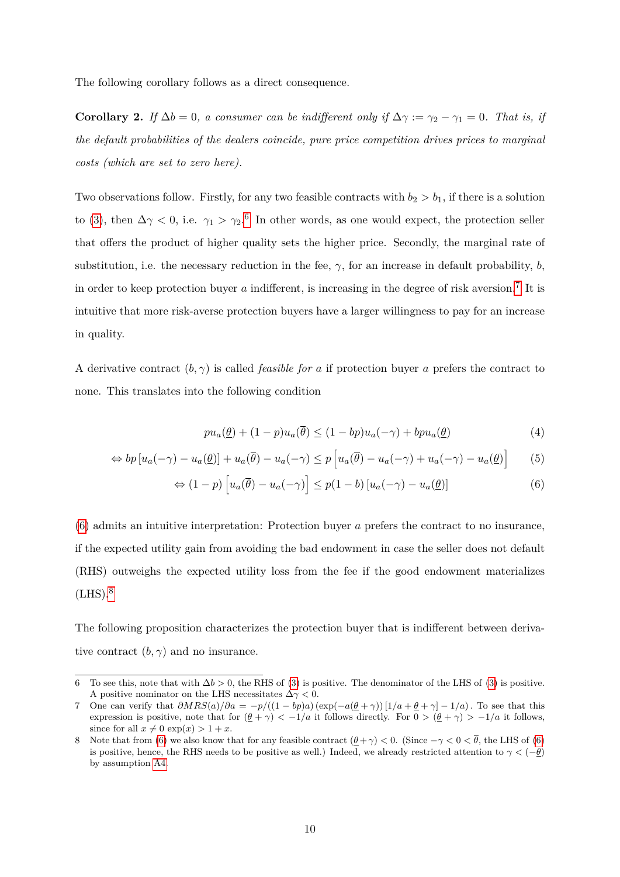The following corollary follows as a direct consequence.

**Corollary 2.** *If*  $\Delta b = 0$ *, a consumer can be indifferent only if*  $\Delta \gamma := \gamma_2 - \gamma_1 = 0$ *. That is, if the default probabilities of the dealers coincide, pure price competition drives prices to marginal costs (which are set to zero here).*

Two observations follow. Firstly, for any two feasible contracts with  $b_2 > b_1$ , if there is a solution to [\(3\)](#page-10-2), then  $\Delta\gamma < 0$ , i.e.  $\gamma_1 > \gamma_2$ <sup>[6](#page-11-0)</sup> In other words, as one would expect, the protection seller that offers the product of higher quality sets the higher price. Secondly, the marginal rate of substitution, i.e. the necessary reduction in the fee,  $\gamma$ , for an increase in default probability, *b*, in order to keep protection buyer  $a$  indifferent, is increasing in the degree of risk aversion.<sup>[7](#page-11-1)</sup> It is intuitive that more risk-averse protection buyers have a larger willingness to pay for an increase in quality.

A derivative contract  $(b, \gamma)$  is called *feasible for a* if protection buyer *a* prefers the contract to none. This translates into the following condition

<span id="page-11-2"></span>
$$
pu_a(\underline{\theta}) + (1 - p)u_a(\overline{\theta}) \le (1 - bp)u_a(-\gamma) + bpu_a(\underline{\theta})
$$
\n(4)

$$
\Leftrightarrow bp[u_a(-\gamma) - u_a(\underline{\theta})] + u_a(\overline{\theta}) - u_a(-\gamma) \leq p[u_a(\overline{\theta}) - u_a(-\gamma) + u_a(-\gamma) - u_a(\underline{\theta})] \tag{5}
$$

$$
\Leftrightarrow (1-p)\left[u_a(\overline{\theta}) - u_a(-\gamma)\right] \le p(1-b)\left[u_a(-\gamma) - u_a(\underline{\theta})\right] \tag{6}
$$

[\(6\)](#page-11-2) admits an intuitive interpretation: Protection buyer *a* prefers the contract to no insurance, if the expected utility gain from avoiding the bad endowment in case the seller does not default (RHS) outweighs the expected utility loss from the fee if the good endowment materializes  $(LHS).$ <sup>[8](#page-11-3)</sup>

The following proposition characterizes the protection buyer that is indifferent between derivative contract  $(b, \gamma)$  and no insurance.

<span id="page-11-0"></span><sup>6</sup> To see this, note that with  $\Delta b > 0$ , the RHS of [\(3\)](#page-10-2) is positive. The denominator of the LHS of (3) is positive. A positive nominator on the LHS necessitates ∆*γ <* 0.

<span id="page-11-1"></span><sup>7</sup> One can verify that *∂MRS*(*a*)*/∂a* = −*p/*((1 − *bp*)*a*) (exp(−*a*(*θ* + *γ*)) [1*/a* + *θ* + *γ*] − 1*/a*)*.* To see that this expression is positive, note that for  $(\underline{\theta} + \gamma) < -1/a$  it follows directly. For  $0 > (\underline{\theta} + \gamma) > -1/a$  it follows, since for all  $x \neq 0$  exp( $x$ ) > 1 +  $x$ .

<span id="page-11-3"></span><sup>8</sup> Note that from [\(6\)](#page-11-2) we also know that for any feasible contract  $(\theta + \gamma) < 0$ . (Since  $-\gamma < 0 < \overline{\theta}$ , the LHS of (6) is positive, hence, the RHS needs to be positive as well.) Indeed, we already restricted attention to  $\gamma < (-\theta)$ by assumption [A4.](#page-10-0)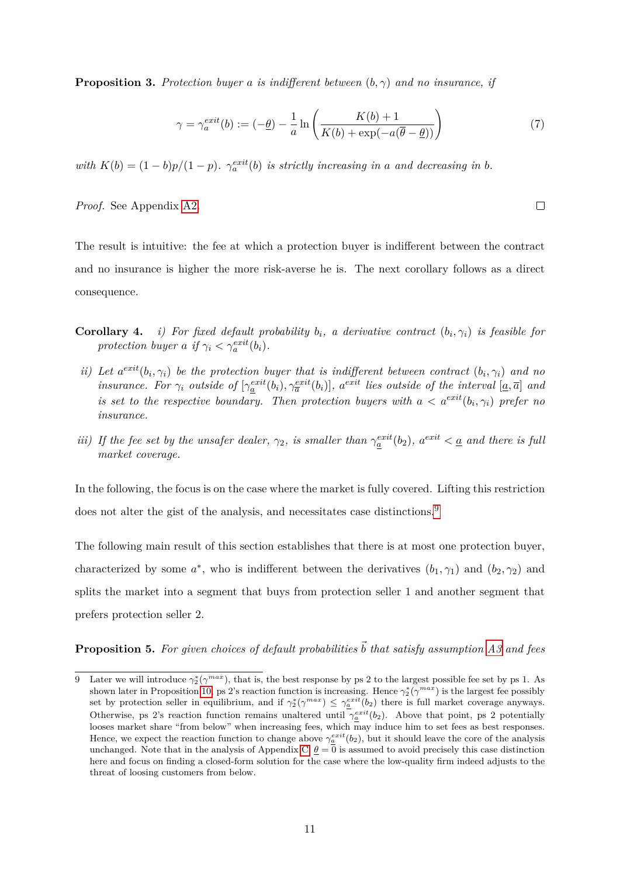<span id="page-12-2"></span>**Proposition 3.** Protection buyer *a* is indifferent between  $(b, \gamma)$  and no insurance, if

$$
\gamma = \gamma_a^{exit}(b) := (-\underline{\theta}) - \frac{1}{a} \ln \left( \frac{K(b) + 1}{K(b) + \exp(-a(\overline{\theta} - \underline{\theta}))} \right)
$$
(7)

*with*  $K(b) = (1 - b)p/(1 - p)$ *.*  $\gamma_a^{exit}(b)$  *is strictly increasing in a and decreasing in b*.

*Proof.* See Appendix [A2.](#page-28-1)

The result is intuitive: the fee at which a protection buyer is indifferent between the contract and no insurance is higher the more risk-averse he is. The next corollary follows as a direct consequence.

- **Corollary 4.** *i)* For fixed default probability  $b_i$ , a derivative contract  $(b_i, \gamma_i)$  is feasible for *protection buyer a if*  $\gamma_i < \gamma_a^{exit}(b_i)$ *.*
- *ii)* Let  $a^{exit}(b_i, \gamma_i)$  be the protection buyer that is indifferent between contract  $(b_i, \gamma_i)$  and no insurance. For  $\gamma_i$  outside of  $[\gamma_{\underline{a}}^{exit}(b_i), \gamma_{\overline{a}}^{exit}(b_i)]$ ,  $a^{exit}$  lies outside of the interval  $[\underline{a}, \overline{a}]$  and *is set to the respective boundary. Then protection buyers with*  $a < a^{exit}(b_i, \gamma_i)$  prefer no *insurance.*
- *iii) If the fee set by the unsafer dealer,*  $\gamma_2$ *, is smaller than*  $\gamma_a^{exit}(b_2)$ *,*  $a^{exit} < a$  *and there is full market coverage.*

In the following, the focus is on the case where the market is fully covered. Lifting this restriction does not alter the gist of the analysis, and necessitates case distinctions.<sup>[9](#page-12-0)</sup>

The following main result of this section establishes that there is at most one protection buyer, characterized by some  $a^*$ , who is indifferent between the derivatives  $(b_1, \gamma_1)$  and  $(b_2, \gamma_2)$  and splits the market into a segment that buys from protection seller 1 and another segment that prefers protection seller 2.

<span id="page-12-1"></span>**Proposition 5.** For given choices of default probabilities  $\vec{b}$  that satisfy assumption [A3](#page-10-3) and fees

<span id="page-12-0"></span><sup>9</sup> Later we will introduce  $\gamma_2^*(\gamma^{max})$ , that is, the best response by ps 2 to the largest possible fee set by ps 1. As shown later in Proposition [10,](#page-17-0) ps 2's reaction function is increasing. Hence  $\gamma_2^*(\gamma^{max})$  is the largest fee possibly set by protection seller in equilibrium, and if  $\gamma_2^*(\gamma^{max}) \leq \gamma_a^{exit}(b_2)$  there is full market coverage anyways. Otherwise, ps 2's reaction function remains unaltered until  $\gamma_a^{exit}(b_2)$ . Above that point, ps 2 potentially looses market share "from below" when increasing fees, which may induce him to set fees as best responses. Hence, we expect the reaction function to change above  $\gamma_a^{exit}(b_2)$ , but it should leave the core of the analysis unchanged. Note that in the analysis of Appendix [C,](#page-50-0)  $\theta = 0$  is assumed to avoid precisely this case distinction here and focus on finding a closed-form solution for the case where the low-quality firm indeed adjusts to the threat of loosing customers from below.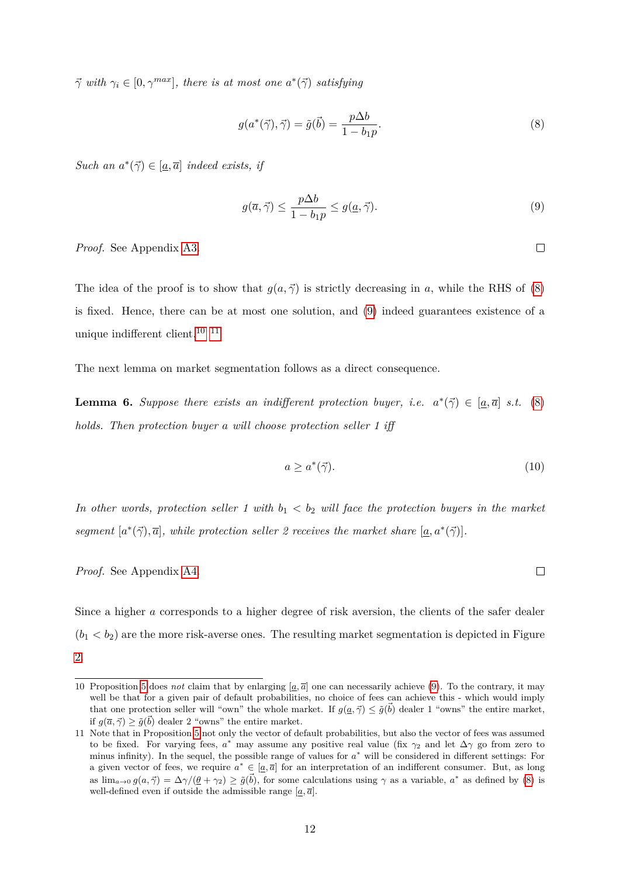$\vec{\gamma}$  *with*  $\gamma_i \in [0, \gamma^{max}]$ *, there is at most one*  $a^*(\vec{\gamma})$  *satisfying* 

<span id="page-13-1"></span>
$$
g(a^*(\vec{\gamma}), \vec{\gamma}) = \tilde{g}(\vec{b}) = \frac{p\Delta b}{1 - b_1 p}.\tag{8}
$$

*Such an*  $a^*(\vec{\gamma}) \in [\underline{a}, \overline{a}]$  *indeed exists, if* 

<span id="page-13-2"></span>
$$
g(\overline{a}, \overline{\gamma}) \le \frac{p\Delta b}{1 - b_1 p} \le g(\underline{a}, \overline{\gamma}).
$$
\n(9)

*Proof.* See Appendix [A3.](#page-29-0)

The idea of the proof is to show that  $g(a, \vec{\gamma})$  is strictly decreasing in a, while the RHS of [\(8\)](#page-13-1) is fixed. Hence, there can be at most one solution, and [\(9\)](#page-13-2) indeed guarantees existence of a unique indifferent client.  $^{\rm 10}$  $^{\rm 10}$  $^{\rm 10}$   $^{\rm 11}$  $^{\rm 11}$  $^{\rm 11}$ 

The next lemma on market segmentation follows as a direct consequence.

<span id="page-13-0"></span>**Lemma 6.** Suppose there exists an indifferent protection buyer, i.e.  $a^*(\vec{\gamma}) \in [a, \vec{a}] \text{ s.t. (8)}$  $a^*(\vec{\gamma}) \in [a, \vec{a}] \text{ s.t. (8)}$  $a^*(\vec{\gamma}) \in [a, \vec{a}] \text{ s.t. (8)}$ *holds. Then protection buyer a will choose protection seller 1 iff*

$$
a \ge a^*(\vec{\gamma}).\tag{10}
$$

*In other words, protection seller 1 with*  $b_1 < b_2$  *will face the protection buyers in the market segment*  $[a^*(\vec{\gamma}), \vec{a}]$ *, while protection seller 2 receives the market share*  $[\underline{a}, a^*(\vec{\gamma})]$ *.* 

*Proof.* See Appendix [A4.](#page-31-0)

Since a higher *a* corresponds to a higher degree of risk aversion, the clients of the safer dealer  $(b_1 < b_2)$  are the more risk-averse ones. The resulting market segmentation is depicted in Figure [2.](#page-14-0)

 $\Box$ 

<span id="page-13-3"></span><sup>10</sup> Proposition [5](#page-12-1) does *not* claim that by enlarging  $[a, \overline{a}]$  one can necessarily achieve [\(9\)](#page-13-2). To the contrary, it may well be that for a given pair of default probabilities, no choice of fees can achieve this - which would imply that one protection seller will "own" the whole market. If  $g(a, \vec{\gamma}) \leq \tilde{g}(\vec{b})$  dealer 1 "owns" the entire market, if  $g(\bar{a}, \vec{\gamma}) \ge \tilde{g}(\vec{b})$  dealer 2 "owns" the entire market.

<span id="page-13-4"></span><sup>11</sup> Note that in Proposition [5](#page-12-1) not only the vector of default probabilities, but also the vector of fees was assumed to be fixed. For varying fees,  $a^*$  may assume any positive real value (fix  $\gamma_2$  and let  $\Delta\gamma$  go from zero to minus infinity). In the sequel, the possible range of values for *a* <sup>∗</sup> will be considered in different settings: For a given vector of fees, we require  $a^* \in [a, \overline{a}]$  for an interpretation of an indifferent consumer. But, as long as  $\lim_{a\to 0} g(a, \vec{\gamma}) = \Delta \gamma/(\theta + \gamma_2) \geq \tilde{g}(\vec{b})$ , for some calculations using  $\gamma$  as a variable,  $a^*$  as defined by [\(8\)](#page-13-1) is well-defined even if outside the admissible range  $[\underline{a}, \overline{a}]$ .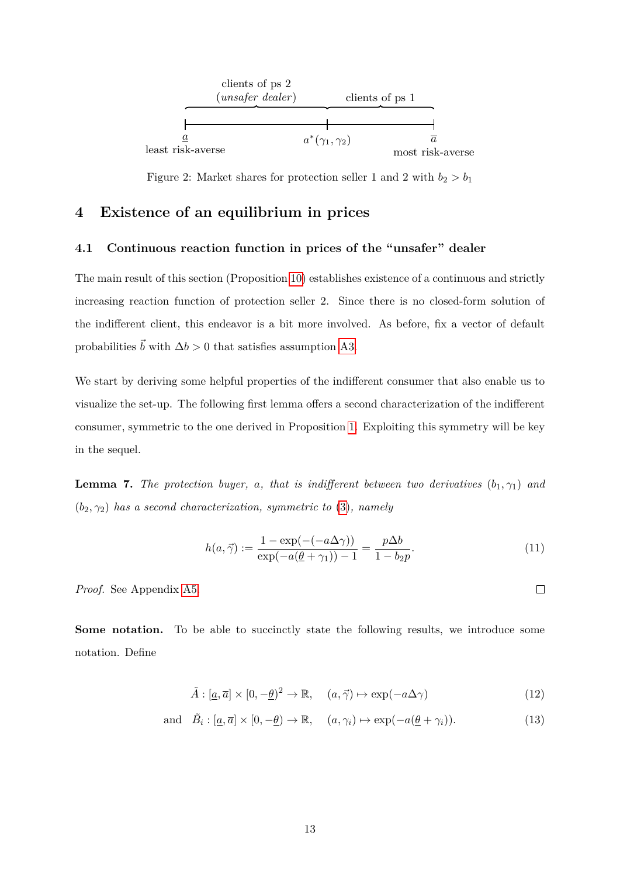<span id="page-14-0"></span>

Figure 2: Market shares for protection seller 1 and 2 with  $b_2 > b_1$ 

# **4 Existence of an equilibrium in prices**

# **4.1 Continuous reaction function in prices of the "unsafer" dealer**

The main result of this section (Proposition [10\)](#page-17-0) establishes existence of a continuous and strictly increasing reaction function of protection seller 2. Since there is no closed-form solution of the indifferent client, this endeavor is a bit more involved. As before, fix a vector of default probabilities  $\vec{b}$  with  $\Delta b > 0$  that satisfies assumption [A3.](#page-10-3)

We start by deriving some helpful properties of the indifferent consumer that also enable us to visualize the set-up. The following first lemma offers a second characterization of the indifferent consumer, symmetric to the one derived in Proposition [1.](#page-10-4) Exploiting this symmetry will be key in the sequel.

<span id="page-14-4"></span>**Lemma 7.** *The protection buyer, a, that is indifferent between two derivatives*  $(b_1, \gamma_1)$  *and* (*b*2*, γ*2) *has a second characterization, symmetric to* [\(3\)](#page-10-2)*, namely*

<span id="page-14-3"></span>
$$
h(a,\vec{\gamma}) := \frac{1 - \exp(-( -a\Delta\gamma))}{\exp(-a(\underline{\theta} + \gamma_1)) - 1} = \frac{p\Delta b}{1 - b_2 p}.
$$
\n(11)

*Proof.* See Appendix [A5.](#page-31-1)

**Some notation.** To be able to succinctly state the following results, we introduce some notation. Define

<span id="page-14-2"></span><span id="page-14-1"></span>
$$
\tilde{A} : [\underline{a}, \overline{a}] \times [0, -\underline{\theta})^2 \to \mathbb{R}, \quad (a, \vec{\gamma}) \mapsto \exp(-a\Delta\gamma)
$$
\n(12)

and 
$$
\tilde{B}_i : [\underline{a}, \overline{a}] \times [0, -\underline{\theta}) \to \mathbb{R}, \quad (a, \gamma_i) \mapsto \exp(-a(\underline{\theta} + \gamma_i)).
$$
 (13)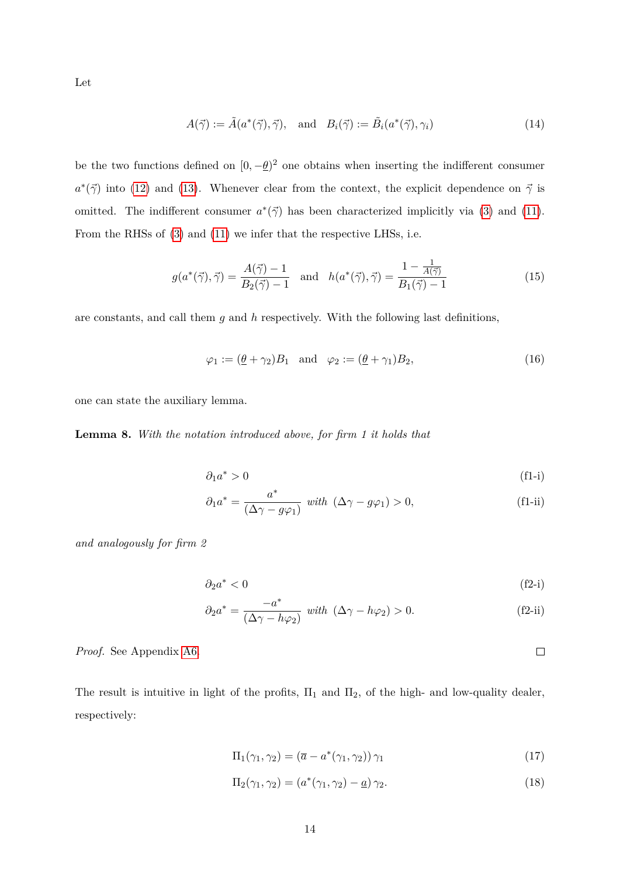Let

$$
A(\vec{\gamma}) := \tilde{A}(a^*(\vec{\gamma}), \vec{\gamma}), \text{ and } B_i(\vec{\gamma}) := \tilde{B}_i(a^*(\vec{\gamma}), \gamma_i)
$$
\n(14)

be the two functions defined on  $[0, -\underline{\theta})^2$  one obtains when inserting the indifferent consumer  $a^*(\vec{\gamma})$  into [\(12\)](#page-14-1) and [\(13\)](#page-14-2). Whenever clear from the context, the explicit dependence on  $\vec{\gamma}$  is omitted. The indifferent consumer  $a^*(\vec{\gamma})$  has been characterized implicitly via [\(3\)](#page-10-2) and [\(11\)](#page-14-3). From the RHSs of [\(3\)](#page-10-2) and [\(11\)](#page-14-3) we infer that the respective LHSs, i.e.

$$
g(a^*(\vec{\gamma}), \vec{\gamma}) = \frac{A(\vec{\gamma}) - 1}{B_2(\vec{\gamma}) - 1} \quad \text{and} \quad h(a^*(\vec{\gamma}), \vec{\gamma}) = \frac{1 - \frac{1}{A(\vec{\gamma})}}{B_1(\vec{\gamma}) - 1} \tag{15}
$$

are constants, and call them *g* and *h* respectively. With the following last definitions,

$$
\varphi_1 := (\underline{\theta} + \gamma_2) B_1 \quad \text{and} \quad \varphi_2 := (\underline{\theta} + \gamma_1) B_2,\tag{16}
$$

one can state the auxiliary lemma.

<span id="page-15-2"></span>**Lemma 8.** *With the notation introduced above, for firm 1 it holds that*

<span id="page-15-3"></span><span id="page-15-0"></span>
$$
\partial_1 a^* > 0 \tag{f1-i}
$$

$$
\partial_1 a^* = \frac{a^*}{(\Delta \gamma - g\varphi_1)} \quad with \quad (\Delta \gamma - g\varphi_1) > 0,
$$
\n(f1-ii)

*and analogously for firm 2*

$$
\partial_2 a^* < 0 \tag{f2-i}
$$

<span id="page-15-4"></span><span id="page-15-1"></span>
$$
\partial_2 a^* = \frac{-a^*}{(\Delta \gamma - h\varphi_2)} \quad \text{with} \quad (\Delta \gamma - h\varphi_2) > 0. \tag{f2-ii}
$$

*Proof.* See Appendix [A6.](#page-31-2)

The result is intuitive in light of the profits,  $\Pi_1$  and  $\Pi_2$ , of the high- and low-quality dealer, respectively:

$$
\Pi_1(\gamma_1, \gamma_2) = (\overline{a} - a^*(\gamma_1, \gamma_2)) \gamma_1 \tag{17}
$$

$$
\Pi_2(\gamma_1, \gamma_2) = (a^*(\gamma_1, \gamma_2) - \underline{a}) \gamma_2.
$$
\n(18)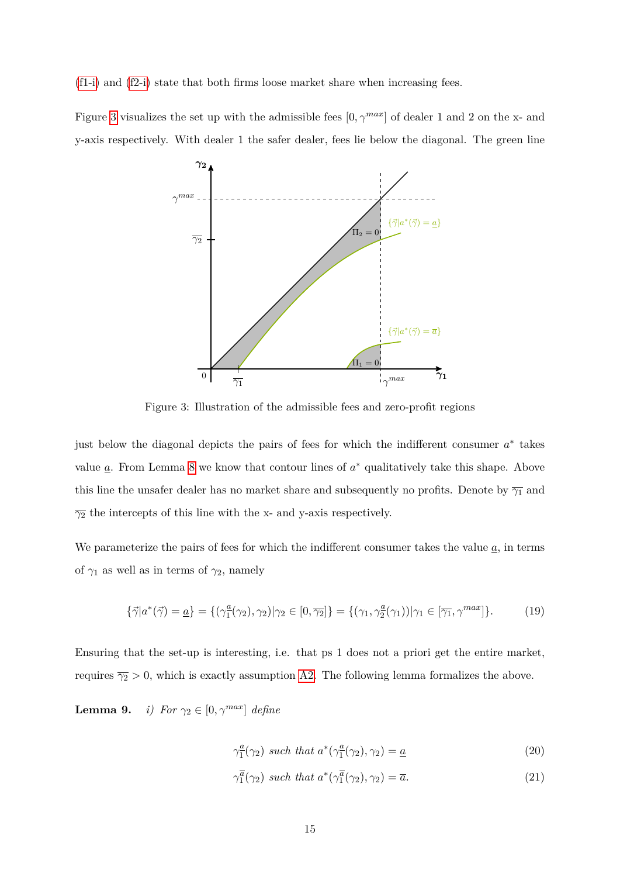[\(f1-i\)](#page-15-0) and [\(f2-i\)](#page-15-1) state that both firms loose market share when increasing fees.

<span id="page-16-0"></span>Figure [3](#page-16-0) visualizes the set up with the admissible fees  $[0, \gamma^{max}]$  of dealer 1 and 2 on the x- and y-axis respectively. With dealer 1 the safer dealer, fees lie below the diagonal. The green line



Figure 3: Illustration of the admissible fees and zero-profit regions

just below the diagonal depicts the pairs of fees for which the indifferent consumer *a* ∗ takes value  $\underline{a}$ . From Lemma [8](#page-15-2) we know that contour lines of  $a^*$  qualitatively take this shape. Above this line the unsafer dealer has no market share and subsequently no profits. Denote by  $\overline{\gamma_1}$  and  $\overline{\gamma_2}$  the intercepts of this line with the x- and y-axis respectively.

We parameterize the pairs of fees for which the indifferent consumer takes the value  $\underline{a}$ , in terms of  $\gamma_1$  as well as in terms of  $\gamma_2$ , namely

$$
\{\vec{\gamma}|a^*(\vec{\gamma}) = \underline{a}\} = \{(\gamma_1^{\underline{a}}(\gamma_2), \gamma_2)|\gamma_2 \in [0, \overline{\gamma_2}]\} = \{(\gamma_1, \gamma_2^{\underline{a}}(\gamma_1))|\gamma_1 \in [\overline{\gamma_1}, \gamma^{max}]\}.
$$
 (19)

Ensuring that the set-up is interesting, i.e. that ps 1 does not a priori get the entire market, requires  $\overline{\gamma_2} > 0$ , which is exactly assumption [A2.](#page-9-1) The following lemma formalizes the above.

**Lemma 9.** *i) For*  $\gamma_2 \in [0, \gamma^{max}]$  *define* 

<span id="page-16-1"></span>
$$
\gamma_{1}^{a}(\gamma_{2}) \text{ such that } a^{*}(\gamma_{1}^{a}(\gamma_{2}), \gamma_{2}) = \underline{a} \tag{20}
$$

$$
\gamma_1^{\overline{a}}(\gamma_2) \text{ such that } a^*(\gamma_1^{\overline{a}}(\gamma_2), \gamma_2) = \overline{a}. \tag{21}
$$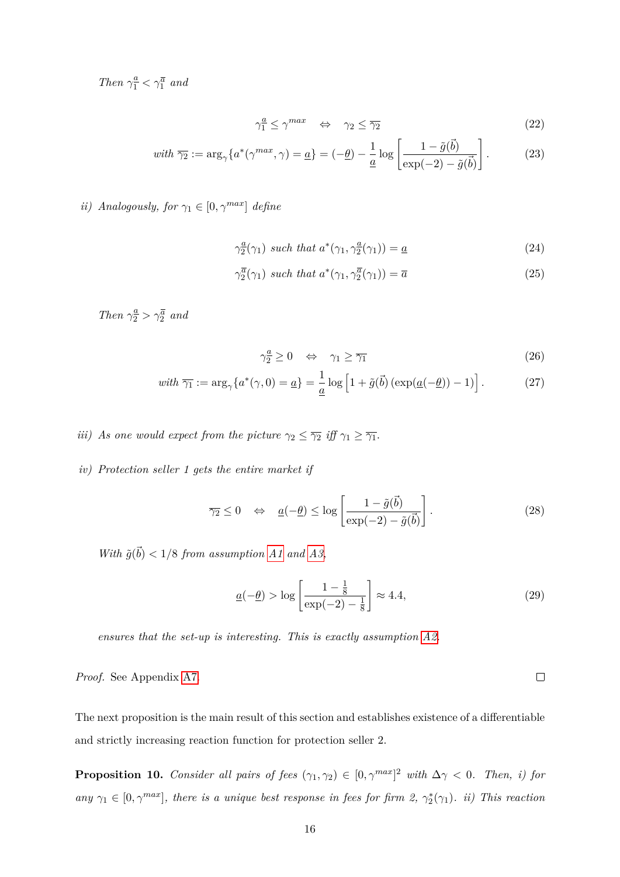*Then*  $\gamma_1^{\underline{a}} < \gamma_1^{\overline{a}}$  *and* 

$$
\gamma_1^a \le \gamma^{max} \quad \Leftrightarrow \quad \gamma_2 \le \overline{\gamma_2} \tag{22}
$$

$$
\text{with } \overline{\gamma_2} := \arg_{\gamma} \{ a^*(\gamma^{\text{max}}, \gamma) = \underline{a} \} = (-\underline{\theta}) - \frac{1}{\underline{a}} \log \left[ \frac{1 - \tilde{g}(\vec{b})}{\exp(-2) - \tilde{g}(\vec{b})} \right]. \tag{23}
$$

*ii*) *Analogously, for*  $\gamma_1 \in [0, \gamma^{max}]$  *define* 

$$
\gamma_2^{\underline{a}}(\gamma_1) \ \text{such that} \ a^*(\gamma_1, \gamma_2^{\underline{a}}(\gamma_1)) = \underline{a} \tag{24}
$$

$$
\gamma_2^{\overline{a}}(\gamma_1) \text{ such that } a^*(\gamma_1, \gamma_2^{\overline{a}}(\gamma_1)) = \overline{a}
$$
\n(25)

*Then*  $\gamma_{2}^{\underline{a}} > \gamma_{2}^{\overline{a}}$  *and* 

$$
\gamma_2^a \ge 0 \quad \Leftrightarrow \quad \gamma_1 \ge \overline{\gamma_1} \tag{26}
$$

$$
\text{with } \overline{\gamma_1} := \arg_{\gamma} \{ a^*(\gamma, 0) = \underline{a} \} = \frac{1}{\underline{a}} \log \left[ 1 + \tilde{g}(\vec{b}) \left( \exp(\underline{a}(-\underline{\theta})) - 1 \right) \right]. \tag{27}
$$

*iii) As one would expect from the picture*  $\gamma_2 \leq \overline{\gamma_2}$  *iff*  $\gamma_1 \geq \overline{\gamma_1}$ *.* 

*iv) Protection seller 1 gets the entire market if*

$$
\overline{\gamma_2} \le 0 \quad \Leftrightarrow \quad \underline{a}(-\underline{\theta}) \le \log \left[ \frac{1 - \tilde{g}(\vec{b})}{\exp(-2) - \tilde{g}(\vec{b})} \right]. \tag{28}
$$

*With*  $\tilde{g}(\vec{b}) < 1/8$  *from assumption [A1](#page-9-2) and [A3,](#page-10-3)* 

$$
\underline{a}(-\underline{\theta}) > \log \left[ \frac{1 - \frac{1}{8}}{\exp(-2) - \frac{1}{8}} \right] \approx 4.4,\tag{29}
$$

*ensures that the set-up is interesting. This is exactly assumption [A2.](#page-9-1)*

 $\Box$ *Proof.* See Appendix [A7.](#page-33-0)

The next proposition is the main result of this section and establishes existence of a differentiable and strictly increasing reaction function for protection seller 2.

<span id="page-17-0"></span>**Proposition 10.** *Consider all pairs of fees*  $(\gamma_1, \gamma_2) \in [0, \gamma^{max}]^2$  *with*  $\Delta \gamma < 0$ *. Then, i) for any*  $\gamma_1 \in [0, \gamma^{max}]$ , there is a unique best response in fees for firm 2,  $\gamma_2^*(\gamma_1)$ *. ii)* This reaction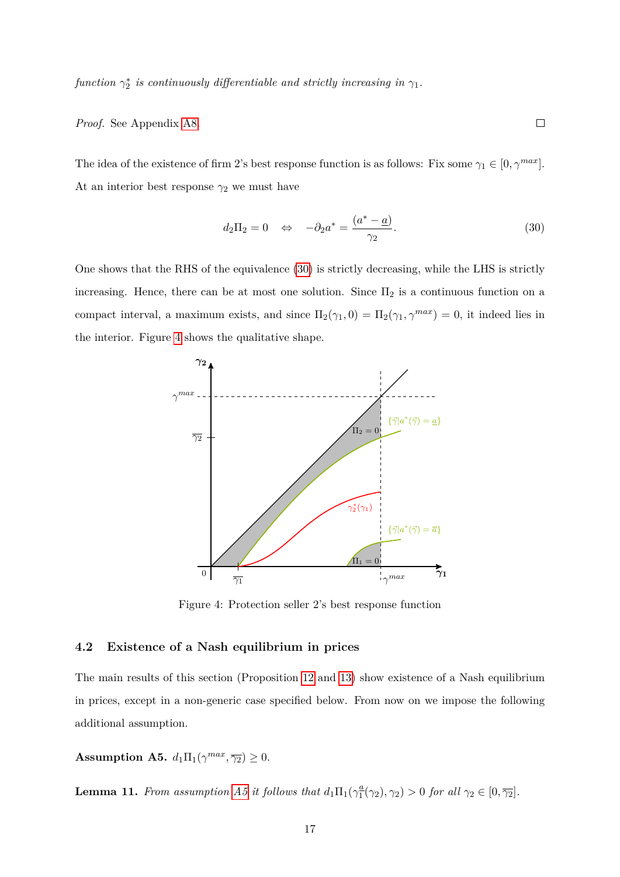*function*  $\gamma_2^*$  *is continuously differentiable and strictly increasing in*  $\gamma_1$ *.* 

*Proof.* See Appendix [A8.](#page-34-0)

The idea of the existence of firm 2's best response function is as follows: Fix some  $\gamma_1 \in [0, \gamma^{max}]$ . At an interior best response  $\gamma_2$  we must have

$$
d_2\Pi_2 = 0 \quad \Leftrightarrow \quad -\partial_2 a^* = \frac{(a^* - \underline{a})}{\gamma_2}.
$$
\n(30)

<span id="page-18-0"></span> $\Box$ 

<span id="page-18-1"></span>One shows that the RHS of the equivalence [\(30\)](#page-18-0) is strictly decreasing, while the LHS is strictly increasing. Hence, there can be at most one solution. Since  $\Pi_2$  is a continuous function on a compact interval, a maximum exists, and since  $\Pi_2(\gamma_1, 0) = \Pi_2(\gamma_1, \gamma^{max}) = 0$ , it indeed lies in the interior. Figure [4](#page-18-1) shows the qualitative shape.



Figure 4: Protection seller 2's best response function

# **4.2 Existence of a Nash equilibrium in prices**

The main results of this section (Proposition [12](#page-19-0) and [13\)](#page-20-0) show existence of a Nash equilibrium in prices, except in a non-generic case specified below. From now on we impose the following additional assumption.

<span id="page-18-2"></span>**Assumption A5.**  $d_1 \Pi_1(\gamma^{max}, \overline{\gamma_2}) \geq 0$ .

<span id="page-18-3"></span>**Lemma 11.** *From assumption [A5](#page-18-2) it follows that*  $d_1\Pi_1(\gamma_1^a)$  $\frac{a}{1}(\gamma_2), \gamma_2) > 0$  *for all*  $\gamma_2 \in [0, \overline{\gamma_2}].$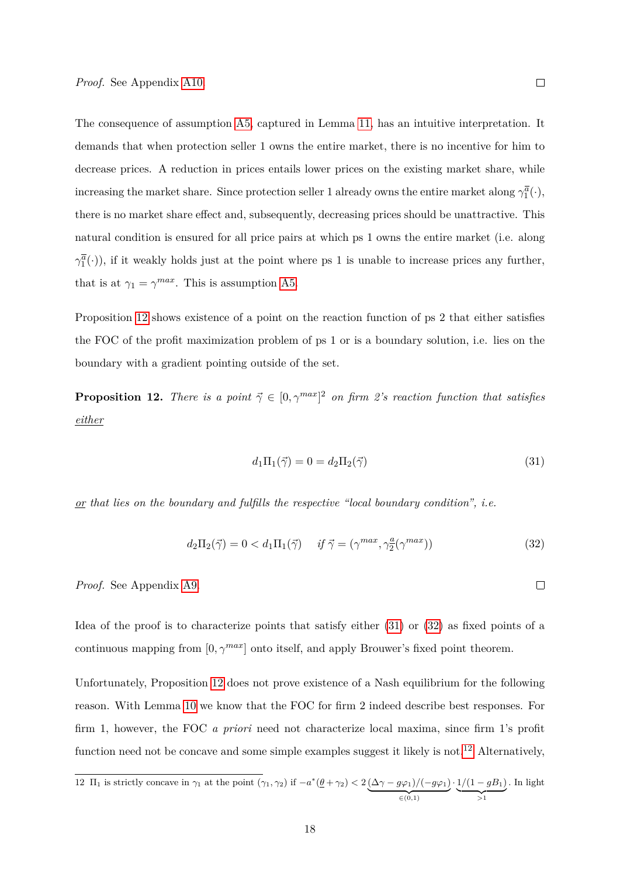The consequence of assumption [A5,](#page-18-2) captured in Lemma [11,](#page-18-3) has an intuitive interpretation. It demands that when protection seller 1 owns the entire market, there is no incentive for him to decrease prices. A reduction in prices entails lower prices on the existing market share, while increasing the market share. Since protection seller 1 already owns the entire market along  $\gamma_1^{\overline{a}}(\cdot)$ , there is no market share effect and, subsequently, decreasing prices should be unattractive. This natural condition is ensured for all price pairs at which ps 1 owns the entire market (i.e. along  $\gamma_1^{\overline{a}}(\cdot)$ , if it weakly holds just at the point where ps 1 is unable to increase prices any further, that is at  $\gamma_1 = \gamma^{max}$ . This is assumption [A5.](#page-18-2)

Proposition [12](#page-19-0) shows existence of a point on the reaction function of ps 2 that either satisfies the FOC of the profit maximization problem of ps 1 or is a boundary solution, i.e. lies on the boundary with a gradient pointing outside of the set.

<span id="page-19-0"></span>**Proposition 12.** *There is a point*  $\vec{\gamma} \in [0, \gamma^{max}]^2$  *on firm 2's reaction function that satisfies either*

<span id="page-19-2"></span><span id="page-19-1"></span>
$$
d_1\Pi_1(\vec{\gamma}) = 0 = d_2\Pi_2(\vec{\gamma})\tag{31}
$$

*or that lies on the boundary and fulfills the respective "local boundary condition", i.e.*

$$
d_2\Pi_2(\vec{\gamma}) = 0 < d_1\Pi_1(\vec{\gamma}) \quad \text{if } \vec{\gamma} = (\gamma^{max}, \gamma_2^a(\gamma^{max})) \tag{32}
$$

*Proof.* See Appendix [A9.](#page-37-0)

Idea of the proof is to characterize points that satisfy either [\(31\)](#page-19-1) or [\(32\)](#page-19-2) as fixed points of a continuous mapping from  $[0, \gamma^{max}]$  onto itself, and apply Brouwer's fixed point theorem.

Unfortunately, Proposition [12](#page-19-0) does not prove existence of a Nash equilibrium for the following reason. With Lemma [10](#page-17-0) we know that the FOC for firm 2 indeed describe best responses. For firm 1, however, the FOC *a priori* need not characterize local maxima, since firm 1's profit function need not be concave and some simple examples suggest it likely is not.<sup>[12](#page-19-3)</sup> Alternatively,

<span id="page-19-3"></span>12 
$$
\Pi_1
$$
 is strictly concave in  $\gamma_1$  at the point  $(\gamma_1, \gamma_2)$  if  $-a^*(\underline{\theta} + \gamma_2) < 2\underbrace{(\Delta\gamma - g\varphi_1)/(-g\varphi_1)}_{\in (0,1)} \cdot \underbrace{1/(1 - gB_1)}_{>1}$ . In light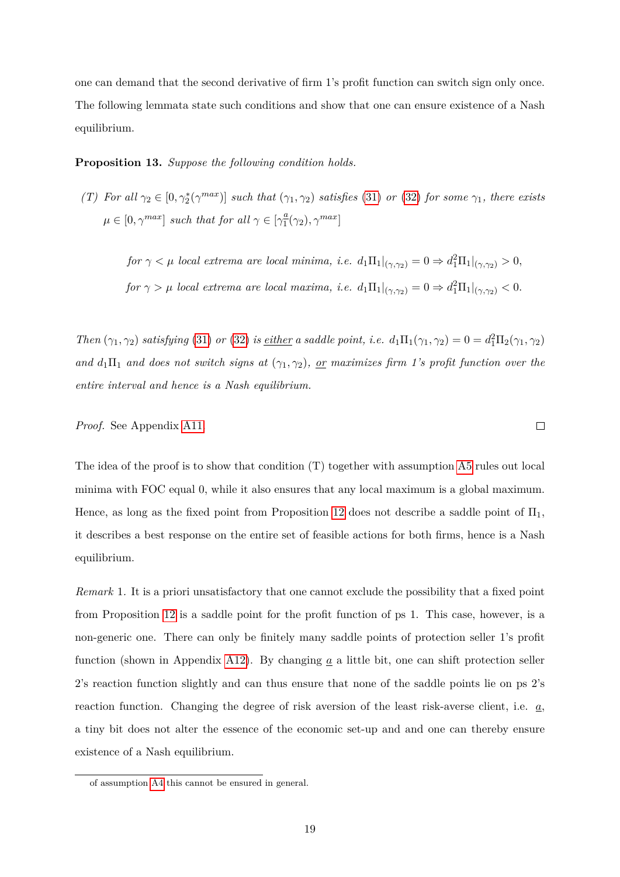one can demand that the second derivative of firm 1's profit function can switch sign only once. The following lemmata state such conditions and show that one can ensure existence of a Nash equilibrium.

<span id="page-20-0"></span>**Proposition 13.** *Suppose the following condition holds.*

*(T)* For all  $\gamma_2 \in [0, \gamma_2^*(\gamma^{max})]$  *such that*  $(\gamma_1, \gamma_2)$  *satisfies* [\(31\)](#page-19-1) *or* [\(32\)](#page-19-2) *for some*  $\gamma_1$ *, there exists*  $\mu \in [0, \gamma^{max}]$  *such that for all*  $\gamma \in [\gamma_1^a]$  $\frac{a}{1}(\gamma_2), \gamma^{max}$ ]

 $f \circ r \gamma \leq \mu$  *local extrema are local minima, i.e.*  $d_1 \Pi_1|_{(\gamma, \gamma_2)} = 0 \Rightarrow d_1^2 \Pi_1|_{(\gamma, \gamma_2)} > 0$ ,  $f \circ r \gamma > \mu$  *local extrema are local maxima, i.e.*  $d_1 \Pi_1|_{(\gamma, \gamma_2)} = 0 \Rightarrow d_1^2 \Pi_1|_{(\gamma, \gamma_2)} < 0.$ 

*Then*  $(\gamma_1, \gamma_2)$  *satisfying* [\(31\)](#page-19-1) *or* [\(32\)](#page-19-2) *is <u>either</u> a saddle point, i.e.*  $d_1\Pi_1(\gamma_1, \gamma_2) = 0 = d_1^2\Pi_2(\gamma_1, \gamma_2)$ and  $d_1\Pi_1$  and does not switch signs at  $(\gamma_1, \gamma_2)$ , <u>or</u> maximizes firm 1's profit function over the *entire interval and hence is a Nash equilibrium.*

 $\Box$ 

*Proof.* See Appendix [A11.](#page-40-0)

The idea of the proof is to show that condition (T) together with assumption [A5](#page-18-2) rules out local minima with FOC equal 0, while it also ensures that any local maximum is a global maximum. Hence, as long as the fixed point from Proposition [12](#page-19-0) does not describe a saddle point of  $\Pi_1$ , it describes a best response on the entire set of feasible actions for both firms, hence is a Nash equilibrium.

<span id="page-20-1"></span>*Remark* 1*.* It is a priori unsatisfactory that one cannot exclude the possibility that a fixed point from Proposition [12](#page-19-0) is a saddle point for the profit function of ps 1. This case, however, is a non-generic one. There can only be finitely many saddle points of protection seller 1's profit function (shown in Appendix [A12\)](#page-41-0). By changing *a* a little bit, one can shift protection seller 2's reaction function slightly and can thus ensure that none of the saddle points lie on ps 2's reaction function. Changing the degree of risk aversion of the least risk-averse client, i.e. *a*, a tiny bit does not alter the essence of the economic set-up and and one can thereby ensure existence of a Nash equilibrium.

of assumption [A4](#page-10-0) this cannot be ensured in general.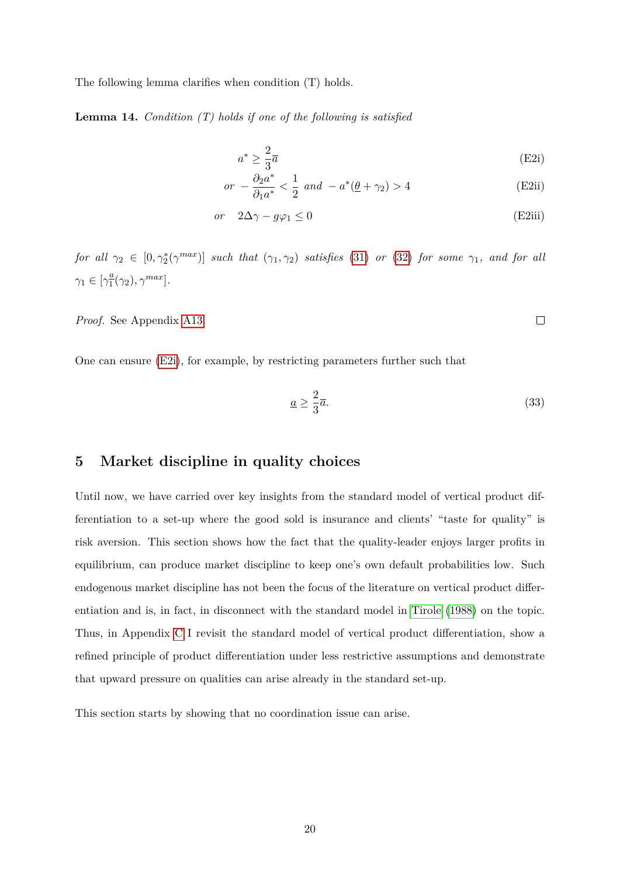The following lemma clarifies when condition (T) holds.

<span id="page-21-1"></span>**Lemma 14.** *Condition (T) holds if one of the following is satisfied*

$$
a^* \ge \frac{2}{3}\overline{a} \tag{E2i}
$$

$$
or \ -\frac{\partial_2 a^*}{\partial_1 a^*} < \frac{1}{2} \ and \ -a^*(\underline{\theta} + \gamma_2) > 4 \tag{E2ii}
$$

$$
or \quad 2\Delta\gamma - g\varphi_1 \le 0 \tag{E2iii}
$$

 $for \ all \ \gamma_2 \in [0, \gamma_2^*(\gamma^{max})] \ such \ that \ (\gamma_1, \gamma_2) \ satisfies \ (31) \ \ or \ (32) \ for \ some \ \gamma_1, \ and \ for \ all \$  $for \ all \ \gamma_2 \in [0, \gamma_2^*(\gamma^{max})] \ such \ that \ (\gamma_1, \gamma_2) \ satisfies \ (31) \ \ or \ (32) \ for \ some \ \gamma_1, \ and \ for \ all \$  $for \ all \ \gamma_2 \in [0, \gamma_2^*(\gamma^{max})] \ such \ that \ (\gamma_1, \gamma_2) \ satisfies \ (31) \ \ or \ (32) \ for \ some \ \gamma_1, \ and \ for \ all \$  $for \ all \ \gamma_2 \in [0, \gamma_2^*(\gamma^{max})] \ such \ that \ (\gamma_1, \gamma_2) \ satisfies \ (31) \ \ or \ (32) \ for \ some \ \gamma_1, \ and \ for \ all \$  $for \ all \ \gamma_2 \in [0, \gamma_2^*(\gamma^{max})] \ such \ that \ (\gamma_1, \gamma_2) \ satisfies \ (31) \ \ or \ (32) \ for \ some \ \gamma_1, \ and \ for \ all \$  $\gamma_1 \in \left[\gamma_1^{\underline{a}}\right]$  $\frac{a}{1}(\gamma_2), \gamma^{max}$ .

*Proof.* See Appendix [A13.](#page-42-0)

One can ensure [\(E2i\)](#page-21-0), for example, by restricting parameters further such that

$$
\underline{a} \ge \frac{2}{3}\overline{a}.\tag{33}
$$

<span id="page-21-0"></span> $\Box$ 

# **5 Market discipline in quality choices**

Until now, we have carried over key insights from the standard model of vertical product differentiation to a set-up where the good sold is insurance and clients' "taste for quality" is risk aversion. This section shows how the fact that the quality-leader enjoys larger profits in equilibrium, can produce market discipline to keep one's own default probabilities low. Such endogenous market discipline has not been the focus of the literature on vertical product differentiation and is, in fact, in disconnect with the standard model in [Tirole](#page-27-3) [\(1988\)](#page-27-3) on the topic. Thus, in Appendix [C](#page-50-0) I revisit the standard model of vertical product differentiation, show a refined principle of product differentiation under less restrictive assumptions and demonstrate that upward pressure on qualities can arise already in the standard set-up.

This section starts by showing that no coordination issue can arise.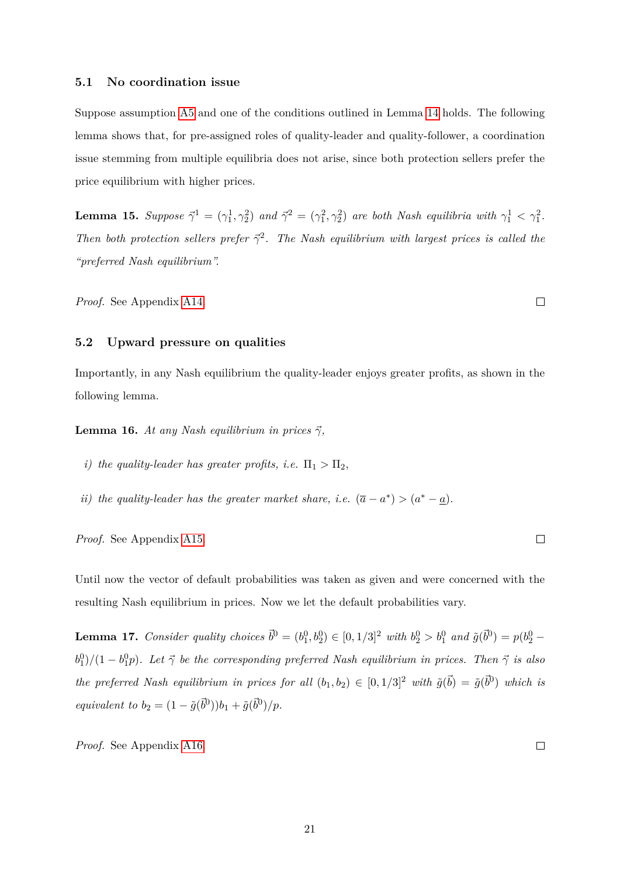#### **5.1 No coordination issue**

Suppose assumption [A5](#page-18-2) and one of the conditions outlined in Lemma [14](#page-21-1) holds. The following lemma shows that, for pre-assigned roles of quality-leader and quality-follower, a coordination issue stemming from multiple equilibria does not arise, since both protection sellers prefer the price equilibrium with higher prices.

<span id="page-22-1"></span>**Lemma 15.** Suppose  $\vec{\gamma}^1 = (\gamma_1^1, \gamma_2^2)$  and  $\vec{\gamma}^2 = (\gamma_1^2, \gamma_2^2)$  are both Nash equilibria with  $\gamma_1^1 < \gamma_1^2$ . *Then both protection sellers prefer*  $\vec{\gamma}^2$ . *The Nash equilibrium with largest prices is called the "preferred Nash equilibrium".*

*Proof.* See Appendix [A14.](#page-44-0)

#### **5.2 Upward pressure on qualities**

Importantly, in any Nash equilibrium the quality-leader enjoys greater profits, as shown in the following lemma.

<span id="page-22-2"></span>**Lemma 16.** *At any Nash equilibrium in prices*  $\vec{\gamma}$ *,* 

- *i)* the quality-leader has greater profits, i.e.  $\Pi_1 > \Pi_2$ ,
- *ii) the quality-leader has the greater market share, <i>i.e.*  $(\bar{a} a^*) > (a^* \underline{a})$ *.*

*Proof.* See Appendix [A15.](#page-44-1)

Until now the vector of default probabilities was taken as given and were concerned with the resulting Nash equilibrium in prices. Now we let the default probabilities vary.

<span id="page-22-0"></span>**Lemma 17.** *Consider quality choices*  $\vec{b}^0 = (b_1^0, b_2^0) \in [0, 1/3]^2$  *with*  $b_2^0 > b_1^0$  *and*  $\tilde{g}(\vec{b}^0) = p(b_2^0 - b_1^0)$  $b_1^0$ )/ $(1 - b_1^0 p)$ . Let  $\vec{\gamma}$  be the corresponding preferred Nash equilibrium in prices. Then  $\vec{\gamma}$  is also *the preferred Nash equilibrium in prices for all*  $(b_1, b_2) \in [0, 1/3]^2$  *with*  $\tilde{g}(\vec{b}) = \tilde{g}(\vec{b}^0)$  *which is equivalent to*  $b_2 = (1 - \tilde{g}(\vec{b}^0))b_1 + \tilde{g}(\vec{b}^0)/p$ .

*Proof.* See Appendix [A16.](#page-45-0)

 $\Box$ 

 $\Box$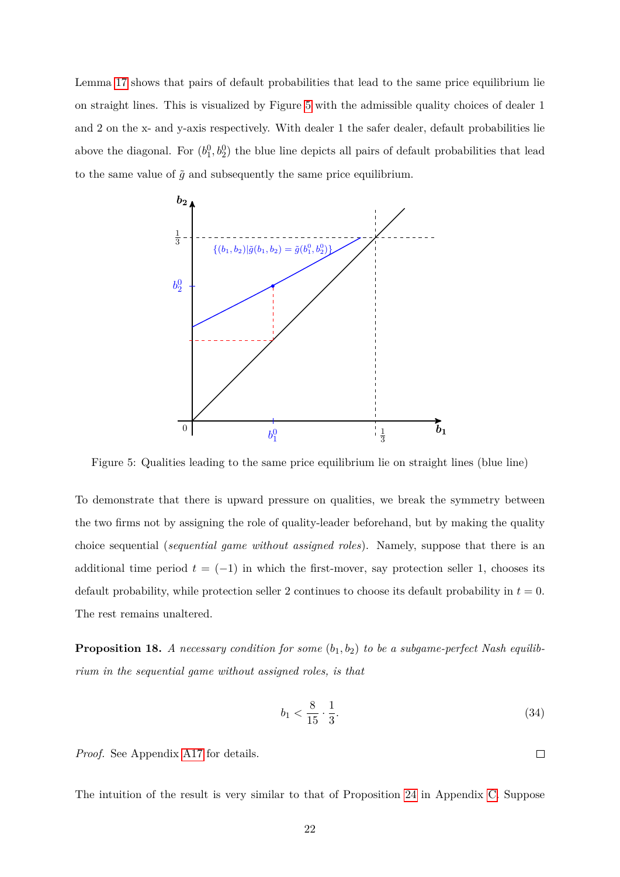Lemma [17](#page-22-0) shows that pairs of default probabilities that lead to the same price equilibrium lie on straight lines. This is visualized by Figure [5](#page-23-0) with the admissible quality choices of dealer 1 and 2 on the x- and y-axis respectively. With dealer 1 the safer dealer, default probabilities lie above the diagonal. For  $(b_1^0, b_2^0)$  the blue line depicts all pairs of default probabilities that lead to the same value of  $\tilde{g}$  and subsequently the same price equilibrium.

<span id="page-23-0"></span>

Figure 5: Qualities leading to the same price equilibrium lie on straight lines (blue line)

To demonstrate that there is upward pressure on qualities, we break the symmetry between the two firms not by assigning the role of quality-leader beforehand, but by making the quality choice sequential (*sequential game without assigned roles*). Namely, suppose that there is an additional time period  $t = (-1)$  in which the first-mover, say protection seller 1, chooses its default probability, while protection seller 2 continues to choose its default probability in  $t = 0$ . The rest remains unaltered.

<span id="page-23-1"></span>**Proposition 18.** *A necessary condition for some* (*b*1*, b*2) *to be a subgame-perfect Nash equilibrium in the sequential game without assigned roles, is that*

$$
b_1 < \frac{8}{15} \cdot \frac{1}{3}.\tag{34}
$$

 $\Box$ 

*Proof.* See Appendix [A17](#page-45-1) for details.

The intuition of the result is very similar to that of Proposition [24](#page-59-0) in Appendix [C.](#page-50-0) Suppose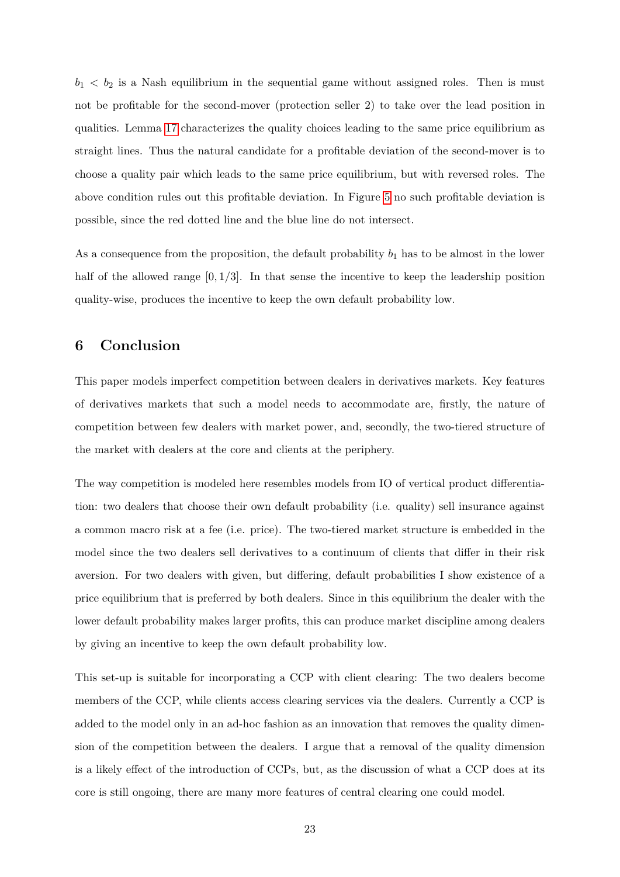$b_1 < b_2$  is a Nash equilibrium in the sequential game without assigned roles. Then is must not be profitable for the second-mover (protection seller 2) to take over the lead position in qualities. Lemma [17](#page-22-0) characterizes the quality choices leading to the same price equilibrium as straight lines. Thus the natural candidate for a profitable deviation of the second-mover is to choose a quality pair which leads to the same price equilibrium, but with reversed roles. The above condition rules out this profitable deviation. In Figure [5](#page-23-0) no such profitable deviation is possible, since the red dotted line and the blue line do not intersect.

As a consequence from the proposition, the default probability  $b_1$  has to be almost in the lower half of the allowed range  $[0, 1/3]$ . In that sense the incentive to keep the leadership position quality-wise, produces the incentive to keep the own default probability low.

# **6 Conclusion**

This paper models imperfect competition between dealers in derivatives markets. Key features of derivatives markets that such a model needs to accommodate are, firstly, the nature of competition between few dealers with market power, and, secondly, the two-tiered structure of the market with dealers at the core and clients at the periphery.

The way competition is modeled here resembles models from IO of vertical product differentiation: two dealers that choose their own default probability (i.e. quality) sell insurance against a common macro risk at a fee (i.e. price). The two-tiered market structure is embedded in the model since the two dealers sell derivatives to a continuum of clients that differ in their risk aversion. For two dealers with given, but differing, default probabilities I show existence of a price equilibrium that is preferred by both dealers. Since in this equilibrium the dealer with the lower default probability makes larger profits, this can produce market discipline among dealers by giving an incentive to keep the own default probability low.

This set-up is suitable for incorporating a CCP with client clearing: The two dealers become members of the CCP, while clients access clearing services via the dealers. Currently a CCP is added to the model only in an ad-hoc fashion as an innovation that removes the quality dimension of the competition between the dealers. I argue that a removal of the quality dimension is a likely effect of the introduction of CCPs, but, as the discussion of what a CCP does at its core is still ongoing, there are many more features of central clearing one could model.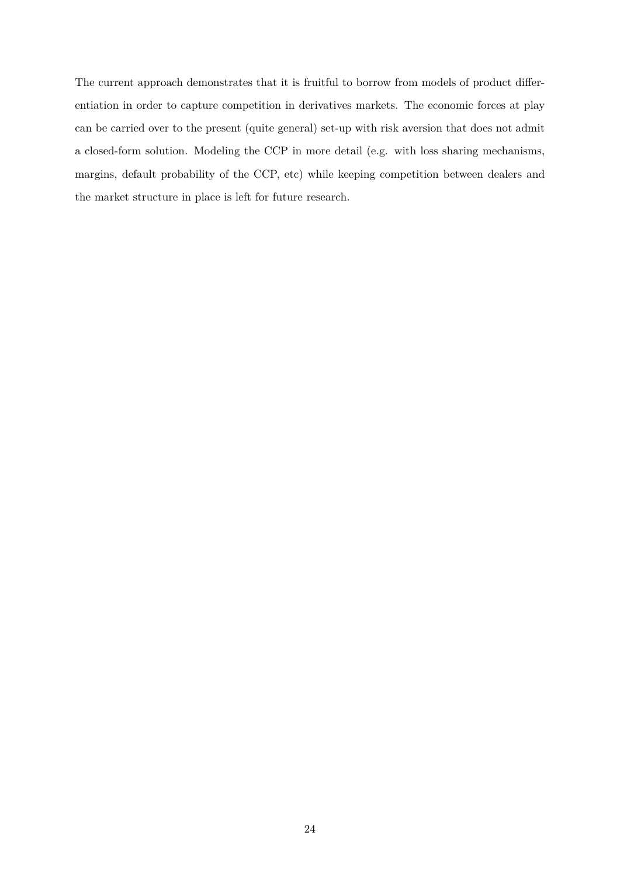The current approach demonstrates that it is fruitful to borrow from models of product differentiation in order to capture competition in derivatives markets. The economic forces at play can be carried over to the present (quite general) set-up with risk aversion that does not admit a closed-form solution. Modeling the CCP in more detail (e.g. with loss sharing mechanisms, margins, default probability of the CCP, etc) while keeping competition between dealers and the market structure in place is left for future research.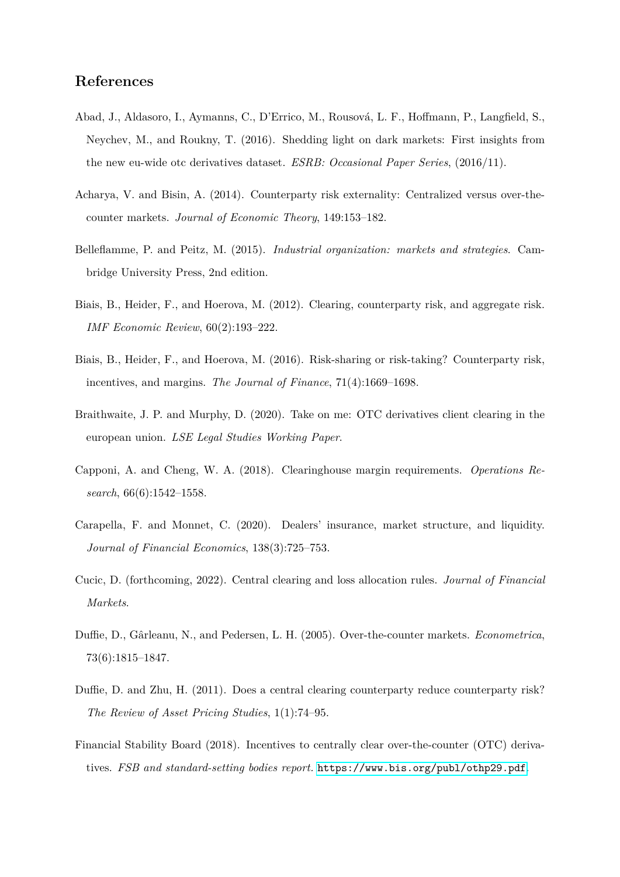# **References**

- <span id="page-26-2"></span>Abad, J., Aldasoro, I., Aymanns, C., D'Errico, M., Rousová, L. F., Hoffmann, P., Langfield, S., Neychev, M., and Roukny, T. (2016). Shedding light on dark markets: First insights from the new eu-wide otc derivatives dataset. *ESRB: Occasional Paper Series*, (2016/11).
- <span id="page-26-5"></span>Acharya, V. and Bisin, A. (2014). Counterparty risk externality: Centralized versus over-thecounter markets. *Journal of Economic Theory*, 149:153–182.
- <span id="page-26-11"></span>Belleflamme, P. and Peitz, M. (2015). *Industrial organization: markets and strategies*. Cambridge University Press, 2nd edition.
- <span id="page-26-6"></span>Biais, B., Heider, F., and Hoerova, M. (2012). Clearing, counterparty risk, and aggregate risk. *IMF Economic Review*, 60(2):193–222.
- <span id="page-26-0"></span>Biais, B., Heider, F., and Hoerova, M. (2016). Risk-sharing or risk-taking? Counterparty risk, incentives, and margins. *The Journal of Finance*, 71(4):1669–1698.
- <span id="page-26-4"></span>Braithwaite, J. P. and Murphy, D. (2020). Take on me: OTC derivatives client clearing in the european union. *LSE Legal Studies Working Paper*.
- <span id="page-26-8"></span>Capponi, A. and Cheng, W. A. (2018). Clearinghouse margin requirements. *Operations Research*, 66(6):1542–1558.
- <span id="page-26-9"></span>Carapella, F. and Monnet, C. (2020). Dealers' insurance, market structure, and liquidity. *Journal of Financial Economics*, 138(3):725–753.
- <span id="page-26-7"></span>Cucic, D. (forthcoming, 2022). Central clearing and loss allocation rules. *Journal of Financial Markets*.
- <span id="page-26-10"></span>Duffie, D., Gˆarleanu, N., and Pedersen, L. H. (2005). Over-the-counter markets. *Econometrica*, 73(6):1815–1847.
- <span id="page-26-1"></span>Duffie, D. and Zhu, H. (2011). Does a central clearing counterparty reduce counterparty risk? *The Review of Asset Pricing Studies*, 1(1):74–95.
- <span id="page-26-3"></span>Financial Stability Board (2018). Incentives to centrally clear over-the-counter (OTC) derivatives. *FSB and standard-setting bodies report.* <https://www.bis.org/publ/othp29.pdf>.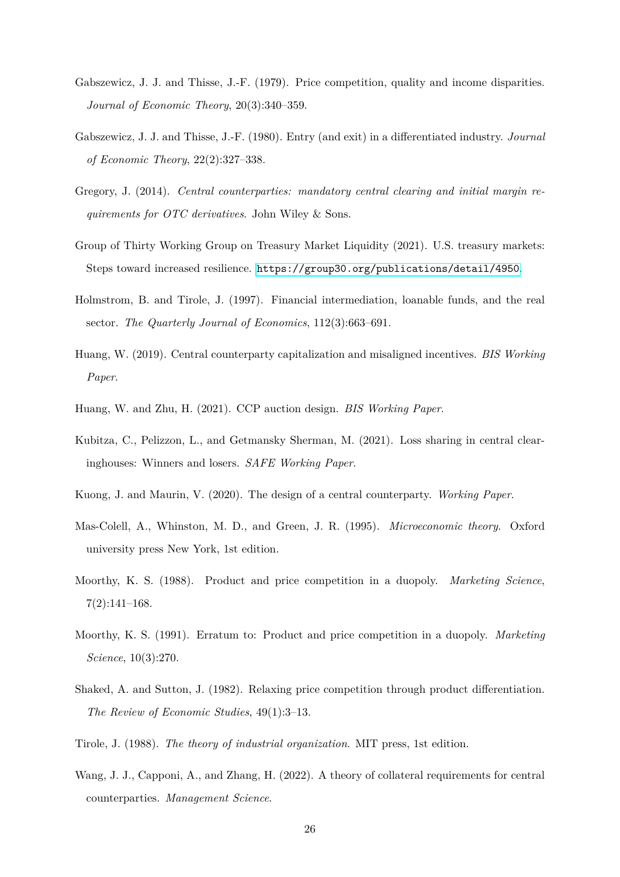- <span id="page-27-10"></span>Gabszewicz, J. J. and Thisse, J.-F. (1979). Price competition, quality and income disparities. *Journal of Economic Theory*, 20(3):340–359.
- <span id="page-27-11"></span>Gabszewicz, J. J. and Thisse, J.-F. (1980). Entry (and exit) in a differentiated industry. *Journal of Economic Theory*, 22(2):327–338.
- <span id="page-27-0"></span>Gregory, J. (2014). *Central counterparties: mandatory central clearing and initial margin requirements for OTC derivatives*. John Wiley & Sons.
- <span id="page-27-1"></span>Group of Thirty Working Group on Treasury Market Liquidity (2021). U.S. treasury markets: Steps toward increased resilience. <https://group30.org/publications/detail/4950>.
- <span id="page-27-4"></span>Holmstrom, B. and Tirole, J. (1997). Financial intermediation, loanable funds, and the real sector. *The Quarterly Journal of Economics*, 112(3):663–691.
- <span id="page-27-9"></span>Huang, W. (2019). Central counterparty capitalization and misaligned incentives. *BIS Working Paper*.
- <span id="page-27-5"></span>Huang, W. and Zhu, H. (2021). CCP auction design. *BIS Working Paper*.
- <span id="page-27-8"></span>Kubitza, C., Pelizzon, L., and Getmansky Sherman, M. (2021). Loss sharing in central clearinghouses: Winners and losers. *SAFE Working Paper*.
- <span id="page-27-6"></span>Kuong, J. and Maurin, V. (2020). The design of a central counterparty. *Working Paper*.
- <span id="page-27-14"></span>Mas-Colell, A., Whinston, M. D., and Green, J. R. (1995). *Microeconomic theory*. Oxford university press New York, 1st edition.
- <span id="page-27-12"></span>Moorthy, K. S. (1988). Product and price competition in a duopoly. *Marketing Science*, 7(2):141–168.
- <span id="page-27-13"></span>Moorthy, K. S. (1991). Erratum to: Product and price competition in a duopoly. *Marketing Science*, 10(3):270.
- <span id="page-27-2"></span>Shaked, A. and Sutton, J. (1982). Relaxing price competition through product differentiation. *The Review of Economic Studies*, 49(1):3–13.
- <span id="page-27-3"></span>Tirole, J. (1988). *The theory of industrial organization*. MIT press, 1st edition.
- <span id="page-27-7"></span>Wang, J. J., Capponi, A., and Zhang, H. (2022). A theory of collateral requirements for central counterparties. *Management Science*.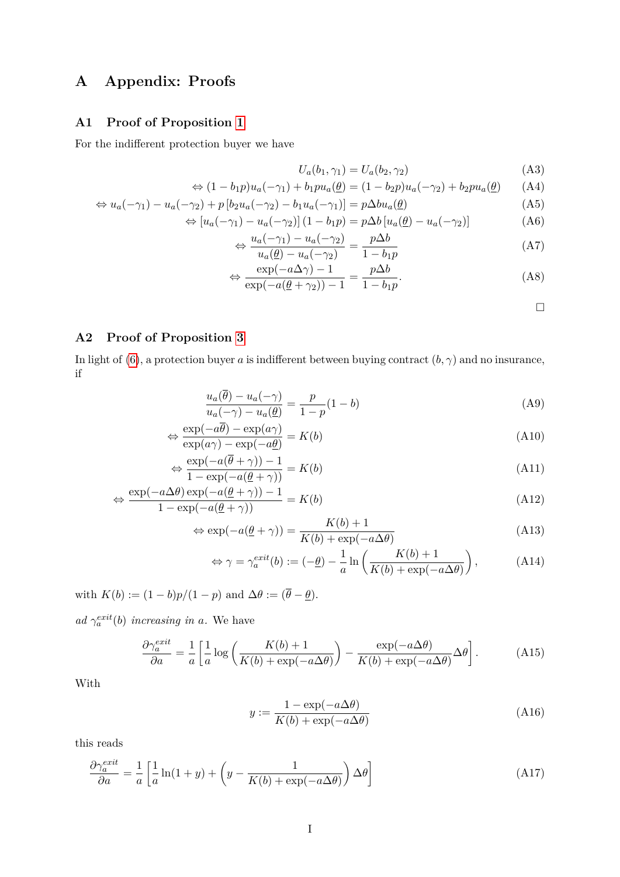# **A Appendix: Proofs**

# <span id="page-28-0"></span>**A1 Proof of Proposition [1](#page-10-4)**

For the indifferent protection buyer we have

$$
U_a(b_1, \gamma_1) = U_a(b_2, \gamma_2) \tag{A3}
$$

$$
\Leftrightarrow (1 - b_1 p)u_a(-\gamma_1) + b_1 p u_a(\underline{\theta}) = (1 - b_2 p)u_a(-\gamma_2) + b_2 p u_a(\underline{\theta}) \qquad (A4)
$$

$$
\Leftrightarrow u_a(-\gamma_1) - u_a(-\gamma_2) + p \left[ b_2 u_a(-\gamma_2) - b_1 u_a(-\gamma_1) \right] = p \Delta b u_a(\underline{\theta}) \tag{A5}
$$

$$
\Leftrightarrow [u_a(-\gamma_1) - u_a(-\gamma_2)] (1 - b_1 p) = p \Delta b [u_a(\underline{\theta}) - u_a(-\gamma_2)] \tag{A6}
$$

$$
\Leftrightarrow \frac{u_a(-\gamma_1) - u_a(-\gamma_2)}{u_a(\underline{\theta}) - u_a(-\gamma_2)} = \frac{p\Delta b}{1 - b_1 p} \tag{A7}
$$

$$
\Leftrightarrow \frac{\exp(-a\Delta\gamma) - 1}{\exp(-a(\underline{\theta} + \gamma_2)) - 1} = \frac{p\Delta b}{1 - b_1 p}.
$$
\n(A8)

 $\Box$ 

# <span id="page-28-1"></span>**A2 Proof of Proposition [3](#page-12-2)**

In light of [\(6\)](#page-11-2), a protection buyer *a* is indifferent between buying contract  $(b, \gamma)$  and no insurance, if

$$
\frac{u_a(\overline{\theta}) - u_a(-\gamma)}{u_a(-\gamma) - u_a(\underline{\theta})} = \frac{p}{1 - p}(1 - b)
$$
\n(A9)

$$
\Leftrightarrow \frac{\exp(-a\overline{\theta}) - \exp(a\gamma)}{\exp(a\gamma) - \exp(-a\underline{\theta})} = K(b)
$$
\n(A10)

$$
\Leftrightarrow \frac{\exp(-a(\overline{\theta} + \gamma)) - 1}{1 - \exp(-a(\underline{\theta} + \gamma))} = K(b)
$$
\n(A11)

$$
\Leftrightarrow \frac{\exp(-a\Delta\theta)\exp(-a(\underline{\theta}+\gamma)) - 1}{1 - \exp(-a(\underline{\theta}+\gamma))} = K(b)
$$
\n(A12)

$$
\Leftrightarrow \exp(-a(\underline{\theta} + \gamma)) = \frac{K(b) + 1}{K(b) + \exp(-a\Delta\theta)}\tag{A13}
$$

$$
\Leftrightarrow \gamma = \gamma_a^{exit}(b) := (-\underline{\theta}) - \frac{1}{a} \ln \left( \frac{K(b) + 1}{K(b) + \exp(-a\Delta\theta)} \right), \tag{A14}
$$

with  $K(b) := (1 - b)p/(1 - p)$  and  $\Delta \theta := (\overline{\theta} - \underline{\theta})$ .

 $ad \gamma_a^{exit}(b)$  *increasing in a*. We have

$$
\frac{\partial \gamma_a^{exit}}{\partial a} = \frac{1}{a} \left[ \frac{1}{a} \log \left( \frac{K(b) + 1}{K(b) + \exp(-a\Delta\theta)} \right) - \frac{\exp(-a\Delta\theta)}{K(b) + \exp(-a\Delta\theta)} \Delta\theta \right].
$$
 (A15)

With

$$
y := \frac{1 - \exp(-a\Delta\theta)}{K(b) + \exp(-a\Delta\theta)}
$$
(A16)

this reads

$$
\frac{\partial \gamma_a^{exit}}{\partial a} = \frac{1}{a} \left[ \frac{1}{a} \ln(1+y) + \left( y - \frac{1}{K(b) + \exp(-a\Delta\theta)} \right) \Delta\theta \right]
$$
(A17)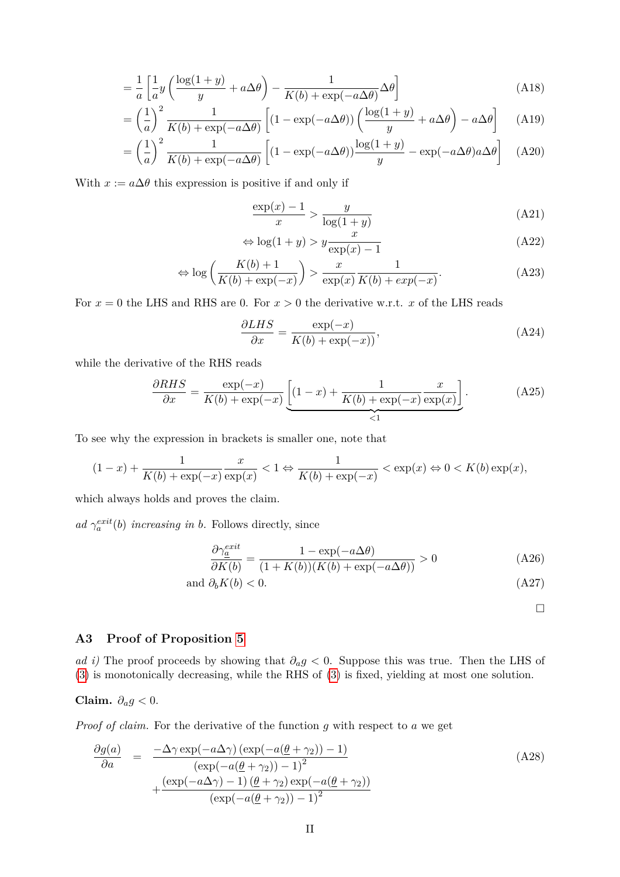$$
= \frac{1}{a} \left[ \frac{1}{a} y \left( \frac{\log(1+y)}{y} + a \Delta \theta \right) - \frac{1}{K(b) + \exp(-a \Delta \theta)} \Delta \theta \right]
$$
(A18)

$$
= \left(\frac{1}{a}\right)^2 \frac{1}{K(b) + \exp(-a\Delta\theta)} \left[ (1 - \exp(-a\Delta\theta)) \left( \frac{\log(1+y)}{y} + a\Delta\theta \right) - a\Delta\theta \right]
$$
 (A19)

$$
= \left(\frac{1}{a}\right)^2 \frac{1}{K(b) + \exp(-a\Delta\theta)} \left[ (1 - \exp(-a\Delta\theta)) \frac{\log(1+y)}{y} - \exp(-a\Delta\theta) a\Delta\theta \right] \tag{A20}
$$

With  $x := a\Delta\theta$  this expression is positive if and only if

$$
\frac{\exp(x) - 1}{x} > \frac{y}{\log(1 + y)}\tag{A21}
$$

$$
\Leftrightarrow \log(1+y) > y \frac{x}{\exp(x) - 1} \tag{A22}
$$

$$
\Leftrightarrow \log\left(\frac{K(b)+1}{K(b)+\exp(-x)}\right) > \frac{x}{\exp(x)}\frac{1}{K(b)+\exp(-x)}.\tag{A23}
$$

For  $x = 0$  the LHS and RHS are 0. For  $x > 0$  the derivative w.r.t. x of the LHS reads

$$
\frac{\partial LHS}{\partial x} = \frac{\exp(-x)}{K(b) + \exp(-x)},\tag{A24}
$$

while the derivative of the RHS reads

$$
\frac{\partial RHS}{\partial x} = \frac{\exp(-x)}{K(b) + \exp(-x)} \underbrace{\left[ (1-x) + \frac{1}{K(b) + \exp(-x)} \frac{x}{\exp(x)} \right]}_{\leq 1}.
$$
 (A25)

To see why the expression in brackets is smaller one, note that

$$
(1-x)+\frac{1}{K(b)+\exp(-x)}\frac{x}{\exp(x)} < 1 \Leftrightarrow \frac{1}{K(b)+\exp(-x)} < \exp(x) \Leftrightarrow 0 < K(b)\exp(x),
$$

which always holds and proves the claim.

*ad*  $\gamma_a^{exit}(b)$  *increasing in b.* Follows directly, since

$$
\frac{\partial \gamma_a^{exit}}{\partial K(b)} = \frac{1 - \exp(-a\Delta\theta)}{(1 + K(b))(K(b) + \exp(-a\Delta\theta))} > 0
$$
\n(A26)

and 
$$
\partial_b K(b) < 0.
$$
 (A27)

 $\Box$ 

# <span id="page-29-0"></span>**A3 Proof of Proposition [5](#page-12-1)**

*ad i)* The proof proceeds by showing that  $∂<sub>a</sub>g < 0$ . Suppose this was true. Then the LHS of [\(3\)](#page-10-2) is monotonically decreasing, while the RHS of [\(3\)](#page-10-2) is fixed, yielding at most one solution.

Claim. 
$$
\partial_a g < 0
$$
.

*Proof of claim.* For the derivative of the function *g* with respect to *a* we get

$$
\frac{\partial g(a)}{\partial a} = \frac{-\Delta \gamma \exp(-a\Delta \gamma) \left(\exp(-a(\underline{\theta} + \gamma_2)) - 1\right)}{\left(\exp(-a(\underline{\theta} + \gamma_2)) - 1\right)^2} + \frac{\left(\exp(-a\Delta \gamma) - 1\right)(\underline{\theta} + \gamma_2) \exp(-a(\underline{\theta} + \gamma_2))}{\left(\exp(-a(\underline{\theta} + \gamma_2)) - 1\right)^2}
$$
\n(A28)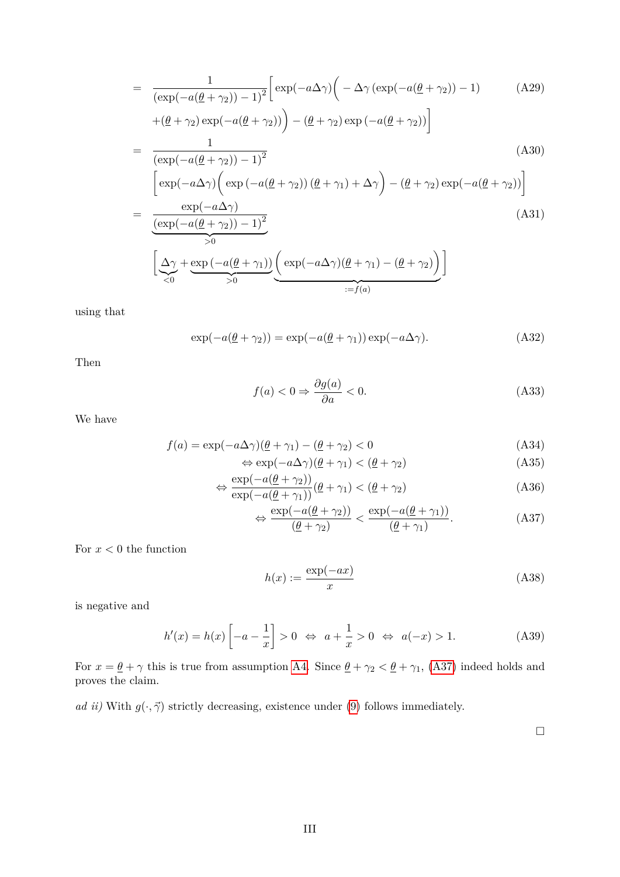$$
= \frac{1}{(\exp(-a(\underline{\theta} + \gamma_2)) - 1)^2} \left[ \exp(-a\Delta\gamma) \left( -\Delta\gamma (\exp(-a(\underline{\theta} + \gamma_2)) - 1) \right) \right] \tag{A29}
$$
  
+  $(\underline{\theta} + \gamma_2) \exp(-a(\underline{\theta} + \gamma_2)) \right) - (\underline{\theta} + \gamma_2) \exp(-a(\underline{\theta} + \gamma_2)) \Big]$   
=  $\frac{1}{(\exp(-a(\underline{\theta} + \gamma_2)) - 1)^2}$   

$$
\left[ \exp(-a\Delta\gamma) \left( \exp(-a(\underline{\theta} + \gamma_2)) (\underline{\theta} + \gamma_1) + \Delta\gamma \right) - (\underline{\theta} + \gamma_2) \exp(-a(\underline{\theta} + \gamma_2)) \right]
$$
  
=  $\frac{\exp(-a\Delta\gamma)}{\frac{(\exp(-a(\underline{\theta} + \gamma_2)) - 1)^2}{>0}}$   

$$
\left[ \Delta\gamma + \exp(-a(\underline{\theta} + \gamma_1)) \left( \exp(-a\Delta\gamma)(\underline{\theta} + \gamma_1) - (\underline{\theta} + \gamma_2) \right) \right]
$$
  
=  $f(a)$  (A31)

using that

$$
\exp(-a(\underline{\theta} + \gamma_2)) = \exp(-a(\underline{\theta} + \gamma_1))\exp(-a\Delta\gamma). \tag{A32}
$$

Then

$$
f(a) < 0 \Rightarrow \frac{\partial g(a)}{\partial a} < 0. \tag{A33}
$$

We have

$$
f(a) = \exp(-a\Delta\gamma)(\underline{\theta} + \gamma_1) - (\underline{\theta} + \gamma_2) < 0 \tag{A34}
$$

$$
\Leftrightarrow \exp(-a\Delta\gamma)(\underline{\theta} + \gamma_1) < (\underline{\theta} + \gamma_2) \tag{A35}
$$

$$
\Leftrightarrow \frac{\exp(-a(\underline{\theta} + \gamma_2))}{\exp(-a(\underline{\theta} + \gamma_1))} (\underline{\theta} + \gamma_1) < (\underline{\theta} + \gamma_2) \tag{A36}
$$

$$
\Leftrightarrow \frac{\exp(-a(\underline{\theta} + \gamma_2))}{(\underline{\theta} + \gamma_2)} < \frac{\exp(-a(\underline{\theta} + \gamma_1))}{(\underline{\theta} + \gamma_1)}.\tag{A37}
$$

For  $x < 0$  the function

$$
h(x) := \frac{\exp(-ax)}{x} \tag{A38}
$$

is negative and

$$
h'(x) = h(x) \left[ -a - \frac{1}{x} \right] > 0 \iff a + \frac{1}{x} > 0 \iff a(-x) > 1.
$$
 (A39)

For  $x = \underline{\theta} + \gamma$  this is true from assumption [A4.](#page-10-0) Since  $\underline{\theta} + \gamma_2 < \underline{\theta} + \gamma_1$ , [\(A37\)](#page-30-0) indeed holds and proves the claim.

*ad ii)* With  $g(\cdot, \vec{\gamma})$  strictly decreasing, existence under [\(9\)](#page-13-2) follows immediately.

<span id="page-30-0"></span> $\hfill \square$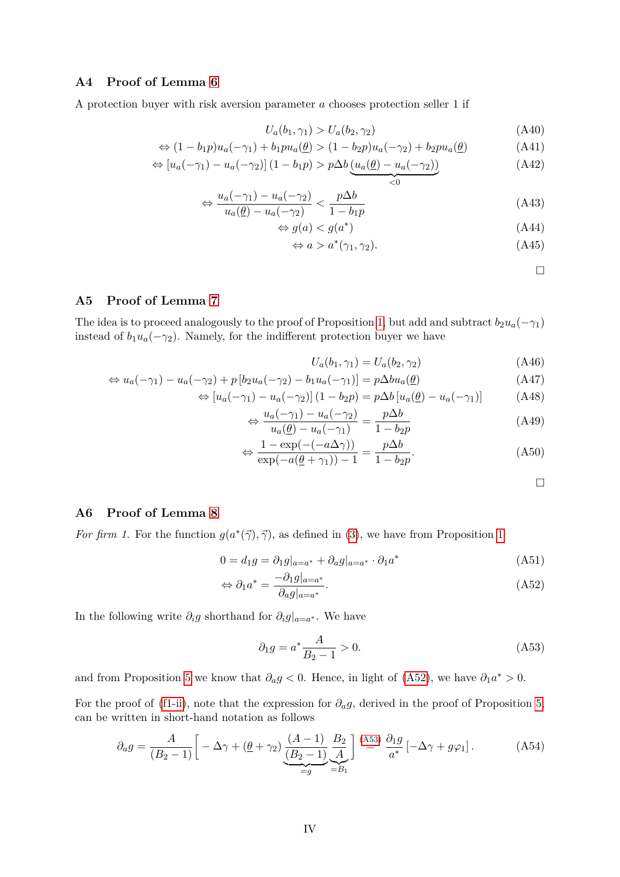# <span id="page-31-0"></span>**A4 Proof of Lemma [6](#page-13-0)**

A protection buyer with risk aversion parameter *a* chooses protection seller 1 if

$$
U_a(b_1, \gamma_1) > U_a(b_2, \gamma_2) \tag{A40}
$$

$$
\Leftrightarrow (1 - b_1 p)u_a(-\gamma_1) + b_1 p u_a(\underline{\theta}) > (1 - b_2 p)u_a(-\gamma_2) + b_2 p u_a(\underline{\theta}) \tag{A41}
$$

$$
\Leftrightarrow [u_a(-\gamma_1) - u_a(-\gamma_2)](1 - b_1p) > p\Delta b \underbrace{(u_a(\underline{\theta}) - u_a(-\gamma_2))}_{< 0} \tag{A42}
$$

$$
\Leftrightarrow \frac{u_a(-\gamma_1) - u_a(-\gamma_2)}{u_a(\underline{\theta}) - u_a(-\gamma_2)} < \frac{p\Delta b}{1 - b_1 p} \tag{A43}
$$

$$
\Leftrightarrow g(a) < g(a^*) \tag{A44}
$$

$$
\Leftrightarrow a > a^*(\gamma_1, \gamma_2). \tag{A45}
$$

 $\Box$ 

# <span id="page-31-1"></span>**A5 Proof of Lemma [7](#page-14-4)**

The idea is to proceed analogously to the proof of Proposition [1,](#page-10-4) but add and subtract  $b_2u_a(-\gamma_1)$ instead of  $b_1u_a(-\gamma_2)$ . Namely, for the indifferent protection buyer we have

$$
U_a(b_1, \gamma_1) = U_a(b_2, \gamma_2) \tag{A46}
$$

$$
\Leftrightarrow u_a(-\gamma_1) - u_a(-\gamma_2) + p \left[b_2 u_a(-\gamma_2) - b_1 u_a(-\gamma_1)\right] = p \Delta b u_a(\underline{\theta}) \tag{A47}
$$

$$
\Leftrightarrow [u_a(-\gamma_1) - u_a(-\gamma_2)](1 - b_2p) = p\Delta b [u_a(\underline{\theta}) - u_a(-\gamma_1)] \tag{A48}
$$

$$
\Leftrightarrow \frac{u_a(-\gamma_1) - u_a(-\gamma_2)}{u_a(\underline{\theta}) - u_a(-\gamma_1)} = \frac{p\Delta b}{1 - b_2 p} \tag{A49}
$$

$$
\Leftrightarrow \frac{1 - \exp(-( -a\Delta\gamma))}{\exp(-a(\underline{\theta} + \gamma_1)) - 1} = \frac{p\Delta b}{1 - b_2 p}.
$$
\n(A50)

<span id="page-31-5"></span><span id="page-31-4"></span><span id="page-31-3"></span> $\Box$ 

# <span id="page-31-2"></span>**A6 Proof of Lemma [8](#page-15-2)**

*For firm [1](#page-10-4).* For the function  $g(a^*(\vec{\gamma}), \vec{\gamma})$ , as defined in [\(3\)](#page-10-2), we have from Proposition 1

$$
0 = d_1 g = \partial_1 g|_{a=a^*} + \partial_a g|_{a=a^*} \cdot \partial_1 a^* \tag{A51}
$$

$$
\Leftrightarrow \partial_1 a^* = \frac{-\partial_1 g|_{a=a^*}}{\partial_a g|_{a=a^*}}.\tag{A52}
$$

In the following write  $\partial_i g$  shorthand for  $\partial_i g|_{a=a^*}$ . We have

$$
\partial_1 g = a^* \frac{A}{B_2 - 1} > 0. \tag{A53}
$$

and from Proposition [5](#page-12-1) we know that  $\partial_a g < 0$ . Hence, in light of [\(A52\)](#page-31-3), we have  $\partial_1 a^* > 0$ .

For the proof of [\(f1-ii\)](#page-15-3), note that the expression for  $\partial_a g$ , derived in the proof of Proposition [5,](#page-12-1) can be written in short-hand notation as follows

$$
\partial_a g = \frac{A}{(B_2 - 1)} \left[ -\Delta \gamma + (\underline{\theta} + \gamma_2) \underbrace{\frac{(A - 1)}{(B_2 - 1)}}_{=g} \underbrace{\frac{B_2}{A}}_{=B_1} \right] \stackrel{\text{(A53)}}{=} \frac{\partial_1 g}{a^*} \left[ -\Delta \gamma + g \varphi_1 \right]. \tag{A54}
$$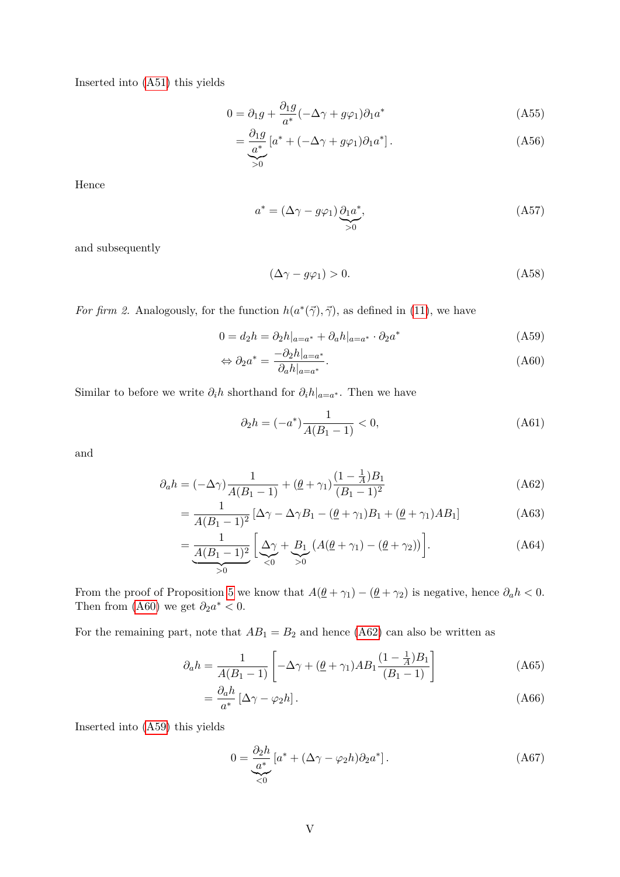Inserted into [\(A51\)](#page-31-5) this yields

$$
0 = \partial_1 g + \frac{\partial_1 g}{a^*} (-\Delta \gamma + g\varphi_1) \partial_1 a^* \tag{A55}
$$

$$
=\underbrace{\frac{\partial_1 g}{a^*}}_{>0}[a^* + (-\Delta \gamma + g\varphi_1)\partial_1 a^*].
$$
\n(A56)

Hence

$$
a^* = (\Delta \gamma - g\varphi_1) \underbrace{\partial_1 a^*}_{>0},\tag{A57}
$$

and subsequently

<span id="page-32-2"></span><span id="page-32-0"></span>
$$
(\Delta \gamma - g\varphi_1) > 0. \tag{A58}
$$

*For firm 2.* Analogously, for the function  $h(a^*(\vec{\gamma}), \vec{\gamma})$ , as defined in [\(11\)](#page-14-3), we have

$$
0 = d_2 h = \partial_2 h|_{a=a^*} + \partial_a h|_{a=a^*} \cdot \partial_2 a^* \tag{A59}
$$

$$
\Leftrightarrow \partial_2 a^* = \frac{-\partial_2 h|_{a=a^*}}{\partial_a h|_{a=a^*}}.
$$
\n(A60)

Similar to before we write  $\partial_i h$  shorthand for  $\partial_i h|_{a=a^*}$ . Then we have

<span id="page-32-1"></span>
$$
\partial_2 h = (-a^*) \frac{1}{A(B_1 - 1)} < 0,\tag{A61}
$$

and

$$
\partial_a h = (-\Delta \gamma) \frac{1}{A(B_1 - 1)} + (\underline{\theta} + \gamma_1) \frac{(1 - \frac{1}{A})B_1}{(B_1 - 1)^2}
$$
(A62)

$$
= \frac{1}{A(B_1 - 1)^2} \left[ \Delta \gamma - \Delta \gamma B_1 - (\underline{\theta} + \gamma_1) B_1 + (\underline{\theta} + \gamma_1) A B_1 \right]
$$
(A63)

$$
=\underbrace{\frac{1}{A(B_1-1)^2}\left[\underbrace{\Delta\gamma}_{<0}+\underbrace{B_1}_{>0}\left(A(\underline{\theta}+\gamma_1)-(\underline{\theta}+\gamma_2)\right)\right]}_{(A64)}.
$$

From the proof of Proposition [5](#page-12-1) we know that  $A(\underline{\theta} + \gamma_1) - (\underline{\theta} + \gamma_2)$  is negative, hence  $\partial_a h < 0$ . Then from [\(A60\)](#page-32-0) we get  $\partial_2 a^* < 0$ .

For the remaining part, note that  $AB_1 = B_2$  and hence [\(A62\)](#page-32-1) can also be written as

$$
\partial_a h = \frac{1}{A(B_1 - 1)} \left[ -\Delta \gamma + (\underline{\theta} + \gamma_1) AB_1 \frac{(1 - \frac{1}{A})B_1}{(B_1 - 1)} \right]
$$
(A65)

$$
=\frac{\partial_a h}{a^*} \left[\Delta \gamma - \varphi_2 h\right].\tag{A66}
$$

Inserted into [\(A59\)](#page-32-2) this yields

$$
0 = \underbrace{\frac{\partial_2 h}{a^*}}_{\leq 0} \left[ a^* + (\Delta \gamma - \varphi_2 h) \partial_2 a^* \right]. \tag{A67}
$$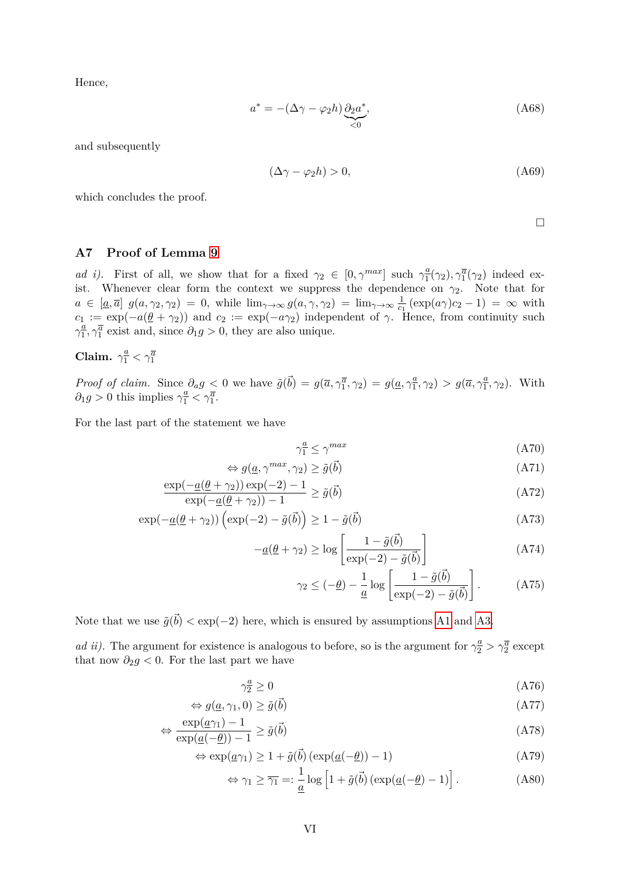Hence,

$$
a^* = -(\Delta \gamma - \varphi_2 h) \underbrace{\partial_2 a^*}_{\leq 0},\tag{A68}
$$

and subsequently

$$
(\Delta \gamma - \varphi_2 h) > 0,\tag{A69}
$$

which concludes the proof.

 $\Box$ 

# <span id="page-33-0"></span>**A7 Proof of Lemma [9](#page-1-0)**

*ad i)*. First of all, we show that for a fixed  $\gamma_2 \in [0, \gamma^{max}]$  such  $\gamma_1^a$  $\frac{a}{1}(\gamma_2), \gamma_1^{\overline{a}}(\gamma_2)$  indeed exist. Whenever clear form the context we suppress the dependence on  $\gamma_2$ . Note that for  $a \in [\underline{a}, \overline{a}]$   $g(a, \gamma_2, \gamma_2) = 0$ , while  $\lim_{\gamma \to \infty} g(a, \gamma, \gamma_2) = \lim_{\gamma \to \infty} \frac{1}{c_1}$  $\frac{1}{c_1}$  (exp( $a\gamma$ ) $c_2$  – 1) = ∞ with  $c_1 := \exp(-a(\underline{\theta} + \gamma_2))$  and  $c_2 := \exp(-a\gamma_2)$  independent of  $\gamma$ . Hence, from continuity such  $\gamma_1^{\underline{a}}$  $\frac{a}{1}$ ,  $\gamma_1^{\overline{a}}$  exist and, since  $\partial_1 g > 0$ , they are also unique.

**Claim.**  $\gamma_1^{\underline{a}} < \gamma_1^{\overline{a}}$ 

*Proof of claim.* Since  $\partial_a g < 0$  we have  $\tilde{g}(\vec{b}) = g(\overline{a}, \gamma_1^{\overline{a}}, \gamma_2) = g(\underline{a}, \gamma_1^{\overline{a}})$  $\left(\frac{a}{1}, \gamma_2\right) > g(\overline{a}, \gamma_1^{\underline{a}})$  $(\frac{a}{1}, \gamma_2)$ . With  $\partial_1 g > 0$  this implies  $\gamma_1^{\underline{a}} < \gamma_1^{\overline{a}}$ .

For the last part of the statement we have

$$
\gamma_1^a \le \gamma^{max} \tag{A70}
$$

$$
\Leftrightarrow g(\underline{a}, \gamma^{max}, \gamma_2) \ge \tilde{g}(\vec{b}) \tag{A71}
$$

$$
\frac{\exp(-\underline{a}(\underline{\theta} + \gamma_2))\exp(-2) - 1}{\exp(-\underline{a}(\underline{\theta} + \gamma_2)) - 1} \ge \tilde{g}(\vec{b})
$$
\n(A72)

$$
\exp(-\underline{a}(\underline{\theta} + \gamma_2))\left(\exp(-2) - \tilde{g}(\vec{b})\right) \ge 1 - \tilde{g}(\vec{b})\tag{A73}
$$

$$
-\underline{a}(\underline{\theta} + \gamma_2) \ge \log \left[ \frac{1 - \tilde{g}(\vec{b})}{\exp(-2) - \tilde{g}(\vec{b})} \right]
$$
(A74)

$$
\gamma_2 \leq (-\underline{\theta}) - \frac{1}{\underline{a}} \log \left[ \frac{1 - \tilde{g}(\vec{b})}{\exp(-2) - \tilde{g}(\vec{b})} \right].
$$
 (A75)

Note that we use  $\tilde{g}(\vec{b}) < \exp(-2)$  here, which is ensured by assumptions [A1](#page-9-2) and [A3.](#page-10-3)

*ad ii)*. The argument for existence is analogous to before, so is the argument for  $\gamma_2^a > \gamma_2^{\overline{a}}$  except that now  $\partial_2 g < 0$ . For the last part we have

$$
\gamma_2^a \ge 0 \tag{A76}
$$

$$
\Leftrightarrow g(\underline{a}, \gamma_1, 0) \ge \tilde{g}(\vec{b}) \tag{A77}
$$

$$
\Leftrightarrow \frac{\exp(a\gamma_1) - 1}{\exp(a(-\underline{\theta})) - 1} \ge \tilde{g}(\vec{b})
$$
\n(A78)

$$
\Leftrightarrow \exp(\underline{a}\gamma_1) \ge 1 + \tilde{g}(\vec{b})\left(\exp(\underline{a}(-\underline{\theta})) - 1\right) \tag{A79}
$$

$$
\Leftrightarrow \gamma_1 \ge \overline{\gamma_1} =: \frac{1}{\underline{a}} \log \left[ 1 + \tilde{g}(\vec{b}) \left( \exp(\underline{a}(-\underline{\theta}) - 1) \right) \right]. \tag{A80}
$$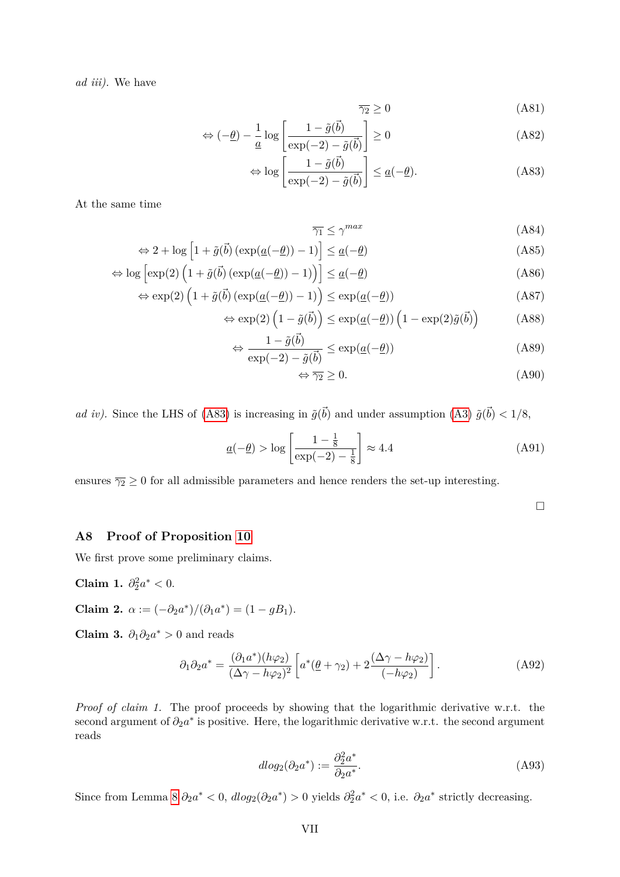*ad iii).* We have

<span id="page-34-1"></span>
$$
\overline{\gamma_2} \ge 0 \tag{A81}
$$

$$
\Leftrightarrow (-\underline{\theta}) - \frac{1}{\underline{a}} \log \left[ \frac{1 - \tilde{g}(\vec{b})}{\exp(-2) - \tilde{g}(\vec{b})} \right] \ge 0 \tag{A82}
$$

$$
\Leftrightarrow \log \left[ \frac{1 - \tilde{g}(\vec{b})}{\exp(-2) - \tilde{g}(\vec{b})} \right] \le \underline{a}(-\underline{\theta}). \tag{A83}
$$

At the same time

$$
\leq \gamma^{max} \tag{A84}
$$

$$
\Leftrightarrow 2 + \log \left[ 1 + \tilde{g}(\vec{b}) \left( \exp(\underline{a}(-\underline{\theta})) - 1 \right) \right] \le \underline{a}(-\underline{\theta}) \tag{A85}
$$

 $\overline{\gamma_1}$ 

$$
\Leftrightarrow \log \left[ \exp(2) \left( 1 + \tilde{g}(\vec{b}) \left( \exp(\underline{a}(-\underline{\theta})) - 1 \right) \right) \right] \le \underline{a}(-\underline{\theta}) \tag{A86}
$$

$$
\Leftrightarrow \exp(2)\left(1+\tilde{g}(\vec{b})\left(\exp(\underline{a}(-\underline{\theta}))-1\right)\right) \le \exp(\underline{a}(-\underline{\theta}))\tag{A87}
$$

$$
\Leftrightarrow \exp(2)\left(1 - \tilde{g}(\vec{b})\right) \le \exp(\underline{a}(-\underline{\theta}))\left(1 - \exp(2)\tilde{g}(\vec{b})\right) \tag{A88}
$$

$$
\Leftrightarrow \frac{1 - \tilde{g}(\vec{b})}{\exp(-2) - \tilde{g}(\vec{b})} \le \exp(\underline{a}(-\underline{\theta}))
$$
\n(A89)

$$
\Leftrightarrow \overline{\gamma_2} \ge 0. \tag{A90}
$$

*ad iv*). Since the LHS of [\(A83\)](#page-34-1) is increasing in  $\tilde{g}(\vec{b})$  and under assumption [\(A3\)](#page-10-3)  $\tilde{g}(\vec{b}) < 1/8$ ,

$$
\underline{a}(-\underline{\theta}) > \log \left[ \frac{1 - \frac{1}{8}}{\exp(-2) - \frac{1}{8}} \right] \approx 4.4 \tag{A91}
$$

ensures  $\overline{\gamma_2} \ge 0$  for all admissible parameters and hence renders the set-up interesting.

 $\Box$ 

#### <span id="page-34-0"></span>**A8 Proof of Proposition [10](#page-17-0)**

We first prove some preliminary claims.

**Claim 1.**  $\partial_2^2 a^* < 0$ .

**Claim 2.**  $\alpha := (-\partial_2 a^*)/(\partial_1 a^*) = (1 - gB_1).$ 

**Claim 3.**  $\partial_1 \partial_2 a^* > 0$  and reads

$$
\partial_1 \partial_2 a^* = \frac{(\partial_1 a^*)(h\varphi_2)}{(\Delta \gamma - h\varphi_2)^2} \left[ a^*(\underline{\theta} + \gamma_2) + 2 \frac{(\Delta \gamma - h\varphi_2)}{(-h\varphi_2)} \right]. \tag{A92}
$$

*Proof of claim 1.* The proof proceeds by showing that the logarithmic derivative w.r.t. the second argument of  $\partial_2 a^*$  is positive. Here, the logarithmic derivative w.r.t. the second argument reads

$$
d\log_2(\partial_2 a^*) := \frac{\partial_2^2 a^*}{\partial_2 a^*}.
$$
\n(A93)

Since from Lemma [8](#page-15-2)  $\partial_2 a^* < 0$ ,  $d \log_2(\partial_2 a^*) > 0$  yields  $\partial_2^2 a^* < 0$ , i.e.  $\partial_2 a^*$  strictly decreasing.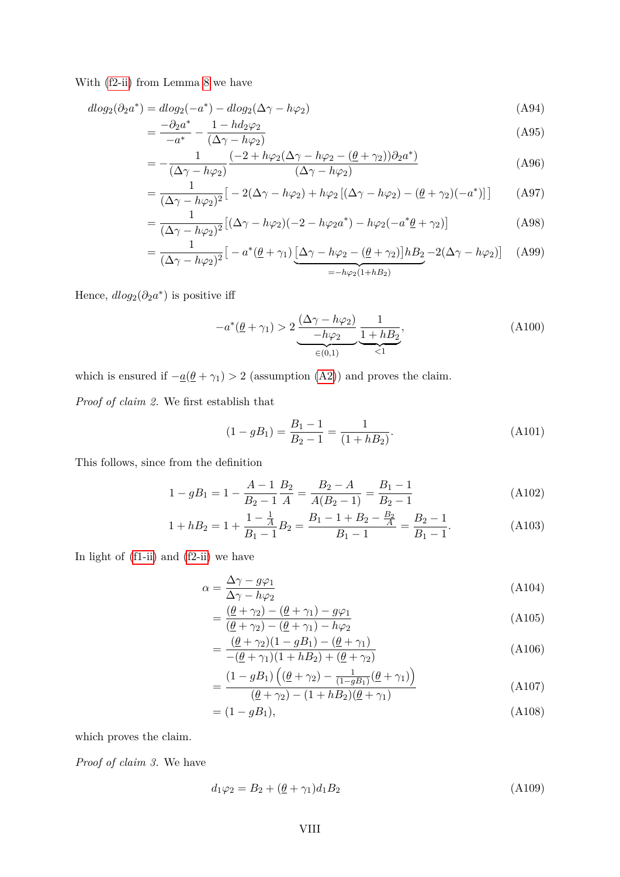With [\(f2-ii\)](#page-15-4) from Lemma [8](#page-15-2) we have

$$
dlog_2(\partial_2 a^*) = dlog_2(-a^*) - dlog_2(\Delta \gamma - h\varphi_2)
$$
\n(A94)

$$
=\frac{-\partial_2 a^*}{-a^*} - \frac{1 - hd_2 \varphi_2}{(\Delta \gamma - h \varphi_2)}\tag{A95}
$$

$$
= -\frac{1}{(\Delta\gamma - h\varphi_2)} \frac{(-2 + h\varphi_2(\Delta\gamma - h\varphi_2 - (\underline{\theta} + \gamma_2))\partial_2 a^*)}{(\Delta\gamma - h\varphi_2)}
$$
(A96)

$$
= \frac{1}{(\Delta\gamma - h\varphi_2)^2} \big[ -2(\Delta\gamma - h\varphi_2) + h\varphi_2 \left[ (\Delta\gamma - h\varphi_2) - (\underline{\theta} + \gamma_2)(-a^*) \right] \big] \tag{A97}
$$

$$
= \frac{1}{(\Delta\gamma - h\varphi_2)^2} \left[ (\Delta\gamma - h\varphi_2)(-2 - h\varphi_2 a^*) - h\varphi_2(-a^* \underline{\theta} + \gamma_2) \right]
$$
(A98)

$$
= \frac{1}{(\Delta\gamma - h\varphi_2)^2} \left[ -a^* \left(\underline{\theta} + \gamma_1\right) \underbrace{\left[\Delta\gamma - h\varphi_2 - \left(\underline{\theta} + \gamma_2\right)\right] h B_2}_{=-h\varphi_2(1+hB_2)} - 2(\Delta\gamma - h\varphi_2) \right] \tag{A99}
$$

Hence,  $dlog_2(\partial_2 a^*)$  is positive iff

$$
-a^*(\underline{\theta} + \gamma_1) > 2 \underbrace{\frac{(\Delta \gamma - h\varphi_2)}{-h\varphi_2}}_{\in (0,1)} \underbrace{\frac{1}{1 + hB_2}}_{\leq 1},
$$
\n(A100)

which is ensured if  $-\underline{a}(\underline{\theta} + \gamma_1) > 2$  (assumption [\(A2\)](#page-9-1)) and proves the claim.

*Proof of claim 2.* We first establish that

$$
(1 - gB_1) = \frac{B_1 - 1}{B_2 - 1} = \frac{1}{(1 + hB_2)}.
$$
\n(A101)

This follows, since from the definition

$$
1 - gB_1 = 1 - \frac{A - 1}{B_2 - 1} \frac{B_2}{A} = \frac{B_2 - A}{A(B_2 - 1)} = \frac{B_1 - 1}{B_2 - 1}
$$
(A102)

$$
1 + hB_2 = 1 + \frac{1 - \frac{1}{A}}{B_1 - 1}B_2 = \frac{B_1 - 1 + B_2 - \frac{B_2}{A}}{B_1 - 1} = \frac{B_2 - 1}{B_1 - 1}.
$$
 (A103)

In light of [\(f1-ii\)](#page-15-3) and [\(f2-ii\)](#page-15-4) we have

$$
\alpha = \frac{\Delta \gamma - g\varphi_1}{\Delta \gamma - h\varphi_2} \tag{A104}
$$

<span id="page-35-0"></span>
$$
=\frac{(\underline{\theta} + \gamma_2) - (\underline{\theta} + \gamma_1) - g\varphi_1}{(\underline{\theta} + \gamma_2) - (\underline{\theta} + \gamma_1) - h\varphi_2}
$$
\n(A105)

$$
= \frac{(\underline{\theta} + \gamma_2)(1 - gB_1) - (\underline{\theta} + \gamma_1)}{-(\underline{\theta} + \gamma_1)(1 + hB_2) + (\underline{\theta} + \gamma_2)}
$$
(A106)

$$
= \frac{(1 - gB_1) \left( (\underline{\theta} + \gamma_2) - \frac{1}{(1 - gB_1)} (\underline{\theta} + \gamma_1) \right)}{(\underline{\theta} + \gamma_2) - (1 + hB_2)(\underline{\theta} + \gamma_1)}
$$
(A107)

$$
= (1 - gB_1), \t(A108)
$$

which proves the claim.

*Proof of claim 3.* We have

$$
d_1\varphi_2 = B_2 + (\underline{\theta} + \gamma_1)d_1B_2 \tag{A109}
$$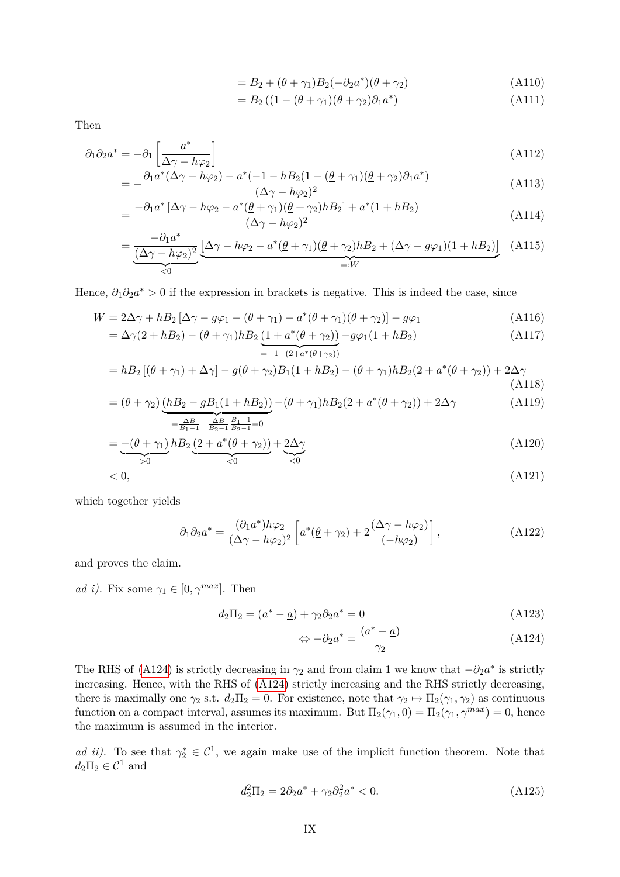$$
= B_2 + (\underline{\theta} + \gamma_1)B_2(-\partial_2 a^*)(\underline{\theta} + \gamma_2)
$$
\n(A110)

$$
=B_2\left((1-(\underline{\theta}+\gamma_1)(\underline{\theta}+\gamma_2)\partial_1 a^*\right)\tag{A111}
$$

Then

$$
\partial_1 \partial_2 a^* = -\partial_1 \left[ \frac{a^*}{\Delta \gamma - h \varphi_2} \right] \tag{A112}
$$

$$
= -\frac{\partial_1 a^* (\Delta \gamma - h\varphi_2) - a^* (-1 - hB_2 (1 - (\theta + \gamma_1)(\theta + \gamma_2)\partial_1 a^*)}{(\Delta \gamma - h\varphi_2)^2}
$$
(A113)

$$
=\frac{-\partial_1 a^* \left[\Delta \gamma - h\varphi_2 - a^* (\underline{\theta} + \gamma_1)(\underline{\theta} + \gamma_2) h B_2\right] + a^* (1 + h B_2)}{(\Delta \gamma - h\varphi_2)^2}
$$
(A114)

$$
=\underbrace{\frac{-\partial_1 a^*}{(\Delta \gamma - h\varphi_2)^2}}_{<0} \underbrace{[\Delta \gamma - h\varphi_2 - a^*(\underline{\theta} + \gamma_1)(\underline{\theta} + \gamma_2)hB_2 + (\Delta \gamma - g\varphi_1)(1 + hB_2)]}_{=:W} \quad (A115)
$$

Hence,  $\partial_1 \partial_2 a^* > 0$  if the expression in brackets is negative. This is indeed the case, since

$$
W = 2\Delta\gamma + hB_2\left[\Delta\gamma - g\varphi_1 - \left(\underline{\theta} + \gamma_1\right) - a^*(\underline{\theta} + \gamma_1)(\underline{\theta} + \gamma_2)\right] - g\varphi_1\tag{A116}
$$

$$
= \Delta\alpha(2 + hB_2) - (\theta + \alpha_1)hB_2\left(1 + a^*(\theta + \alpha_2)\right) - g\varphi_1\left(1 + hB_2\right)\tag{A117}
$$

$$
= \Delta\gamma(2+hB_2) - (\underline{\theta} + \gamma_1)hB_2 \underbrace{(1 + a^*(\underline{\theta} + \gamma_2))}_{=-1 + (2 + a^*(\underline{\theta} + \gamma_2))} - g\varphi_1(1 + hB_2)
$$
\n(A117)

$$
= hB_2 [(\underline{\theta} + \gamma_1) + \Delta \gamma] - g(\underline{\theta} + \gamma_2)B_1(1 + hB_2) - (\underline{\theta} + \gamma_1)hB_2(2 + a^*(\underline{\theta} + \gamma_2)) + 2\Delta \gamma
$$
\n(A118)

$$
= (\underline{\theta} + \gamma_2) \underbrace{(hB_2 - gB_1(1 + hB_2))}_{=\frac{\Delta B}{B_1 - 1} - \frac{\Delta B}{B_2 - 1} \frac{B_1 - 1}{B_2 - 1} = 0} - (\underline{\theta} + \gamma_1)hB_2(2 + a^*(\underline{\theta} + \gamma_2)) + 2\Delta\gamma
$$
\n(A119)

$$
= \underbrace{-(\underline{\theta} + \gamma_1)}_{>0} h B_2 \underbrace{(2 + a^*(\underline{\theta} + \gamma_2))}_{<0} + \underbrace{2\Delta\gamma}_{<0}
$$
(A120)

$$
\langle A121 \rangle \tag{A121}
$$

which together yields

$$
\partial_1 \partial_2 a^* = \frac{(\partial_1 a^*) h \varphi_2}{(\Delta \gamma - h \varphi_2)^2} \left[ a^* (\underline{\theta} + \gamma_2) + 2 \frac{(\Delta \gamma - h \varphi_2)}{(-h \varphi_2)} \right], \tag{A122}
$$

and proves the claim.

*ad i)*. Fix some  $\gamma_1 \in [0, \gamma^{max}]$ . Then

$$
d_2\Pi_2 = (a^* - \underline{a}) + \gamma_2 \partial_2 a^* = 0 \tag{A123}
$$

<span id="page-36-0"></span>
$$
\Leftrightarrow -\partial_2 a^* = \frac{(a^* - \underline{a})}{\gamma_2} \tag{A124}
$$

The RHS of [\(A124\)](#page-36-0) is strictly decreasing in  $\gamma_2$  and from claim 1 we know that  $-\partial_2 a^*$  is strictly increasing. Hence, with the RHS of [\(A124\)](#page-36-0) strictly increasing and the RHS strictly decreasing, there is maximally one  $\gamma_2$  s.t.  $d_2\Pi_2 = 0$ . For existence, note that  $\gamma_2 \mapsto \Pi_2(\gamma_1, \gamma_2)$  as continuous function on a compact interval, assumes its maximum. But  $\Pi_2(\gamma_1, 0) = \Pi_2(\gamma_1, \gamma^{max}) = 0$ , hence the maximum is assumed in the interior.

*ad ii)*. To see that  $\gamma_2^* \in C^1$ , we again make use of the implicit function theorem. Note that  $d_2\Pi_2 \in \mathcal{C}^1$  and

$$
d_2^2 \Pi_2 = 2\partial_2 a^* + \gamma_2 \partial_2^2 a^* < 0. \tag{A125}
$$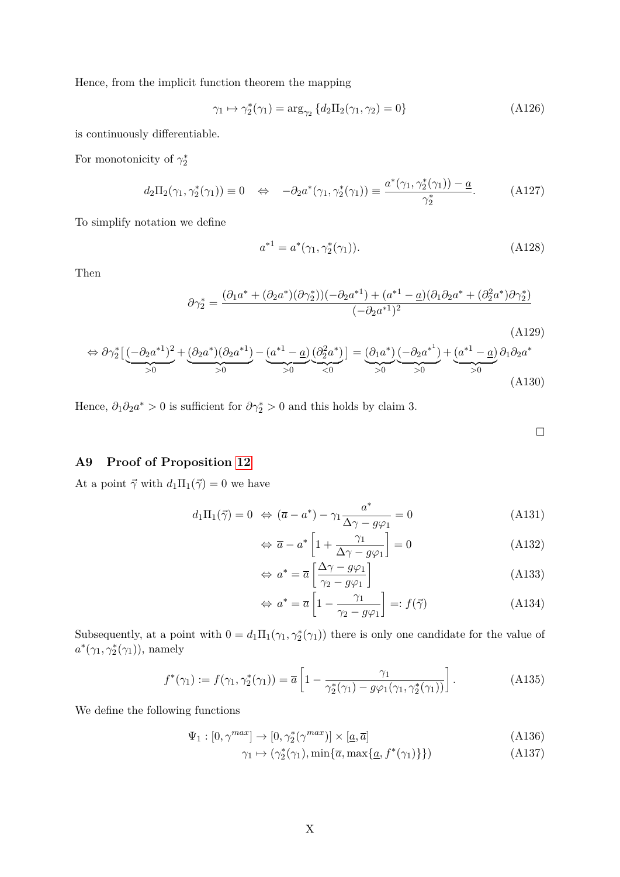Hence, from the implicit function theorem the mapping

$$
\gamma_1 \mapsto \gamma_2^*(\gamma_1) = \arg_{\gamma_2} \{d_2 \Pi_2(\gamma_1, \gamma_2) = 0\}
$$
\n(A126)

is continuously differentiable.

For monotonicity of  $\gamma_2^*$ 

$$
d_2\Pi_2(\gamma_1, \gamma_2^*(\gamma_1)) \equiv 0 \quad \Leftrightarrow \quad -\partial_2 a^*(\gamma_1, \gamma_2^*(\gamma_1)) \equiv \frac{a^*(\gamma_1, \gamma_2^*(\gamma_1)) - \underline{a}}{\gamma_2^*}.
$$
 (A127)

To simplify notation we define

$$
a^{*1} = a^*(\gamma_1, \gamma_2^*(\gamma_1)).
$$
\n(A128)

Then

$$
\partial \gamma_2^* = \frac{(\partial_1 a^* + (\partial_2 a^*)(\partial \gamma_2^*)) (-\partial_2 a^{*1}) + (a^{*1} - \underline{a})(\partial_1 \partial_2 a^* + (\partial_2^2 a^*) \partial \gamma_2^*)}{(-\partial_2 a^{*1})^2}
$$

$$
\Leftrightarrow \partial \gamma_2^* \left[ \underbrace{(-\partial_2 a^{*1})^2}_{>0} + \underbrace{(\partial_2 a^*) (\partial_2 a^{*1})}_{>0} - \underbrace{(a^{*1} - a)}_{>0} \underbrace{(\partial_2^2 a^*)}_{<0} \right] = \underbrace{(\partial_1 a^*)}_{>0} \underbrace{(-\partial_2 a^{*1})}_{>0} + \underbrace{(a^{*1} - a)}_{>0} \partial_1 \partial_2 a^*
$$
\n(A130)

Hence,  $\partial_1 \partial_2 a^* > 0$  is sufficient for  $\partial \gamma_2^* > 0$  and this holds by claim 3.

<span id="page-37-3"></span><span id="page-37-2"></span> $\Box$ 

(A129)

# <span id="page-37-0"></span>**A9 Proof of Proposition [12](#page-19-0)**

At a point  $\vec{\gamma}$  with  $d_1\Pi_1(\vec{\gamma}) = 0$  we have

$$
d_1\Pi_1(\vec{\gamma}) = 0 \iff (\overline{a} - a^*) - \gamma_1 \frac{a^*}{\Delta \gamma - g\varphi_1} = 0 \tag{A131}
$$

$$
\Leftrightarrow \overline{a} - a^* \left[ 1 + \frac{\gamma_1}{\Delta \gamma - g \varphi_1} \right] = 0 \tag{A132}
$$

$$
\Leftrightarrow a^* = \overline{a} \left[ \frac{\Delta \gamma - g \varphi_1}{\gamma_2 - g \varphi_1} \right]
$$
\n(A133)

<span id="page-37-1"></span>
$$
\Leftrightarrow a^* = \overline{a} \left[ 1 - \frac{\gamma_1}{\gamma_2 - g \varphi_1} \right] =: f(\vec{\gamma})
$$
\n(A134)

Subsequently, at a point with  $0 = d_1 \Pi_1(\gamma_1, \gamma_2^*(\gamma_1))$  there is only one candidate for the value of  $a^*(\gamma_1, \gamma_2^*(\gamma_1))$ , namely

$$
f^*(\gamma_1) := f(\gamma_1, \gamma_2^*(\gamma_1)) = \overline{a} \left[ 1 - \frac{\gamma_1}{\gamma_2^*(\gamma_1) - g\varphi_1(\gamma_1, \gamma_2^*(\gamma_1))} \right].
$$
 (A135)

We define the following functions

$$
\Psi_1: [0, \gamma^{max}] \to [0, \gamma_2^*(\gamma^{max})] \times [\underline{a}, \overline{a}]
$$
\n(A136)

$$
\gamma_1 \mapsto (\gamma_2^*(\gamma_1), \min\{\overline{a}, \max\{\underline{a}, f^*(\gamma_1)\}\})
$$
\n(A137)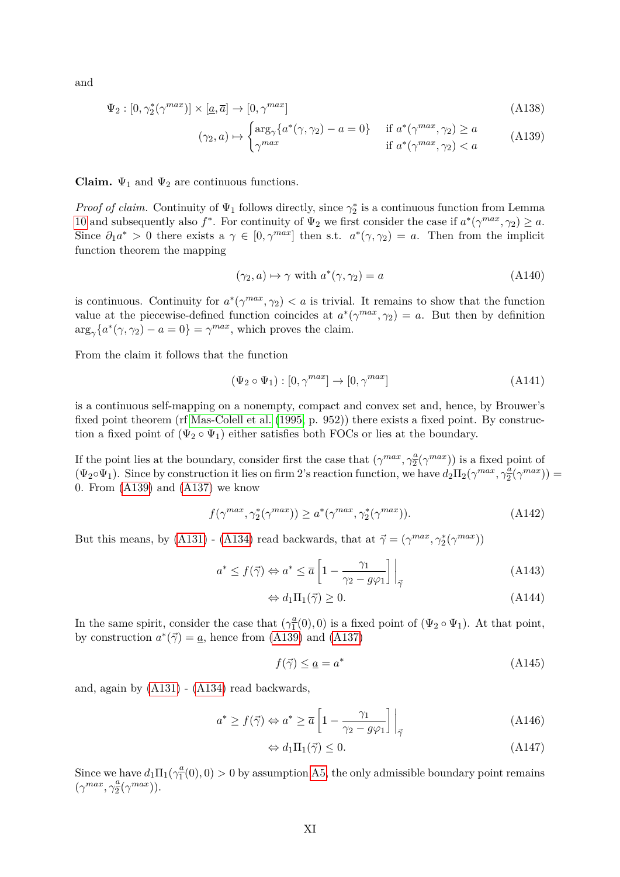and

$$
\Psi_2 : [0, \gamma_2^*(\gamma^{max})] \times [\underline{a}, \overline{a}] \to [0, \gamma^{max}]
$$
\n(A138)

$$
(\gamma_2, a) \mapsto \begin{cases} \arg_\gamma \{ a^*(\gamma, \gamma_2) - a = 0 \} & \text{if } a^*(\gamma^{max}, \gamma_2) \ge a \\ \gamma^{max} & \text{if } a^*(\gamma^{max}, \gamma_2) < a \end{cases} \tag{A139}
$$

**Claim.**  $\Psi_1$  and  $\Psi_2$  are continuous functions.

*Proof of claim.* Continuity of  $\Psi_1$  follows directly, since  $\gamma_2^*$  is a continuous function from Lemma [10](#page-17-0) and subsequently also  $f^*$ . For continuity of  $\Psi_2$  we first consider the case if  $a^*(\gamma^{max}, \gamma_2) \ge a$ . Since  $\partial_1 a^* > 0$  there exists a  $\gamma \in [0, \gamma^{max}]$  then s.t.  $a^*(\gamma, \gamma_2) = a$ . Then from the implicit function theorem the mapping

<span id="page-38-0"></span>
$$
(\gamma_2, a) \mapsto \gamma \text{ with } a^*(\gamma, \gamma_2) = a \tag{A140}
$$

is continuous. Continuity for  $a^*(\gamma^{max}, \gamma_2) < a$  is trivial. It remains to show that the function value at the piecewise-defined function coincides at  $a^*(\gamma^{max}, \gamma_2) = a$ . But then by definition  $\arg_{\gamma} \{a^*(\gamma, \gamma_2) - a = 0\} = \gamma^{max}$ , which proves the claim.

From the claim it follows that the function

$$
(\Psi_2 \circ \Psi_1) : [0, \gamma^{max}] \to [0, \gamma^{max}]
$$
\n(A141)

is a continuous self-mapping on a nonempty, compact and convex set and, hence, by Brouwer's fixed point theorem (rf [Mas-Colell et al.](#page-27-14) [\(1995,](#page-27-14) p. 952)) there exists a fixed point. By construction a fixed point of  $(\Psi_2 \circ \Psi_1)$  either satisfies both FOCs or lies at the boundary.

If the point lies at the boundary, consider first the case that  $(\gamma^{max}, \gamma_2^a)$  $\frac{a}{2}(\gamma^{max})$ ) is a fixed point of  $(\Psi_2 \circ \Psi_1)$ . Since by construction it lies on firm 2's reaction function, we have  $d_2 \Pi_2(\gamma^{max}, \gamma_2^2)$  $\frac{a}{2}(\gamma^{max})$ ) = 0. From [\(A139\)](#page-38-0) and [\(A137\)](#page-37-1) we know

$$
f(\gamma^{max}, \gamma_2^*(\gamma^{max})) \ge a^*(\gamma^{max}, \gamma_2^*(\gamma^{max})).
$$
\n(A142)

But this means, by [\(A131\)](#page-37-2) - [\(A134\)](#page-37-3) read backwards, that at  $\vec{\gamma} = (\gamma^{max}, \gamma_2^*(\gamma^{max}))$ 

$$
a^* \le f(\vec{\gamma}) \Leftrightarrow a^* \le \overline{a} \left[ 1 - \frac{\gamma_1}{\gamma_2 - g\varphi_1} \right] \Big|_{\vec{\gamma}}
$$
\n(A143)

$$
\Leftrightarrow d_1 \Pi_1(\vec{\gamma}) \ge 0. \tag{A144}
$$

In the same spirit, consider the case that  $(\gamma_1^a)$  $\frac{a}{1}(0)$ , 0) is a fixed point of  $(\Psi_2 \circ \Psi_1)$ . At that point, by construction  $a^*(\vec{\gamma}) = \underline{a}$ , hence from [\(A139\)](#page-38-0) and [\(A137\)](#page-37-1)

$$
f(\vec{\gamma}) \le \underline{a} = a^* \tag{A145}
$$

and, again by [\(A131\)](#page-37-2) - [\(A134\)](#page-37-3) read backwards,

$$
a^* \ge f(\vec{\gamma}) \Leftrightarrow a^* \ge \overline{a} \left[ 1 - \frac{\gamma_1}{\gamma_2 - g\varphi_1} \right] \Big|_{\vec{\gamma}}
$$
(A146)

$$
\Leftrightarrow d_1 \Pi_1(\vec{\gamma}) \le 0. \tag{A147}
$$

Since we have  $d_1 \Pi_1(\gamma_1^{\underline{a}})$  $\frac{a}{1}(0)$ , 0) > 0 by assumption [A5,](#page-18-2) the only admissible boundary point remains  $(\gamma^{max}, \gamma_2^{\underline{a}})$  $\frac{a}{2}(\gamma^{max})$ ).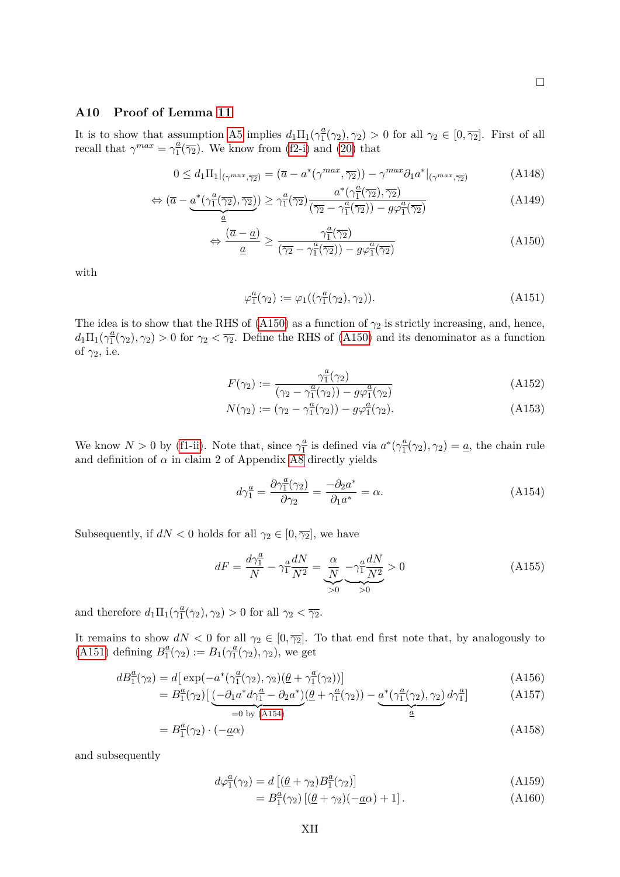# <span id="page-39-0"></span>**A10 Proof of Lemma [11](#page-18-3)**

It is to show that assumption [A5](#page-18-2) implies  $d_1 \Pi_1(\gamma_1^a)$  $\frac{a}{1}(\gamma_2), \gamma_2$  > 0 for all  $\gamma_2 \in [0, \overline{\gamma_2}]$ . First of all recall that  $\gamma^{max} = \gamma_1^a$  $\frac{a}{1}(\overline{\gamma_2})$ . We know from [\(f2-i\)](#page-15-1) and [\(20\)](#page-16-1) that

$$
0 \le d_1 \Pi_1|_{(\gamma^{max}, \overline{\gamma_2})} = (\overline{a} - a^*(\gamma^{max}, \overline{\gamma_2})) - \gamma^{max} \partial_1 a^*|_{(\gamma^{max}, \overline{\gamma_2})}
$$
(A148)

$$
\Leftrightarrow (\overline{a} - \underbrace{a^*(\gamma_1^a(\overline{\gamma_2}), \overline{\gamma_2})}_{\underline{a}}) \ge \gamma_1^a(\overline{\gamma_2}) \frac{a^*(\gamma_1^a(\overline{\gamma_2}), \overline{\gamma_2})}{(\overline{\gamma_2} - \gamma_1^a(\overline{\gamma_2})) - g\varphi_1^a(\overline{\gamma_2})}
$$
\n(A149)

$$
\Leftrightarrow \frac{(\overline{a} - \underline{a})}{\underline{a}} \ge \frac{\gamma_1^{\underline{a}}(\overline{\gamma_2})}{(\overline{\gamma_2} - \gamma_1^{\underline{a}}(\overline{\gamma_2})) - g\varphi_1^{\underline{a}}(\overline{\gamma_2})}
$$
(A150)

with

<span id="page-39-2"></span><span id="page-39-1"></span>
$$
\varphi_1^a(\gamma_2) := \varphi_1((\gamma_1^a(\gamma_2), \gamma_2)). \tag{A151}
$$

The idea is to show that the RHS of [\(A150\)](#page-39-1) as a function of  $\gamma_2$  is strictly increasing, and, hence,  $d_1\Pi_1(\gamma_1^a)$  $\frac{a}{1}(\gamma_2), \gamma_2$  > 0 for  $\gamma_2 < \overline{\gamma_2}$ . Define the RHS of [\(A150\)](#page-39-1) and its denominator as a function of *γ*2, i.e.

$$
F(\gamma_2) := \frac{\gamma_1^a(\gamma_2)}{(\gamma_2 - \gamma_1^a(\gamma_2)) - g\varphi_1^a(\gamma_2)}
$$
(A152)

$$
N(\gamma_2) := (\gamma_2 - \gamma_1^a(\gamma_2)) - g\varphi_1^a(\gamma_2).
$$
 (A153)

We know  $N > 0$  by [\(f1-ii\)](#page-15-3). Note that, since  $\gamma_1^a$  $\frac{a}{1}$  is defined via  $a^*(\gamma_1^{\underline{a}})$  $\frac{a}{1}(\gamma_2), \gamma_2$  = <u>*a*</u>, the chain rule and definition of  $\alpha$  in claim 2 of Appendix [A8](#page-34-0) directly yields

<span id="page-39-3"></span>
$$
d\gamma_1^a = \frac{\partial \gamma_1^a(\gamma_2)}{\partial \gamma_2} = \frac{-\partial_2 a^*}{\partial_1 a^*} = \alpha.
$$
 (A154)

Subsequently, if  $dN < 0$  holds for all  $\gamma_2 \in [0, \overline{\gamma_2}]$ , we have

$$
dF = \frac{d\gamma_1^a}{N} - \gamma_1^a \frac{dN}{N^2} = \underbrace{\frac{\alpha}{N}}_{>0} - \underbrace{\gamma_1^a \frac{dN}{N^2}}_{>0} > 0
$$
\n(A155)

and therefore  $d_1 \Pi_1(\gamma_1^{\underline{a}})$  $\frac{a}{1}(\gamma_2), \gamma_2) > 0$  for all  $\gamma_2 < \overline{\gamma_2}.$ 

It remains to show  $dN < 0$  for all  $\gamma_2 \in [0, \overline{\gamma_2}]$ . To that end first note that, by analogously to  $(A151)$  defining  $B_1^{\underline{a}}$  $\frac{a}{1}(\gamma_2) := B_1(\gamma_1^2)$  $\frac{a}{1}(\gamma_2), \gamma_2$ ), we get

$$
dB_1^{\underline{a}}(\gamma_2) = d[\exp(-a^*(\gamma_1^{\underline{a}}(\gamma_2), \gamma_2)(\underline{\theta} + \gamma_1^{\underline{a}}(\gamma_2))]
$$
\n(A156)

$$
=B_1^{\underline{a}}(\gamma_2)\left[\underbrace{(-\partial_1 a^* d \gamma_1^{\underline{a}} - \partial_2 a^*)}_{=0 \text{ by } (\text{A154})}(\underline{\theta} + \gamma_1^{\underline{a}}(\gamma_2)) - \underbrace{a^*(\gamma_1^{\underline{a}}(\gamma_2), \gamma_2)}_{\underline{a}} d \gamma_1^{\underline{a}}\right]
$$
(A157)

$$
B_1^a(\gamma_2) \cdot (-\underline{a}\alpha) \tag{A158}
$$

and subsequently

= *B*

$$
d\varphi_1^a(\gamma_2) = d\left[ (\underline{\theta} + \gamma_2) B_1^a(\gamma_2) \right]
$$
\n(A159)

$$
=B_1^{\underline{a}}(\gamma_2)\left[ (\underline{\theta} + \gamma_2)(-\underline{a}\alpha) + 1 \right]. \tag{A160}
$$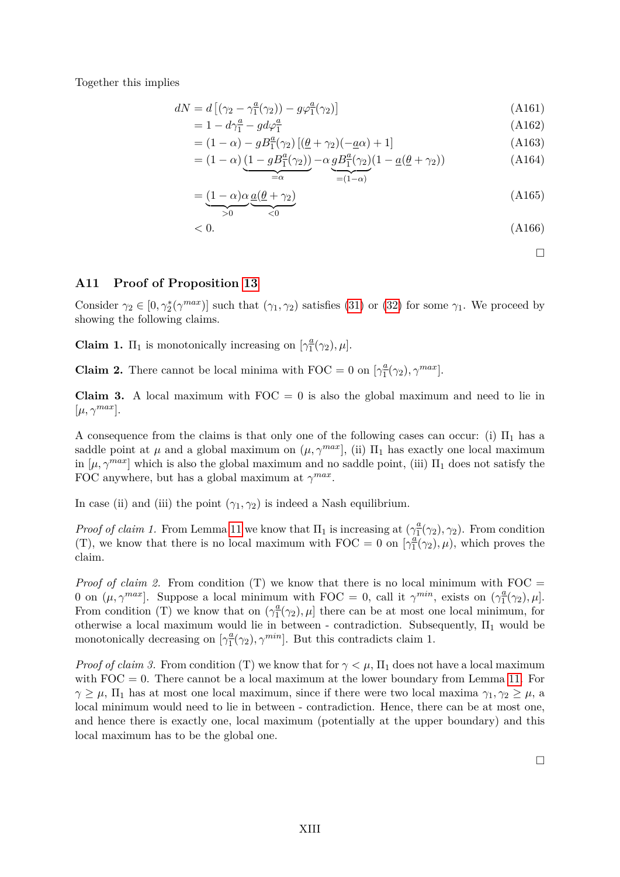Together this implies

$$
dN = d\left[\left(\gamma_2 - \gamma_1^a(\gamma_2)\right) - g\varphi_1^a(\gamma_2)\right]
$$
\n(A161)

$$
=1-d\gamma_1^a-gd\varphi_1^a\tag{A162}
$$

$$
= (1 - \alpha) - g \cdot B_1^{\underline{a}}(\gamma_2) \left[ (\underline{\theta} + \gamma_2)(-\underline{a}\alpha) + 1 \right] \tag{A163}
$$

$$
= (1 - \alpha) \underbrace{(1 - gB_1^a(\gamma_2))}_{=\alpha} - \alpha \underbrace{gB_1^a(\gamma_2)}_{=(1 - \alpha)} (1 - \underbrace{a(\theta + \gamma_2)})
$$
\n(A164)

$$
=\underbrace{(1-\alpha)\alpha}_{>0}\underbrace{a(\theta+\gamma_2)}_{<0}
$$
\n(A165)

$$
< 0. \tag{A166}
$$

 $\Box$ 

## <span id="page-40-0"></span>**A11 Proof of Proposition [13](#page-20-0)**

Consider  $\gamma_2 \in [0, \gamma_2^*(\gamma^{max})]$  such that  $(\gamma_1, \gamma_2)$  satisfies [\(31\)](#page-19-1) or [\(32\)](#page-19-2) for some  $\gamma_1$ . We proceed by showing the following claims.

**Claim 1.**  $\Pi_1$  is monotonically increasing on  $\left[\gamma_1^a\right]$  $\frac{a}{1}(\gamma_2), \mu$ .

**Claim 2.** There cannot be local minima with FOC = 0 on  $\gamma_1^a$  $\frac{a}{1}(\gamma_2), \gamma^{max}$ .

**Claim 3.** A local maximum with  $FOC = 0$  is also the global maximum and need to lie in  $[\mu, \gamma^{max}].$ 

A consequence from the claims is that only one of the following cases can occur: (i)  $\Pi_1$  has a saddle point at  $\mu$  and a global maximum on  $(\mu, \gamma^{max}]$ , (ii)  $\Pi_1$  has exactly one local maximum in  $[\mu, \gamma^{max}]$  which is also the global maximum and no saddle point, (iii)  $\Pi_1$  does not satisfy the FOC anywhere, but has a global maximum at  $\gamma^{max}$ .

In case (ii) and (iii) the point  $(\gamma_1, \gamma_2)$  is indeed a Nash equilibrium.

*Proof of claim 1.* From Lemma [11](#page-18-3) we know that  $\Pi_1$  is increasing at  $(\gamma_1^a)$  $\frac{a}{1}(\gamma_2), \gamma_2$ ). From condition (T), we know that there is no local maximum with FOC = 0 on  $\left[\gamma_1^{\dot{a}}\right]$  $\frac{a}{1}(\gamma_2), \mu$ , which proves the claim.

*Proof of claim 2.* From condition  $(T)$  we know that there is no local minimum with FOC = 0 on  $(\mu, \gamma^{max})$ . Suppose a local minimum with FOC = 0, call it  $\gamma^{min}$ , exists on  $(\gamma_1^a)$  $\frac{a}{1}(\gamma_2), \mu$ . From condition (T) we know that on  $(\gamma_1^a)$  $\frac{a}{1}(\gamma_2), \mu$  there can be at most one local minimum, for otherwise a local maximum would lie in between - contradiction. Subsequently,  $\Pi_1$  would be monotonically decreasing on  $\left[\gamma_1^a\right]$  $\frac{a}{1}(\gamma_2), \gamma^{min}$ . But this contradicts claim 1.

*Proof of claim 3.* From condition (T) we know that for  $\gamma < \mu$ ,  $\Pi_1$  does not have a local maximum with  $FOC = 0$ . There cannot be a local maximum at the lower boundary from Lemma [11.](#page-18-3) For *γ*  $\geq \mu$ ,  $\Pi_1$  has at most one local maximum, since if there were two local maxima *γ*<sub>1</sub>*, γ*<sub>2</sub>  $\geq \mu$ , a local minimum would need to lie in between - contradiction. Hence, there can be at most one, and hence there is exactly one, local maximum (potentially at the upper boundary) and this local maximum has to be the global one.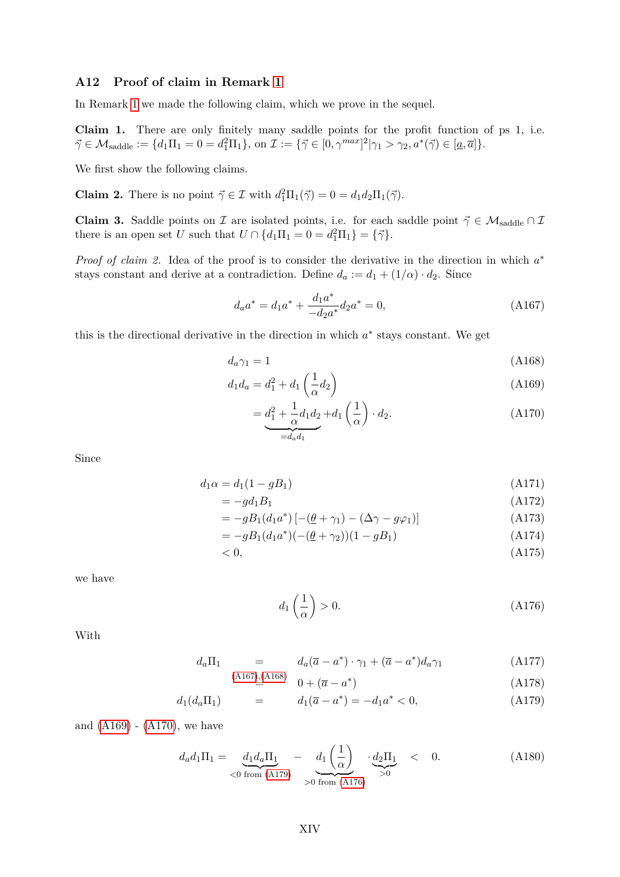# <span id="page-41-0"></span>**A12 Proof of claim in Remark [1](#page-20-1)**

In Remark [1](#page-20-1) we made the following claim, which we prove in the sequel.

**Claim 1.** There are only finitely many saddle points for the profit function of ps 1, i.e.  $\vec{\gamma} \in \mathcal{M}_{\text{saddle}} := \{d_1 \Pi_1 = 0 = d_1^2 \Pi_1\}, \text{ on } \mathcal{I} := \{\vec{\gamma} \in [0, \gamma^{max}]^2 | \gamma_1 > \gamma_2, a^*(\vec{\gamma}) \in [\underline{a}, \overline{a}]\}.$ 

We first show the following claims.

**Claim 2.** There is no point  $\vec{\gamma} \in \mathcal{I}$  with  $d_1^2 \Pi_1(\vec{\gamma}) = 0 = d_1 d_2 \Pi_1(\vec{\gamma})$ .

**Claim 3.** Saddle points on I are isolated points, i.e. for each saddle point  $\vec{\gamma} \in \mathcal{M}_{saddle} \cap \mathcal{I}$ there is an open set *U* such that  $U \cap \{d_1\Pi_1 = 0 = d_1^2\Pi_1\} = \{\vec{\gamma}\}.$ 

*Proof of claim 2.* Idea of the proof is to consider the derivative in the direction in which  $a^*$ stays constant and derive at a contradiction. Define  $d_a := d_1 + (1/\alpha) \cdot d_2$ . Since

<span id="page-41-1"></span>
$$
d_a a^* = d_1 a^* + \frac{d_1 a^*}{-d_2 a^*} d_2 a^* = 0,
$$
\n(A167)

this is the directional derivative in the direction in which  $a^*$  stays constant. We get

$$
d_a \gamma_1 = 1 \tag{A168}
$$

$$
d_1 d_a = d_1^2 + d_1 \left(\frac{1}{\alpha} d_2\right) \tag{A169}
$$

<span id="page-41-4"></span><span id="page-41-3"></span><span id="page-41-2"></span>
$$
=\underbrace{d_1^2+\frac{1}{\alpha}d_1d_2}_{=d_a d_1}+d_1\left(\frac{1}{\alpha}\right)\cdot d_2.
$$
\n(A170)

Since

$$
d_1\alpha = d_1(1 - gB_1) \tag{A171}
$$

$$
=-gd_1B_1\tag{A172}
$$

$$
= -gB_1(d_1a^*)\left[-(\underline{\theta} + \gamma_1) - (\Delta\gamma - g\varphi_1)\right]
$$
\n(A173)

$$
= -gB_1(d_1a^*)(-(\underline{\theta} + \gamma_2))(1 - gB_1)
$$
\n(A174)

$$
\langle 0, \tag{A175}
$$

we have

<span id="page-41-7"></span><span id="page-41-6"></span>
$$
d_1\left(\frac{1}{\alpha}\right) > 0. \tag{A176}
$$

With

<span id="page-41-5"></span>
$$
d_a \Pi_1 = d_a(\overline{a} - a^*) \cdot \gamma_1 + (\overline{a} - a^*) d_a \gamma_1
$$
\n(A177)  
\n(A168)

$$
\stackrel{167,1683}{=} 0 + (\overline{a} - a^*)
$$
 (A178)

$$
d_1(d_a\Pi_1) = d_1(\overline{a} - a^*) = -d_1a^* < 0,
$$
\n(A179)

and  $(A169) - (A170)$  $(A169) - (A170)$  $(A169) - (A170)$ , we have

$$
d_a d_1 \Pi_1 = \underbrace{d_1 d_a \Pi_1}_{\text{< 0 from (A179)}} - \underbrace{d_1 \left(\frac{1}{\alpha}\right)}_{\text{> 0 from (A176)}} \cdot \underbrace{d_2 \Pi_1}_{\text{> 0}} < 0. \tag{A180}
$$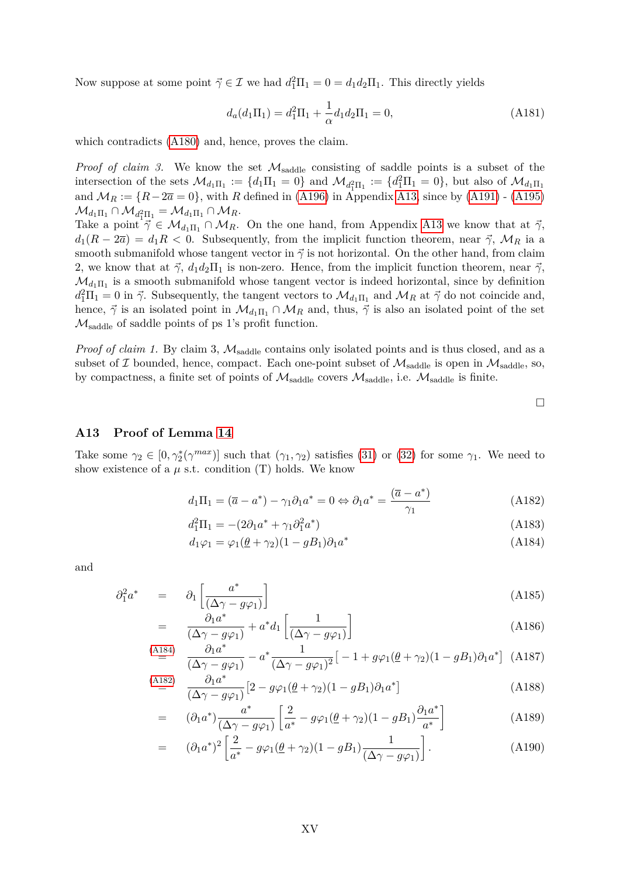Now suppose at some point  $\vec{\gamma} \in \mathcal{I}$  we had  $d_1^2 \Pi_1 = 0 = d_1 d_2 \Pi_1$ . This directly yields

$$
d_a(d_1\Pi_1) = d_1^2\Pi_1 + \frac{1}{\alpha}d_1d_2\Pi_1 = 0,
$$
\n(A181)

which contradicts [\(A180\)](#page-41-7) and, hence, proves the claim.

*Proof of claim 3.* We know the set  $\mathcal{M}_{saddle}$  consisting of saddle points is a subset of the intersection of the sets  $\mathcal{M}_{d_1\Pi_1} := \{d_1\Pi_1 = 0\}$  and  $\mathcal{M}_{d_1^2\Pi_1} := \{d_1^2\Pi_1 = 0\}$ , but also of  $\mathcal{M}_{d_1\Pi_1}$ and  $M_R := \{R - 2\overline{a} = 0\}$ , with *R* defined in [\(A196\)](#page-43-0) in Appendix [A13,](#page-42-0) since by [\(A191\)](#page-43-1) - [\(A195\)](#page-43-2)  $\mathcal{M}_{d_1\Pi_1} \cap \mathcal{M}_{d_1^2\Pi_1^1} = \mathcal{M}_{d_1\Pi_1} \cap \mathcal{M}_R.$ 

Take a point  $\vec{\gamma} \in \mathcal{M}_{d_1\Pi_1} \cap \mathcal{M}_R$ . On the one hand, from Appendix [A13](#page-42-0) we know that at  $\vec{\gamma}$ ,  $d_1(R - 2\overline{a}) = d_1R < 0$ . Subsequently, from the implicit function theorem, near  $\vec{\gamma}$ ,  $\mathcal{M}_R$  ia a smooth submanifold whose tangent vector in  $\vec{\gamma}$  is not horizontal. On the other hand, from claim 2, we know that at  $\vec{\gamma}$ ,  $d_1d_2\Pi_1$  is non-zero. Hence, from the implicit function theorem, near  $\vec{\gamma}$ ,  $\mathcal{M}_{d_1\Pi_1}$  is a smooth submanifold whose tangent vector is indeed horizontal, since by definition  $d_1^2\Pi_1 = 0$  in  $\vec{\gamma}$ . Subsequently, the tangent vectors to  $\mathcal{M}_{d_1\Pi_1}$  and  $\mathcal{M}_R$  at  $\vec{\gamma}$  do not coincide and, hence,  $\vec{\gamma}$  is an isolated point in  $\mathcal{M}_{d_1\Pi_1} \cap \mathcal{M}_R$  and, thus,  $\vec{\gamma}$  is also an isolated point of the set  $\mathcal{M}_{\text{saddle}}$  of saddle points of ps 1's profit function.

*Proof of claim 1.* By claim 3,  $M_{saddle}$  contains only isolated points and is thus closed, and as a subset of  $\mathcal I$  bounded, hence, compact. Each one-point subset of  $\mathcal M_{saddle}$  is open in  $\mathcal M_{saddle}$ , so, by compactness, a finite set of points of  $\mathcal{M}_{saddle}$  covers  $\mathcal{M}_{saddle}$ , i.e.  $\mathcal{M}_{saddle}$  is finite.

<span id="page-42-2"></span><span id="page-42-1"></span> $\Box$ 

# <span id="page-42-0"></span>**A13 Proof of Lemma [14](#page-21-1)**

Take some  $\gamma_2 \in [0, \gamma_2^*(\gamma^{max})]$  such that  $(\gamma_1, \gamma_2)$  satisfies [\(31\)](#page-19-1) or [\(32\)](#page-19-2) for some  $\gamma_1$ . We need to show existence of a  $\mu$  s.t. condition (T) holds. We know

$$
d_1\Pi_1 = (\overline{a} - a^*) - \gamma_1 \partial_1 a^* = 0 \Leftrightarrow \partial_1 a^* = \frac{(\overline{a} - a^*)}{\gamma_1}
$$
\n(A182)

$$
d_1^2 \Pi_1 = -(2\partial_1 a^* + \gamma_1 \partial_1^2 a^*)
$$
\n(A183)

$$
d_1\varphi_1 = \varphi_1(\underline{\theta} + \gamma_2)(1 - g_1)\partial_1 a^*
$$
\n(A184)

and

$$
\partial_1^2 a^* = \partial_1 \left[ \frac{a^*}{(\Delta \gamma - g \varphi_1)} \right]
$$
(A185)

$$
= \frac{\partial_1 a^*}{(\Delta \gamma - g\varphi_1)} + a^* d_1 \left[ \frac{1}{(\Delta \gamma - g\varphi_1)} \right]
$$
(A186)

$$
\stackrel{\text{(A184)}}{=}\quad\frac{\partial_1 a^*}{(\Delta \gamma - g \varphi_1)} - a^* \frac{1}{(\Delta \gamma - g \varphi_1)^2} \big[ -1 + g \varphi_1 (\underline{\theta} + \gamma_2)(1 - g B_1) \partial_1 a^* \big] \tag{A187}
$$

$$
\stackrel{\text{(A182)}}{=} \frac{\partial_1 a^*}{(\Delta \gamma - g \varphi_1)} \left[ 2 - g \varphi_1 (\underline{\theta} + \gamma_2)(1 - g B_1) \partial_1 a^* \right] \tag{A188}
$$

$$
= (\partial_1 a^*) \frac{a^*}{(\Delta \gamma - g\varphi_1)} \left[ \frac{2}{a^*} - g\varphi_1(\underline{\theta} + \gamma_2)(1 - gB_1) \frac{\partial_1 a^*}{a^*} \right]
$$
(A189)

$$
= \left(\partial_1 a^*\right)^2 \left[\frac{2}{a^*} - g\varphi_1(\underline{\theta} + \gamma_2)(1 - gB_1)\frac{1}{(\Delta\gamma - g\varphi_1)}\right].\tag{A190}
$$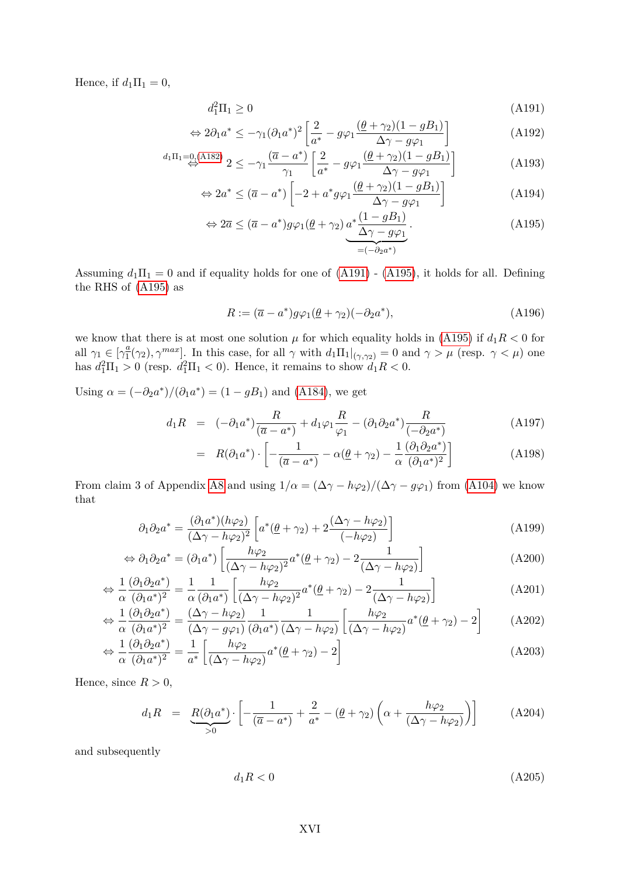Hence, if  $d_1\Pi_1 = 0$ ,

<span id="page-43-1"></span>
$$
d_1^2 \Pi_1 \ge 0 \tag{A191}
$$

$$
\Leftrightarrow 2\partial_1 a^* \le -\gamma_1 (\partial_1 a^*)^2 \left[ \frac{2}{a^*} - g\varphi_1 \frac{(\theta + \gamma_2)(1 - gB_1)}{\Delta \gamma - g\varphi_1} \right]
$$
(A192)

$$
d_1\Pi_1 = 0. \tag{A182} \stackrel{\sim}{\leftrightarrow} 2 \leq -\gamma_1 \frac{(\overline{a} - a^*)}{\gamma_1} \left[ \frac{2}{a^*} - g\varphi_1 \frac{(\theta + \gamma_2)(1 - gB_1)}{\Delta\gamma - g\varphi_1} \right] \tag{A193}
$$

$$
\Leftrightarrow 2a^* \le (\overline{a} - a^*) \left[ -2 + a^* g \varphi_1 \frac{(\underline{\theta} + \gamma_2)(1 - gB_1)}{\Delta \gamma - g \varphi_1} \right]
$$
(A194)

$$
\Leftrightarrow 2\overline{a} \le (\overline{a} - a^*)g\varphi_1(\underline{\theta} + \gamma_2) \underbrace{a^* \frac{(1 - gB_1)}{\Delta \gamma - g\varphi_1}}_{= (-\partial_2 a^*)}.
$$
\n(A195)

Assuming  $d_1\Pi_1 = 0$  and if equality holds for one of  $(A191)$  -  $(A195)$ , it holds for all. Defining the RHS of [\(A195\)](#page-43-2) as

<span id="page-43-2"></span><span id="page-43-0"></span>
$$
R := (\overline{a} - a^*)g\varphi_1(\underline{\theta} + \gamma_2)(-\partial_2 a^*),\tag{A196}
$$

we know that there is at most one solution  $\mu$  for which equality holds in [\(A195\)](#page-43-2) if  $d_1R < 0$  for all  $\gamma_1 \in [\gamma_1^{\underline{a}}]$  $\frac{a}{1}(\gamma_2)$ ,  $\gamma^{max}$ . In this case, for all  $\gamma$  with  $d_1\Pi_1|_{(\gamma,\gamma_2)} = 0$  and  $\gamma > \mu$  (resp.  $\gamma < \mu$ ) one has  $d_1^2\Pi_1 > 0$  (resp.  $d_1^2\Pi_1 < 0$ ). Hence, it remains to show  $d_1R < 0$ .

Using  $\alpha = (-\partial_2 a^*)/(\partial_1 a^*) = (1 - gB_1)$  and [\(A184\)](#page-42-1), we get

$$
d_1 R = (-\partial_1 a^*) \frac{R}{(\overline{a} - a^*)} + d_1 \varphi_1 \frac{R}{\varphi_1} - (\partial_1 \partial_2 a^*) \frac{R}{(-\partial_2 a^*)}
$$
(A197)

$$
= R(\partial_1 a^*) \cdot \left[ -\frac{1}{(\overline{a} - a^*)} - \alpha(\underline{\theta} + \gamma_2) - \frac{1}{\alpha} \frac{(\partial_1 \partial_2 a^*)}{(\partial_1 a^*)^2} \right]
$$
(A198)

From claim 3 of Appendix [A8](#page-34-0) and using  $1/\alpha = (\Delta \gamma - h\varphi_2)/(\Delta \gamma - g\varphi_1)$  from [\(A104\)](#page-35-0) we know that

$$
\partial_1 \partial_2 a^* = \frac{(\partial_1 a^*)(h\varphi_2)}{(\Delta \gamma - h\varphi_2)^2} \left[ a^*(\underline{\theta} + \gamma_2) + 2 \frac{(\Delta \gamma - h\varphi_2)}{(-h\varphi_2)} \right]
$$
(A199)

$$
\Leftrightarrow \partial_1 \partial_2 a^* = (\partial_1 a^*) \left[ \frac{h\varphi_2}{(\Delta \gamma - h\varphi_2)^2} a^* (\underline{\theta} + \gamma_2) - 2 \frac{1}{(\Delta \gamma - h\varphi_2)} \right]
$$
(A200)

$$
\Leftrightarrow \frac{1}{\alpha} \frac{(\partial_1 \partial_2 a^*)}{(\partial_1 a^*)^2} = \frac{1}{\alpha} \frac{1}{(\partial_1 a^*)} \left[ \frac{h\varphi_2}{(\Delta \gamma - h\varphi_2)^2} a^* (\underline{\theta} + \gamma_2) - 2 \frac{1}{(\Delta \gamma - h\varphi_2)} \right]
$$
(A201)

$$
\Leftrightarrow \frac{1}{\alpha} \frac{(\partial_1 \partial_2 a^*)}{(\partial_1 a^*)^2} = \frac{(\Delta \gamma - h\varphi_2)}{(\Delta \gamma - g\varphi_1)} \frac{1}{(\partial_1 a^*)} \frac{1}{(\Delta \gamma - h\varphi_2)} \left[ \frac{h\varphi_2}{(\Delta \gamma - h\varphi_2)} a^*(\underline{\theta} + \gamma_2) - 2 \right]
$$
(A202)

$$
\Leftrightarrow \frac{1}{\alpha} \frac{(\partial_1 \partial_2 a^*)}{(\partial_1 a^*)^2} = \frac{1}{a^*} \left[ \frac{h\varphi_2}{(\Delta\gamma - h\varphi_2)} a^*(\underline{\theta} + \gamma_2) - 2 \right]
$$
(A203)

Hence, since  $R > 0$ ,

$$
d_1R = \underbrace{R(\partial_1 a^*)}_{>0} \cdot \left[ -\frac{1}{(\overline{a} - a^*)} + \frac{2}{a^*} - (\underline{\theta} + \gamma_2) \left( \alpha + \frac{h\varphi_2}{(\Delta\gamma - h\varphi_2)} \right) \right]
$$
(A204)

and subsequently

$$
d_1 R < 0 \tag{A205}
$$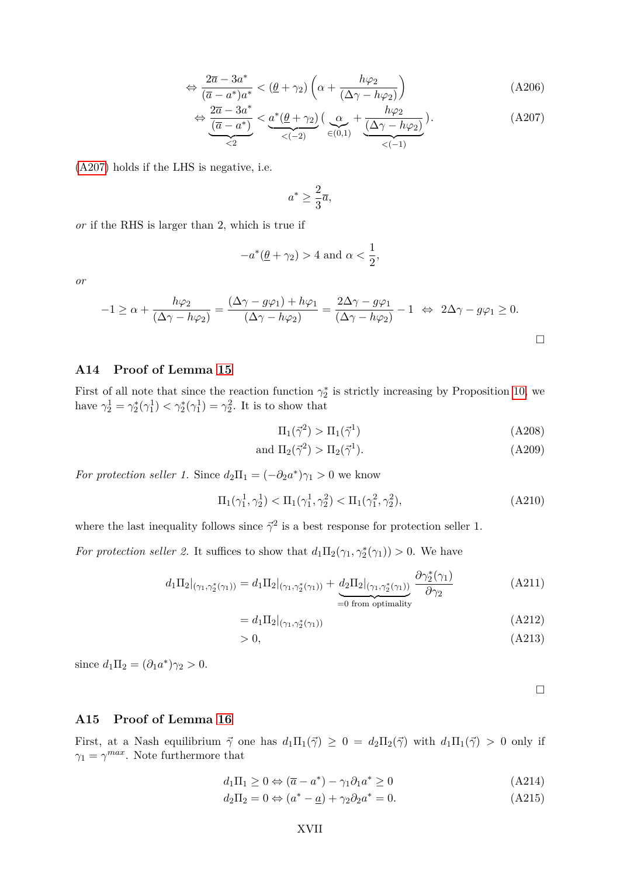$$
\Leftrightarrow \frac{2\overline{a} - 3a^*}{(\overline{a} - a^*)a^*} < (\underline{\theta} + \gamma_2) \left( \alpha + \frac{h\varphi_2}{(\Delta\gamma - h\varphi_2)} \right) \tag{A206}
$$

$$
\Leftrightarrow \underbrace{\frac{2\overline{a}-3a^*}{(\overline{a}-a^*)}}_{\leq 2} < \underbrace{a^*(\underline{\theta}+\gamma_2)}_{\leq (-2)} \big(\underbrace{\alpha}_{\in (0,1)} + \underbrace{\frac{h\varphi_2}{(\Delta\gamma-h\varphi_2)}}_{\leq (-1)}\big).
$$
\n(A207)

[\(A207\)](#page-44-2) holds if the LHS is negative, i.e.

<span id="page-44-2"></span>
$$
a^*\geq \frac{2}{3}\overline{a},
$$

*or* if the RHS is larger than 2, which is true if

$$
-a^*(\underline{\theta} + \gamma_2) > 4 \text{ and } \alpha < \frac{1}{2},
$$

*or*

$$
-1 \ge \alpha + \frac{h\varphi_2}{(\Delta\gamma - h\varphi_2)} = \frac{(\Delta\gamma - g\varphi_1) + h\varphi_1}{(\Delta\gamma - h\varphi_2)} = \frac{2\Delta\gamma - g\varphi_1}{(\Delta\gamma - h\varphi_2)} - 1 \iff 2\Delta\gamma - g\varphi_1 \ge 0.
$$

## <span id="page-44-0"></span>**A14 Proof of Lemma [15](#page-22-1)**

First of all note that since the reaction function  $\gamma_2^*$  is strictly increasing by Proposition [10,](#page-17-0) we have  $\gamma_2^1 = \gamma_2^*(\gamma_1^1) < \gamma_2^*(\gamma_1^1) = \gamma_2^2$ . It is to show that

$$
\Pi_1(\vec{\gamma}^2) > \Pi_1(\vec{\gamma}^1) \tag{A208}
$$

$$
\text{and } \Pi_2(\vec{\gamma}^2) > \Pi_2(\vec{\gamma}^1). \tag{A209}
$$

*For protection seller 1.* Since  $d_2\Pi_1 = (-\partial_2 a^*)\gamma_1 > 0$  we know

$$
\Pi_1(\gamma_1^1, \gamma_2^1) < \Pi_1(\gamma_1^1, \gamma_2^2) < \Pi_1(\gamma_1^2, \gamma_2^2),\tag{A210}
$$

where the last inequality follows since  $\vec{\gamma}^2$  is a best response for protection seller 1.

*For protection seller 2.* It suffices to show that  $d_1\Pi_2(\gamma_1, \gamma_2^*(\gamma_1)) > 0$ . We have

$$
d_1\Pi_2|_{(\gamma_1,\gamma_2^*(\gamma_1))} = d_1\Pi_2|_{(\gamma_1,\gamma_2^*(\gamma_1))} + \underbrace{d_2\Pi_2|_{(\gamma_1,\gamma_2^*(\gamma_1))}}_{=0 \text{ from optimality}} \frac{\partial \gamma_2^*(\gamma_1)}{\partial \gamma_2}
$$
\n(A211)

$$
=d_1\Pi_2|_{(\gamma_1,\gamma_2^*(\gamma_1))}
$$
\n(A212)

$$
> 0,\tag{A213}
$$

since  $d_1\Pi_2 = (\partial_1 a^*)\gamma_2 > 0$ .

 $\Box$ 

#### <span id="page-44-1"></span>**A15 Proof of Lemma [16](#page-22-2)**

First, at a Nash equilibrium  $\vec{\gamma}$  one has  $d_1\Pi_1(\vec{\gamma}) \geq 0 = d_2\Pi_2(\vec{\gamma})$  with  $d_1\Pi_1(\vec{\gamma}) > 0$  only if  $\gamma_1 = \gamma^{max}$ . Note furthermore that

$$
d_1\Pi_1 \ge 0 \Leftrightarrow (\overline{a} - a^*) - \gamma_1 \partial_1 a^* \ge 0 \tag{A214}
$$

$$
d_2\Pi_2 = 0 \Leftrightarrow (a^* - \underline{a}) + \gamma_2 \partial_2 a^* = 0. \tag{A215}
$$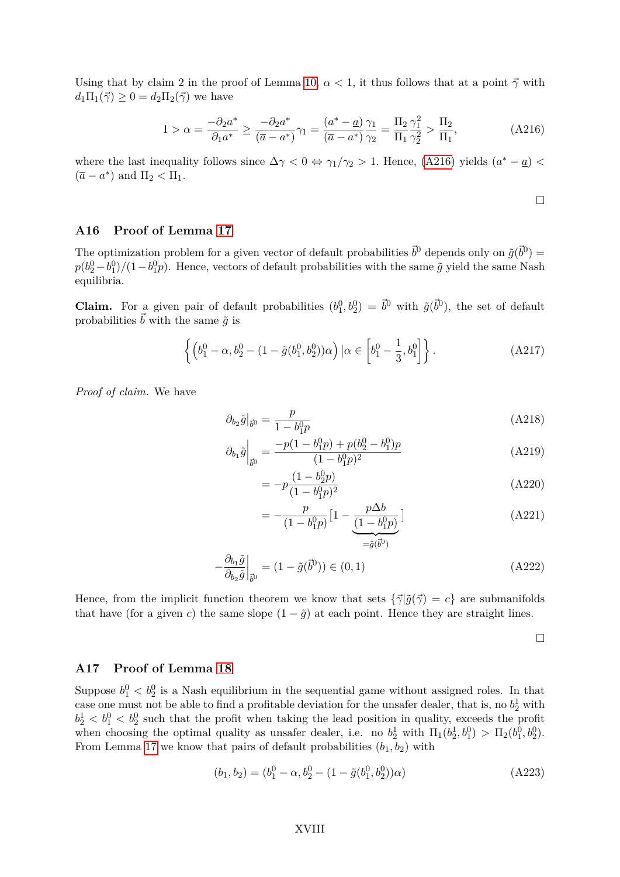Using that by claim 2 in the proof of Lemma [10,](#page-17-0)  $\alpha < 1$ , it thus follows that at a point  $\vec{\gamma}$  with  $d_1\Pi_1(\vec{\gamma}) \geq 0 = d_2\Pi_2(\vec{\gamma})$  we have

$$
1 > \alpha = \frac{-\partial_2 a^*}{\partial_1 a^*} \ge \frac{-\partial_2 a^*}{(\overline{a} - a^*)} \gamma_1 = \frac{(a^* - \underline{a})}{(\overline{a} - a^*)} \frac{\gamma_1}{\gamma_2} = \frac{\Pi_2}{\Pi_1} \frac{\gamma_1^2}{\gamma_2^2} > \frac{\Pi_2}{\Pi_1},\tag{A216}
$$

where the last inequality follows since  $\Delta \gamma < 0 \Leftrightarrow \gamma_1/\gamma_2 > 1$ . Hence, [\(A216\)](#page-45-2) yields  $(a^* - a)$  $(\overline{a} - a^*)$  and  $\Pi_2 < \Pi_1$ .

<span id="page-45-2"></span>
$$
\Box
$$

### <span id="page-45-0"></span>**A16 Proof of Lemma [17](#page-22-0)**

The optimization problem for a given vector of default probabilities  $\vec{b}^0$  depends only on  $\tilde{g}(\vec{b}^0)$  =  $p(b_2^0 - b_1^0)/(1 - b_1^0 p)$ . Hence, vectors of default probabilities with the same  $\tilde{g}$  yield the same Nash equilibria.

**Claim.** For a given pair of default probabilities  $(b_1^0, b_2^0) = \vec{b}^0$  with  $\tilde{g}(\vec{b}^0)$ , the set of default probabilities  $\vec{b}$  with the same  $\tilde{g}$  is

$$
\left\{ \left( b_1^0 - \alpha, b_2^0 - (1 - \tilde{g}(b_1^0, b_2^0))\alpha \right) \big| \alpha \in \left[ b_1^0 - \frac{1}{3}, b_1^0 \right] \right\}.
$$
 (A217)

*Proof of claim.* We have

$$
\partial_{b_2}\tilde{g}|_{\vec{b}^0} = \frac{p}{1 - b_1^0 p} \tag{A218}
$$

$$
\partial_{b_1}\tilde{g}\Big|_{\vec{b}_0} = \frac{-p(1 - b_1^0 p) + p(b_2^0 - b_1^0)p}{(1 - b_1^0 p)^2} \tag{A219}
$$

$$
= -p \frac{(1 - b_2^0 p)}{(1 - b_1^0 p)^2}
$$
 (A220)

$$
= -\frac{p}{(1 - b_1^0 p)} \left[ 1 - \underbrace{\frac{p \Delta b}{(1 - b_1^0 p)}}_{= \tilde{g}(\vec{b}^0)} \right]
$$
(A221)

$$
-\frac{\partial_{b_1}\tilde{g}}{\partial_{b_2}\tilde{g}}\bigg|_{\vec{b}^0} = (1 - \tilde{g}(\vec{b}^0)) \in (0, 1)
$$
\n(A222)

Hence, from the implicit function theorem we know that sets  $\{\vec{\gamma} | \tilde{q}(\vec{\gamma}) = c\}$  are submanifolds that have (for a given *c*) the same slope  $(1 - \tilde{g})$  at each point. Hence they are straight lines.

 $\Box$ 

#### <span id="page-45-1"></span>**A17 Proof of Lemma [18](#page-23-1)**

Suppose  $b_1^0 < b_2^0$  is a Nash equilibrium in the sequential game without assigned roles. In that case one must not be able to find a profitable deviation for the unsafer dealer, that is, no  $b_2^1$  with  $b_2^1 < b_1^0 < b_2^0$  such that the profit when taking the lead position in quality, exceeds the profit when choosing the optimal quality as unsafer dealer, i.e. no  $b_2^1$  with  $\Pi_1(b_2^1, b_1^0) > \Pi_2(b_1^0, b_2^0)$ . From Lemma [17](#page-22-0) we know that pairs of default probabilities  $(b_1, b_2)$  with

$$
(b_1, b_2) = (b_1^0 - \alpha, b_2^0 - (1 - \tilde{g}(b_1^0, b_2^0))\alpha)
$$
 (A223)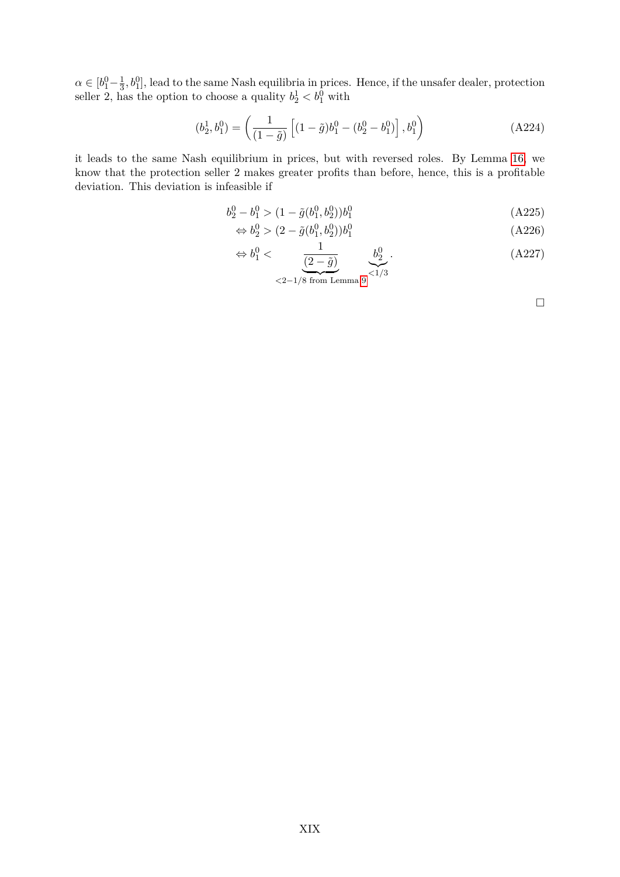$\alpha \in [b_1^0 - \frac{1}{3}]$  $\frac{1}{3}$ ,  $b_1^0$ , lead to the same Nash equilibria in prices. Hence, if the unsafer dealer, protection seller 2, has the option to choose a quality  $b_2^1 < b_1^0$  with

$$
(b_2^1, b_1^0) = \left(\frac{1}{(1-\tilde{g})}\left[ (1-\tilde{g})b_1^0 - (b_2^0 - b_1^0) \right], b_1^0\right)
$$
 (A224)

it leads to the same Nash equilibrium in prices, but with reversed roles. By Lemma [16,](#page-22-2) we know that the protection seller 2 makes greater profits than before, hence, this is a profitable deviation. This deviation is infeasible if

$$
b_2^0 - b_1^0 > (1 - \tilde{g}(b_1^0, b_2^0))b_1^0
$$
\n
$$
(A225)
$$

$$
\Leftrightarrow b_2^0 > (2 - \tilde{g}(b_1^0, b_2^0))b_1^0 \tag{A226}
$$

$$
\Leftrightarrow b_1^0 < \underbrace{\frac{1}{(2-\tilde{g})}}_{\leq 2-1/8 \text{ from Lemma 9}} \underbrace{b_2^0}_{\leq 1/3}.
$$
\n(A227)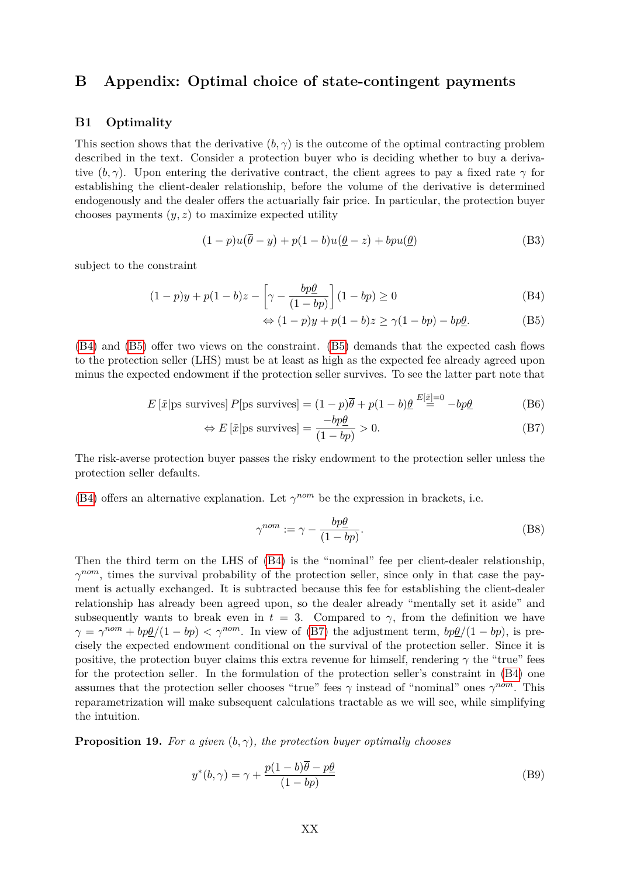# <span id="page-47-0"></span>**B Appendix: Optimal choice of state-contingent payments**

#### **B1 Optimality**

This section shows that the derivative  $(b, \gamma)$  is the outcome of the optimal contracting problem described in the text. Consider a protection buyer who is deciding whether to buy a derivative  $(b, \gamma)$ . Upon entering the derivative contract, the client agrees to pay a fixed rate  $\gamma$  for establishing the client-dealer relationship, before the volume of the derivative is determined endogenously and the dealer offers the actuarially fair price. In particular, the protection buyer chooses payments (*y, z*) to maximize expected utility

$$
(1-p)u(\overline{\theta}-y) + p(1-b)u(\underline{\theta}-z) + bpu(\underline{\theta})
$$
 (B3)

subject to the constraint

$$
(1-p)y + p(1-b)z - \left[\gamma - \frac{bp\theta}{(1-bp)}\right](1-bp) \ge 0
$$
\n(B4)

<span id="page-47-3"></span><span id="page-47-2"></span><span id="page-47-1"></span>
$$
\Leftrightarrow (1-p)y + p(1-b)z \ge \gamma(1-bp) - bp\underline{\theta}.
$$
 (B5)

[\(B4\)](#page-47-1) and [\(B5\)](#page-47-2) offer two views on the constraint. [\(B5\)](#page-47-2) demands that the expected cash flows to the protection seller (LHS) must be at least as high as the expected fee already agreed upon minus the expected endowment if the protection seller survives. To see the latter part note that

$$
E\left[\tilde{x}\middle|\text{ps survives}\right]P\left[\text{ps survives}\right] = (1-p)\overline{\theta} + p(1-b)\underline{\theta} \stackrel{E[\tilde{x}]=0}{=} -bp\underline{\theta}
$$
\n(B6)

$$
\Leftrightarrow E\left[\tilde{x}\middle|\text{ps survives}\right] = \frac{-bp\underline{\theta}}{(1 - bp)} > 0. \tag{B7}
$$

The risk-averse protection buyer passes the risky endowment to the protection seller unless the protection seller defaults.

[\(B4\)](#page-47-1) offers an alternative explanation. Let  $\gamma^{nom}$  be the expression in brackets, i.e.

$$
\gamma^{nom} := \gamma - \frac{bp\theta}{(1 - bp)}.
$$
\n(B8)

Then the third term on the LHS of [\(B4\)](#page-47-1) is the "nominal" fee per client-dealer relationship, *γ*<sup>nom</sup>, times the survival probability of the protection seller, since only in that case the payment is actually exchanged. It is subtracted because this fee for establishing the client-dealer relationship has already been agreed upon, so the dealer already "mentally set it aside" and subsequently wants to break even in  $t = 3$ . Compared to  $\gamma$ , from the definition we have  $\gamma = \gamma^{nom} + bp\underline{\theta}/(1 - bp) < \gamma^{nom}$ . In view of [\(B7\)](#page-47-3) the adjustment term,  $bp\underline{\theta}/(1 - bp)$ , is precisely the expected endowment conditional on the survival of the protection seller. Since it is positive, the protection buyer claims this extra revenue for himself, rendering  $\gamma$  the "true" fees for the protection seller. In the formulation of the protection seller's constraint in [\(B4\)](#page-47-1) one assumes that the protection seller chooses "true" fees  $\gamma$  instead of "nominal" ones  $\gamma^{nom}$ . This reparametrization will make subsequent calculations tractable as we will see, while simplifying the intuition.

<span id="page-47-4"></span>**Proposition 19.** *For a given* (*b, γ*)*, the protection buyer optimally chooses*

$$
y^*(b,\gamma) = \gamma + \frac{p(1-b)\overline{\theta} - p\underline{\theta}}{(1-bp)}
$$
(B9)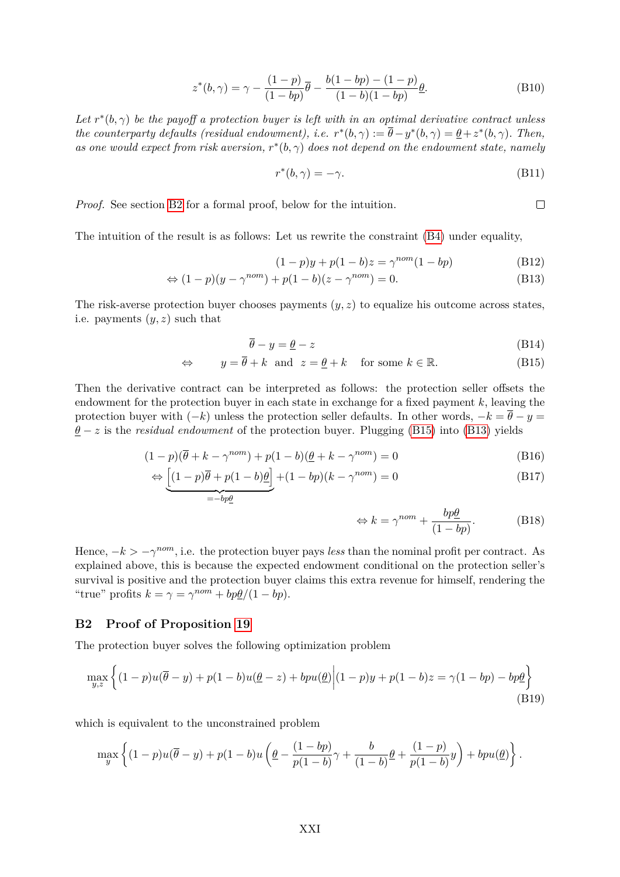$$
z^*(b,\gamma) = \gamma - \frac{(1-p)}{(1-bp)}\overline{\theta} - \frac{b(1-bp) - (1-p)}{(1-b)(1-bp)}\underline{\theta}.
$$
 (B10)

Let  $r^*(b, \gamma)$  be the payoff a protection buyer is left with in an optimal derivative contract unless *the counterparty defaults (residual endowment), i.e.*  $r^*(b, \gamma) := \overline{\theta} - y^*(b, \gamma) = \underline{\theta} + z^*(b, \gamma)$ . Then, *as one would expect from risk aversion,*  $r^*(b, \gamma)$  *does not depend on the endowment state, namely* 

$$
r^*(b, \gamma) = -\gamma. \tag{B11}
$$

*Proof.* See section [B2](#page-48-0) for a formal proof, below for the intuition.

The intuition of the result is as follows: Let us rewrite the constraint [\(B4\)](#page-47-1) under equality,

<span id="page-48-2"></span>
$$
(1 - p)y + p(1 - b)z = \gamma^{nom}(1 - bp)
$$
 (B12)

$$
\Leftrightarrow (1-p)(y-\gamma^{nom})+p(1-b)(z-\gamma^{nom})=0. \tag{B13}
$$

The risk-averse protection buyer chooses payments  $(y, z)$  to equalize his outcome across states, i.e. payments (*y, z*) such that

$$
\overline{\theta} - y = \underline{\theta} - z \tag{B14}
$$

$$
\Leftrightarrow \qquad y = \overline{\theta} + k \quad \text{and} \quad z = \underline{\theta} + k \quad \text{for some } k \in \mathbb{R}.\tag{B15}
$$

Then the derivative contract can be interpreted as follows: the protection seller offsets the endowment for the protection buyer in each state in exchange for a fixed payment *k*, leaving the protection buyer with  $(-k)$  unless the protection seller defaults. In other words,  $-k = \bar{\theta} - y =$  $\theta$  − *z* is the *residual endowment* of the protection buyer. Plugging [\(B15\)](#page-48-1) into [\(B13\)](#page-48-2) yields

$$
(1-p)(\overline{\theta} + k - \gamma^{nom}) + p(1-b)(\underline{\theta} + k - \gamma^{nom}) = 0
$$
\n(B16)

$$
\Leftrightarrow \underbrace{[(1-p)\overline{\theta} + p(1-b)\underline{\theta}]}_{=-bp\underline{\theta}} + (1-bp)(k-\gamma^{nom}) = 0
$$
\n(B17)

<span id="page-48-3"></span><span id="page-48-1"></span>
$$
\Leftrightarrow k = \gamma^{nom} + \frac{bp\theta}{(1 - bp)}.
$$
 (B18)

Hence,  $-k > -\gamma^{nom}$ , i.e. the protection buyer pays *less* than the nominal profit per contract. As explained above, this is because the expected endowment conditional on the protection seller's survival is positive and the protection buyer claims this extra revenue for himself, rendering the "true" profits  $k = \gamma = \gamma^{nom} + bp\underline{\theta}/(1 - bp)$ .

# <span id="page-48-0"></span>**B2 Proof of Proposition [19](#page-47-4)**

The protection buyer solves the following optimization problem

$$
\max_{y,z} \left\{ (1-p)u(\overline{\theta}-y) + p(1-b)u(\underline{\theta}-z) + bpu(\underline{\theta}) \middle| (1-p)y + p(1-b)z = \gamma(1-bp) - bp\underline{\theta} \right\}
$$
\n(B19)

which is equivalent to the unconstrained problem

$$
\max_{y} \left\{ (1-p)u(\overline{\theta}-y) + p(1-b)u\left(\underline{\theta} - \frac{(1-bp)}{p(1-b)}\gamma + \frac{b}{(1-b)}\underline{\theta} + \frac{(1-p)}{p(1-b)}y\right) + bpu(\underline{\theta}) \right\}.
$$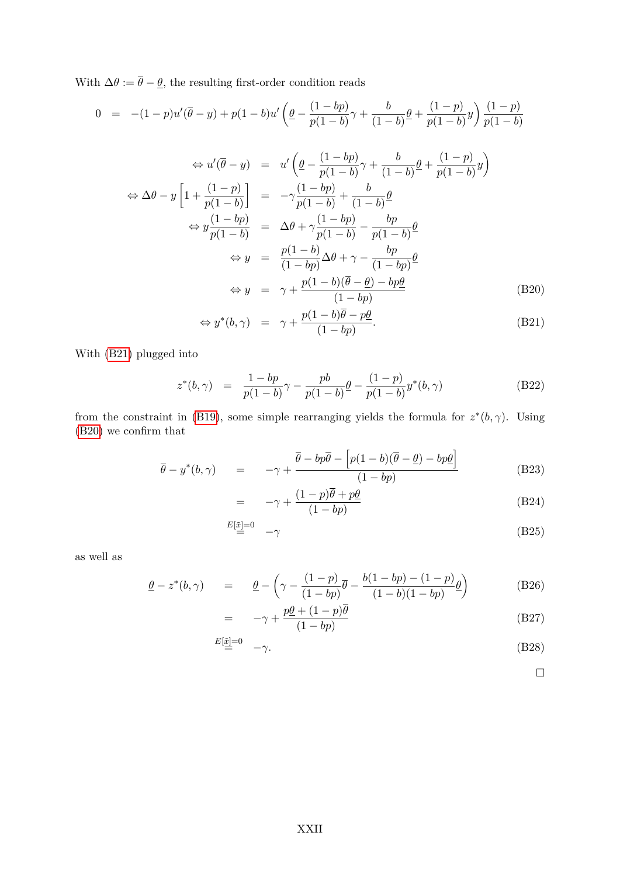With  $\Delta\theta := \overline{\theta} - \underline{\theta}$ , the resulting first-order condition reads

<span id="page-49-0"></span>
$$
0 = -(1-p)u'(\overline{\theta}-y) + p(1-b)u'\left(\underline{\theta} - \frac{(1-bp)}{p(1-b)}\gamma + \frac{b}{(1-b)}\underline{\theta} + \frac{(1-p)}{p(1-b)}y\right)\frac{(1-p)}{p(1-b)}
$$

$$
\Leftrightarrow u'(\overline{\theta} - y) = u' \left( \underline{\theta} - \frac{(1 - bp)}{p(1 - b)} \gamma + \frac{b}{(1 - b)} \underline{\theta} + \frac{(1 - p)}{p(1 - b)} y \right)
$$
  
\n
$$
\Leftrightarrow \Delta \theta - y \left[ 1 + \frac{(1 - p)}{p(1 - b)} \right] = -\gamma \frac{(1 - bp)}{p(1 - b)} + \frac{b}{(1 - b)} \underline{\theta}
$$
  
\n
$$
\Leftrightarrow y \frac{(1 - bp)}{p(1 - b)} = \Delta \theta + \gamma \frac{(1 - bp)}{p(1 - b)} - \frac{bp}{p(1 - b)} \underline{\theta}
$$
  
\n
$$
\Leftrightarrow y = \frac{p(1 - b)}{(1 - bp)} \Delta \theta + \gamma - \frac{bp}{(1 - bp)} \underline{\theta}
$$
  
\n
$$
\Leftrightarrow y = \gamma + \frac{p(1 - b)(\overline{\theta} - \underline{\theta}) - bp \underline{\theta}}{(1 - bp)}
$$
(B20)

$$
\Leftrightarrow y^*(b,\gamma) = \gamma + \frac{p(1-b)\overline{\theta} - p\underline{\theta}}{(1-bp)}.
$$
 (B21)

With [\(B21\)](#page-49-0) plugged into

$$
z^*(b,\gamma) = \frac{1-bp}{p(1-b)}\gamma - \frac{pb}{p(1-b)}\underline{\theta} - \frac{(1-p)}{p(1-b)}y^*(b,\gamma)
$$
(B22)

from the constraint in [\(B19\)](#page-48-3), some simple rearranging yields the formula for  $z^*(b, \gamma)$ . Using [\(B20\)](#page-49-0) we confirm that

$$
\overline{\theta} - y^*(b, \gamma) = -\gamma + \frac{\overline{\theta} - bp\overline{\theta} - [p(1-b)(\overline{\theta} - \underline{\theta}) - bp\underline{\theta}]}{(1 - bp)}
$$
(B23)

$$
= -\gamma + \frac{(1-p)\overline{\theta} + p\underline{\theta}}{(1 - bp)}
$$
(B24)

$$
E[\tilde{x}]=0 \t-\gamma \t\t(B25)
$$

as well as

$$
\underline{\theta} - z^*(b, \gamma) = \underline{\theta} - \left(\gamma - \frac{(1-p)}{(1-bp)}\overline{\theta} - \frac{b(1-bp) - (1-p)}{(1-b)(1-bp)}\underline{\theta}\right)
$$
(B26)

$$
= -\gamma + \frac{p\underline{\theta} + (1 - p)\theta}{(1 - bp)} \tag{B27}
$$

$$
E[\tilde{\underline{x}}] = 0 \quad -\gamma. \tag{B28}
$$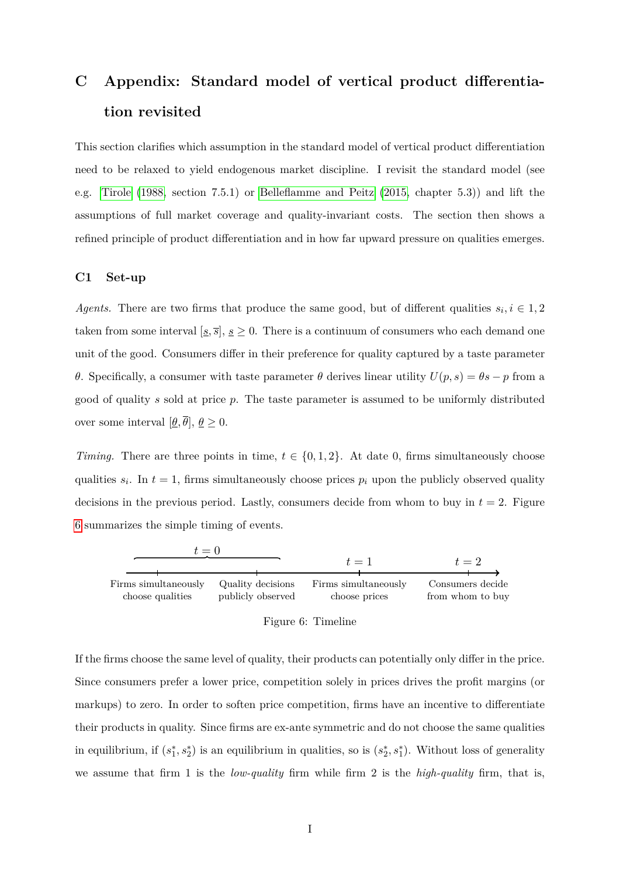# <span id="page-50-0"></span>**C Appendix: Standard model of vertical product differentiation revisited**

This section clarifies which assumption in the standard model of vertical product differentiation need to be relaxed to yield endogenous market discipline. I revisit the standard model (see e.g. [Tirole](#page-27-3) [\(1988,](#page-27-3) section 7.5.1) or [Belleflamme and Peitz](#page-26-11) [\(2015,](#page-26-11) chapter 5.3)) and lift the assumptions of full market coverage and quality-invariant costs. The section then shows a refined principle of product differentiation and in how far upward pressure on qualities emerges.

#### **C1 Set-up**

*Agents.* There are two firms that produce the same good, but of different qualities  $s_i, i \in 1, 2$ taken from some interval  $[s, \overline{s}], s \ge 0$ . There is a continuum of consumers who each demand one unit of the good. Consumers differ in their preference for quality captured by a taste parameter *θ*. Specifically, a consumer with taste parameter *θ* derives linear utility  $U(p, s) = \theta s - p$  from a good of quality *s* sold at price *p*. The taste parameter is assumed to be uniformly distributed over some interval  $[\underline{\theta}, \overline{\theta}], \underline{\theta} \geq 0$ .

*Timing.* There are three points in time,  $t \in \{0, 1, 2\}$ . At date 0, firms simultaneously choose qualities  $s_i$ . In  $t = 1$ , firms simultaneously choose prices  $p_i$  upon the publicly observed quality decisions in the previous period. Lastly, consumers decide from whom to buy in  $t = 2$ . Figure [6](#page-50-1) summarizes the simple timing of events.

<span id="page-50-1"></span>

| Figure 6: Timeline |  |  |  |
|--------------------|--|--|--|
|--------------------|--|--|--|

If the firms choose the same level of quality, their products can potentially only differ in the price. Since consumers prefer a lower price, competition solely in prices drives the profit margins (or markups) to zero. In order to soften price competition, firms have an incentive to differentiate their products in quality. Since firms are ex-ante symmetric and do not choose the same qualities in equilibrium, if  $(s_1^*, s_2^*)$  is an equilibrium in qualities, so is  $(s_2^*, s_1^*)$ . Without loss of generality we assume that firm 1 is the *low-quality* firm while firm 2 is the *high-quality* firm, that is,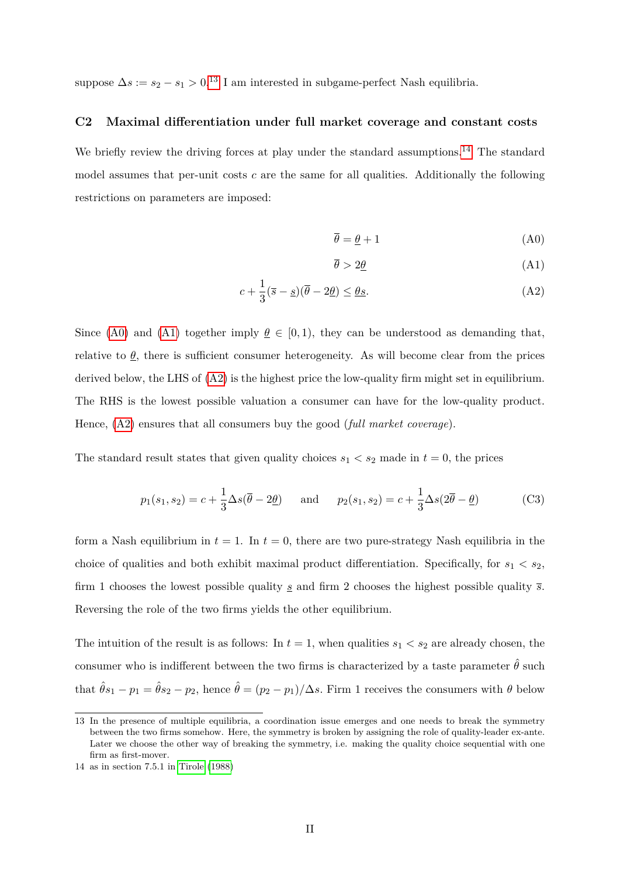suppose  $\Delta s := s_2 - s_1 > 0.13$  $\Delta s := s_2 - s_1 > 0.13$  I am interested in subgame-perfect Nash equilibria.

#### **C2 Maximal differentiation under full market coverage and constant costs**

We briefly review the driving forces at play under the standard assumptions.<sup>[14](#page-51-1)</sup> The standard model assumes that per-unit costs *c* are the same for all qualities. Additionally the following restrictions on parameters are imposed:

<span id="page-51-3"></span><span id="page-51-2"></span>
$$
\overline{\theta} = \underline{\theta} + 1 \tag{A0}
$$

<span id="page-51-4"></span>
$$
\overline{\theta} > 2\underline{\theta} \tag{A1}
$$

$$
c + \frac{1}{3}(\overline{s} - \underline{s})(\overline{\theta} - 2\underline{\theta}) \le \underline{\theta}\underline{s}.\tag{A2}
$$

Since [\(A0\)](#page-51-2) and [\(A1\)](#page-51-3) together imply  $\theta \in [0, 1)$ , they can be understood as demanding that, relative to  $\theta$ , there is sufficient consumer heterogeneity. As will become clear from the prices derived below, the LHS of  $(A2)$  is the highest price the low-quality firm might set in equilibrium. The RHS is the lowest possible valuation a consumer can have for the low-quality product. Hence, [\(A2\)](#page-51-4) ensures that all consumers buy the good (*full market coverage*).

The standard result states that given quality choices  $s_1 < s_2$  made in  $t = 0$ , the prices

$$
p_1(s_1, s_2) = c + \frac{1}{3} \Delta s(\overline{\theta} - 2\underline{\theta}) \quad \text{and} \quad p_2(s_1, s_2) = c + \frac{1}{3} \Delta s(2\overline{\theta} - \underline{\theta}) \tag{C3}
$$

form a Nash equilibrium in  $t = 1$ . In  $t = 0$ , there are two pure-strategy Nash equilibria in the choice of qualities and both exhibit maximal product differentiation. Specifically, for  $s_1 < s_2$ , firm 1 chooses the lowest possible quality *s* and firm 2 chooses the highest possible quality *s*. Reversing the role of the two firms yields the other equilibrium.

The intuition of the result is as follows: In  $t = 1$ , when qualities  $s_1 < s_2$  are already chosen, the consumer who is indifferent between the two firms is characterized by a taste parameter  $\hat{\theta}$  such that  $\hat{\theta}s_1 - p_1 = \hat{\theta}s_2 - p_2$ , hence  $\hat{\theta} = (p_2 - p_1)/\Delta s$ . Firm 1 receives the consumers with  $\theta$  below

<span id="page-51-0"></span><sup>13</sup> In the presence of multiple equilibria, a coordination issue emerges and one needs to break the symmetry between the two firms somehow. Here, the symmetry is broken by assigning the role of quality-leader ex-ante. Later we choose the other way of breaking the symmetry, i.e. making the quality choice sequential with one firm as first-mover.

<span id="page-51-1"></span><sup>14</sup> as in section 7.5.1 in [Tirole](#page-27-3) [\(1988\)](#page-27-3)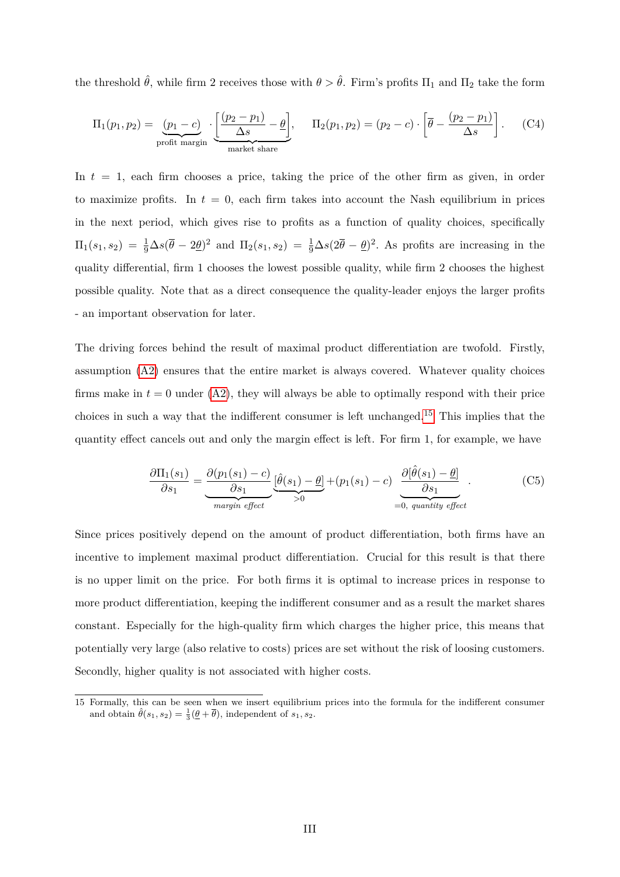the threshold  $\hat{\theta}$ , while firm 2 receives those with  $\theta > \hat{\theta}$ . Firm's profits  $\Pi_1$  and  $\Pi_2$  take the form

$$
\Pi_1(p_1, p_2) = \underbrace{(p_1 - c)}_{\text{profit margin}} \cdot \underbrace{\left[\frac{(p_2 - p_1)}{\Delta s} - \underline{\theta}\right]}_{\text{market share}}, \quad \Pi_2(p_1, p_2) = (p_2 - c) \cdot \left[\overline{\theta} - \frac{(p_2 - p_1)}{\Delta s}\right].
$$
 (C4)

In *t* = 1, each firm chooses a price, taking the price of the other firm as given, in order to maximize profits. In  $t = 0$ , each firm takes into account the Nash equilibrium in prices in the next period, which gives rise to profits as a function of quality choices, specifically  $\Pi_1(s_1, s_2) = \frac{1}{9}\Delta s(\bar{\theta} - 2\underline{\theta})^2$  and  $\Pi_2(s_1, s_2) = \frac{1}{9}\Delta s(2\bar{\theta} - \underline{\theta})^2$ . As profits are increasing in the quality differential, firm 1 chooses the lowest possible quality, while firm 2 chooses the highest possible quality. Note that as a direct consequence the quality-leader enjoys the larger profits - an important observation for later.

The driving forces behind the result of maximal product differentiation are twofold. Firstly, assumption [\(A2\)](#page-51-4) ensures that the entire market is always covered. Whatever quality choices firms make in  $t = 0$  under  $(A2)$ , they will always be able to optimally respond with their price choices in such a way that the indifferent consumer is left unchanged.[15](#page-52-0) This implies that the quantity effect cancels out and only the margin effect is left. For firm 1, for example, we have

$$
\frac{\partial \Pi_1(s_1)}{\partial s_1} = \underbrace{\frac{\partial (p_1(s_1) - c)}{\partial s_1}}_{\text{margin effect}} \underbrace{\left[\hat{\theta}(s_1) - \underline{\theta}\right]}_{>0} + \left(p_1(s_1) - c\right) \underbrace{\frac{\partial \left[\hat{\theta}(s_1) - \underline{\theta}\right]}{\partial s_1}}_{=0, \text{ quantity effect}}.
$$
\n(C5)

Since prices positively depend on the amount of product differentiation, both firms have an incentive to implement maximal product differentiation. Crucial for this result is that there is no upper limit on the price. For both firms it is optimal to increase prices in response to more product differentiation, keeping the indifferent consumer and as a result the market shares constant. Especially for the high-quality firm which charges the higher price, this means that potentially very large (also relative to costs) prices are set without the risk of loosing customers. Secondly, higher quality is not associated with higher costs.

<span id="page-52-0"></span><sup>15</sup> Formally, this can be seen when we insert equilibrium prices into the formula for the indifferent consumer and obtain  $\hat{\theta}(s_1, s_2) = \frac{1}{3}(\underline{\theta} + \overline{\theta})$ , independent of  $s_1, s_2$ .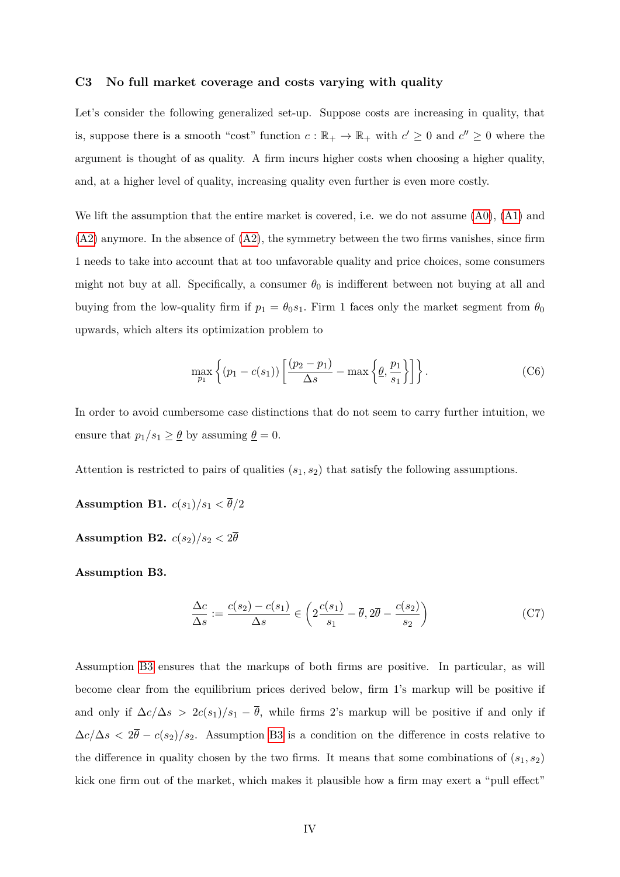#### **C3 No full market coverage and costs varying with quality**

Let's consider the following generalized set-up. Suppose costs are increasing in quality, that is, suppose there is a smooth "cost" function  $c : \mathbb{R}_+ \to \mathbb{R}_+$  with  $c' \geq 0$  and  $c'' \geq 0$  where the argument is thought of as quality. A firm incurs higher costs when choosing a higher quality, and, at a higher level of quality, increasing quality even further is even more costly.

We lift the assumption that the entire market is covered, i.e. we do not assume  $(A0)$ ,  $(A1)$  and  $(A2)$  anymore. In the absence of  $(A2)$ , the symmetry between the two firms vanishes, since firm 1 needs to take into account that at too unfavorable quality and price choices, some consumers might not buy at all. Specifically, a consumer  $\theta_0$  is indifferent between not buying at all and buying from the low-quality firm if  $p_1 = \theta_0 s_1$ . Firm 1 faces only the market segment from  $\theta_0$ upwards, which alters its optimization problem to

$$
\max_{p_1} \left\{ (p_1 - c(s_1)) \left[ \frac{(p_2 - p_1)}{\Delta s} - \max \left\{ \underline{\theta}, \frac{p_1}{s_1} \right\} \right] \right\}.
$$
 (C6)

In order to avoid cumbersome case distinctions that do not seem to carry further intuition, we ensure that  $p_1/s_1 \geq \underline{\theta}$  by assuming  $\underline{\theta} = 0$ .

Attention is restricted to pairs of qualities (*s*1*, s*2) that satisfy the following assumptions.

**Assumption B1.**  $c(s_1)/s_1 < \overline{\theta}/2$ 

**Assumption B2.**  $c(s_2)/s_2 < 2\overline{\theta}$ 

**Assumption B3.**

$$
\frac{\Delta c}{\Delta s} := \frac{c(s_2) - c(s_1)}{\Delta s} \in \left(2\frac{c(s_1)}{s_1} - \overline{\theta}, 2\overline{\theta} - \frac{c(s_2)}{s_2}\right)
$$
(C7)

Assumption [B3](#page-10-3) ensures that the markups of both firms are positive. In particular, as will become clear from the equilibrium prices derived below, firm 1's markup will be positive if and only if  $\Delta c/\Delta s$  >  $2c(s_1)/s_1 - \overline{\theta}$ , while firms 2's markup will be positive if and only if  $\Delta c/\Delta s < 2\bar{\theta} - c(s_2)/s_2$ . Assumption [B3](#page-10-3) is a condition on the difference in costs relative to the difference in quality chosen by the two firms. It means that some combinations of  $(s_1, s_2)$ kick one firm out of the market, which makes it plausible how a firm may exert a "pull effect"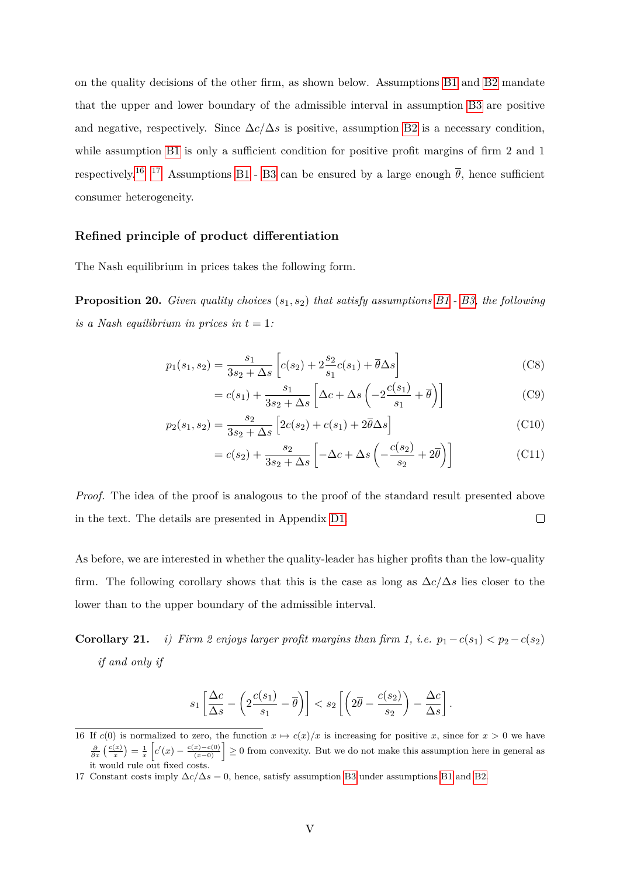on the quality decisions of the other firm, as shown below. Assumptions [B1](#page-9-2) and [B2](#page-9-1) mandate that the upper and lower boundary of the admissible interval in assumption [B3](#page-10-3) are positive and negative, respectively. Since  $\Delta c/\Delta s$  is positive, assumption [B2](#page-9-1) is a necessary condition, while assumption [B1](#page-9-2) is only a sufficient condition for positive profit margins of firm 2 and 1 respectively.<sup>[16](#page-54-0)</sup> <sup>17</sup> Assumptions [B1](#page-9-2) - [B3](#page-10-3) can be ensured by a large enough  $\bar{\theta}$ , hence sufficient consumer heterogeneity.

#### **Refined principle of product differentiation**

The Nash equilibrium in prices takes the following form.

<span id="page-54-2"></span>**Proposition 20.** *Given quality choices* (*s*1*, s*2) *that satisfy assumptions [B1](#page-9-2) - [B3,](#page-10-3) the following is a Nash equilibrium in prices in*  $t = 1$ :

$$
p_1(s_1, s_2) = \frac{s_1}{3s_2 + \Delta s} \left[ c(s_2) + 2\frac{s_2}{s_1}c(s_1) + \overline{\theta}\Delta s \right]
$$
 (C8)

$$
=c(s_1)+\frac{s_1}{3s_2+\Delta s}\left[\Delta c+\Delta s\left(-2\frac{c(s_1)}{s_1}+\overline{\theta}\right)\right]
$$
(C9)

$$
p_2(s_1, s_2) = \frac{s_2}{3s_2 + \Delta s} \left[ 2c(s_2) + c(s_1) + 2\overline{\theta}\Delta s \right]
$$
 (C10)

$$
= c(s_2) + \frac{s_2}{3s_2 + \Delta s} \left[ -\Delta c + \Delta s \left( -\frac{c(s_2)}{s_2} + 2\overline{\theta} \right) \right]
$$
(C11)

*Proof.* The idea of the proof is analogous to the proof of the standard result presented above  $\Box$ in the text. The details are presented in Appendix [D1.](#page-61-0)

As before, we are interested in whether the quality-leader has higher profits than the low-quality firm. The following corollary shows that this is the case as long as  $\Delta c/\Delta s$  lies closer to the lower than to the upper boundary of the admissible interval.

**Corollary 21.** *i) Firm 2 enjoys larger profit margins than firm 1, i.e.*  $p_1 - c(s_1) < p_2 - c(s_2)$ *if and only if*

$$
s_1 \left[ \frac{\Delta c}{\Delta s} - \left( 2 \frac{c(s_1)}{s_1} - \overline{\theta} \right) \right] < s_2 \left[ \left( 2\overline{\theta} - \frac{c(s_2)}{s_2} \right) - \frac{\Delta c}{\Delta s} \right].
$$

<span id="page-54-0"></span><sup>16</sup> If  $c(0)$  is normalized to zero, the function  $x \mapsto c(x)/x$  is increasing for positive *x*, since for  $x > 0$  we have  $\frac{\partial}{\partial x}\left(\frac{c(x)}{x}\right) = \frac{1}{x}\left[c'(x) - \frac{c(x)-c(0)}{(x-0)}\right] \ge 0$  from convexity. But we do not make this assumption here in general as it would rule out fixed costs.

<span id="page-54-1"></span><sup>17</sup> Constant costs imply  $\Delta c/\Delta s = 0$ , hence, satisfy assumption [B3](#page-10-3) under assumptions [B1](#page-9-2) and [B2.](#page-9-1)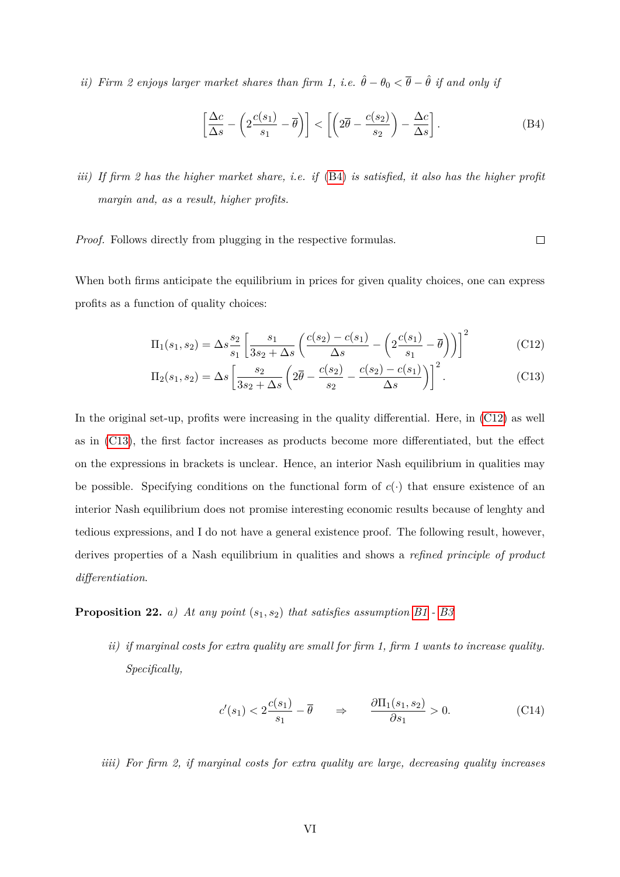*ii) Firm 2 enjoys larger market shares than firm 1, i.e.*  $\hat{\theta} - \theta_0 < \overline{\theta} - \hat{\theta}$  *if and only if* 

$$
\left[\frac{\Delta c}{\Delta s} - \left(2\frac{c(s_1)}{s_1} - \overline{\theta}\right)\right] < \left[\left(2\overline{\theta} - \frac{c(s_2)}{s_2}\right) - \frac{\Delta c}{\Delta s}\right].\tag{B4}
$$

<span id="page-55-2"></span><span id="page-55-1"></span><span id="page-55-0"></span> $\Box$ 

*iii) If firm 2 has the higher market share, i.e. if* [\(B4\)](#page-55-0) *is satisfied, it also has the higher profit margin and, as a result, higher profits.*

*Proof.* Follows directly from plugging in the respective formulas.

When both firms anticipate the equilibrium in prices for given quality choices, one can express profits as a function of quality choices:

$$
\Pi_1(s_1, s_2) = \Delta s \frac{s_2}{s_1} \left[ \frac{s_1}{3s_2 + \Delta s} \left( \frac{c(s_2) - c(s_1)}{\Delta s} - \left( 2 \frac{c(s_1)}{s_1} - \overline{\theta} \right) \right) \right]^2
$$
(C12)

$$
\Pi_2(s_1, s_2) = \Delta s \left[ \frac{s_2}{3s_2 + \Delta s} \left( 2\overline{\theta} - \frac{c(s_2)}{s_2} - \frac{c(s_2) - c(s_1)}{\Delta s} \right) \right]^2.
$$
 (C13)

In the original set-up, profits were increasing in the quality differential. Here, in [\(C12\)](#page-55-1) as well as in [\(C13\)](#page-55-2), the first factor increases as products become more differentiated, but the effect on the expressions in brackets is unclear. Hence, an interior Nash equilibrium in qualities may be possible. Specifying conditions on the functional form of  $c(\cdot)$  that ensure existence of an interior Nash equilibrium does not promise interesting economic results because of lenghty and tedious expressions, and I do not have a general existence proof. The following result, however, derives properties of a Nash equilibrium in qualities and shows a *refined principle of product differentiation*.

# <span id="page-55-6"></span><span id="page-55-4"></span>**Proposition 22.** *a) At any point*  $(s_1, s_2)$  *that satisfies assumption*  $B1 - B3$  $B1 - B3$

*ii) if marginal costs for extra quality are small for firm 1, firm 1 wants to increase quality. Specifically,*

<span id="page-55-3"></span>
$$
c'(s_1) < 2\frac{c(s_1)}{s_1} - \overline{\theta} \qquad \Rightarrow \qquad \frac{\partial \Pi_1(s_1, s_2)}{\partial s_1} > 0. \tag{C14}
$$

<span id="page-55-5"></span>*iiii) For firm 2, if marginal costs for extra quality are large, decreasing quality increases*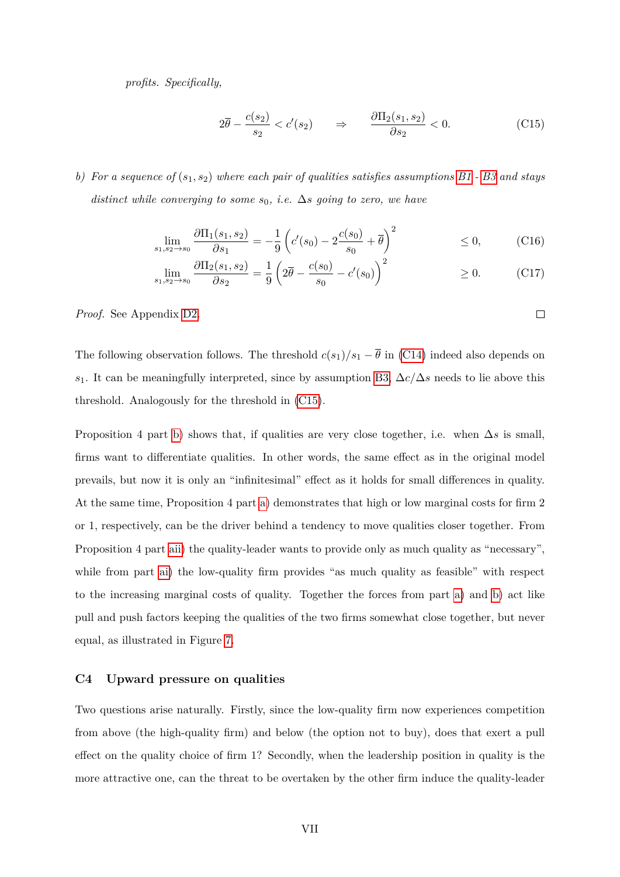*profits. Specifically,*

$$
2\overline{\theta} - \frac{c(s_2)}{s_2} < c'(s_2) \qquad \Rightarrow \qquad \frac{\partial \Pi_2(s_1, s_2)}{\partial s_2} < 0. \tag{C15}
$$

<span id="page-56-0"></span> $\Box$ 

<span id="page-56-1"></span>*b) For a sequence of* (*s*1*, s*2) *where each pair of qualities satisfies assumptions [B1](#page-9-2) - [B3](#page-10-3) and stays distinct while converging to some s*0*, i.e.* ∆*s going to zero, we have*

$$
\lim_{s_1, s_2 \to s_0} \frac{\partial \Pi_1(s_1, s_2)}{\partial s_1} = -\frac{1}{9} \left( c'(s_0) - 2 \frac{c(s_0)}{s_0} + \overline{\theta} \right)^2 \le 0,
$$
 (C16)

$$
\lim_{s_1, s_2 \to s_0} \frac{\partial \Pi_2(s_1, s_2)}{\partial s_2} = \frac{1}{9} \left( 2\overline{\theta} - \frac{c(s_0)}{s_0} - c'(s_0) \right)^2 \ge 0.
$$
 (C17)

*Proof.* See Appendix [D2.](#page-62-0)

The following observation follows. The threshold  $c(s_1)/s_1 - \overline{\theta}$  in [\(C14\)](#page-55-3) indeed also depends on *s*1. It can be meaningfully interpreted, since by assumption [B3,](#page-10-3) ∆*c/*∆*s* needs to lie above this threshold. Analogously for the threshold in [\(C15\)](#page-56-0).

Proposition 4 part [b\)](#page-56-1) shows that, if qualities are very close together, i.e. when  $\Delta s$  is small, firms want to differentiate qualities. In other words, the same effect as in the original model prevails, but now it is only an "infinitesimal" effect as it holds for small differences in quality. At the same time, Proposition 4 part [a\)](#page-55-4) demonstrates that high or low marginal costs for firm 2 or 1, respectively, can be the driver behind a tendency to move qualities closer together. From Proposition 4 part [aii\)](#page-55-5) the quality-leader wants to provide only as much quality as "necessary", while from part [ai\)](#page-55-6) the low-quality firm provides "as much quality as feasible" with respect to the increasing marginal costs of quality. Together the forces from part [a\)](#page-55-4) and [b\)](#page-56-1) act like pull and push factors keeping the qualities of the two firms somewhat close together, but never equal, as illustrated in Figure [7.](#page-57-0)

#### **C4 Upward pressure on qualities**

Two questions arise naturally. Firstly, since the low-quality firm now experiences competition from above (the high-quality firm) and below (the option not to buy), does that exert a pull effect on the quality choice of firm 1? Secondly, when the leadership position in quality is the more attractive one, can the threat to be overtaken by the other firm induce the quality-leader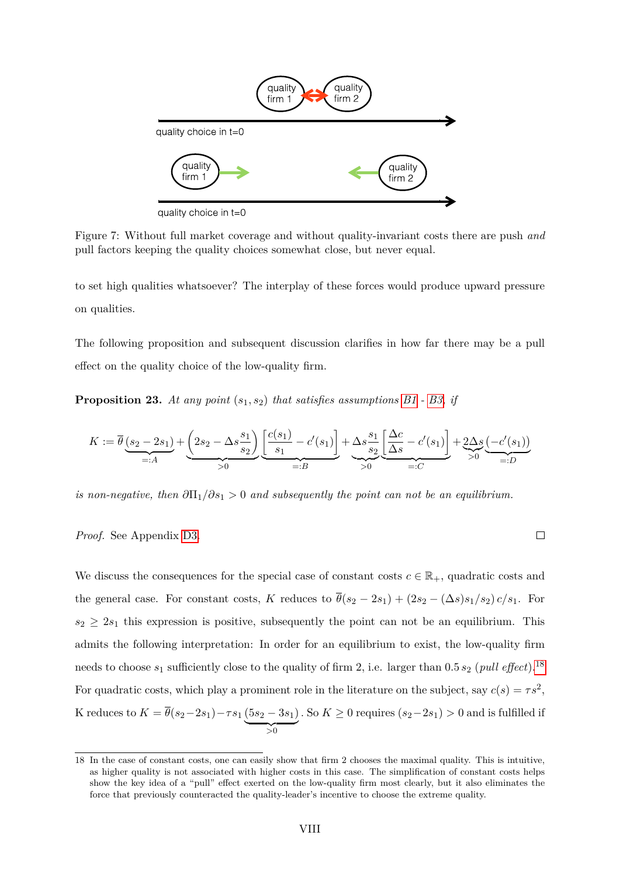<span id="page-57-0"></span>

pull factors keeping the quality choices somewhat close, but never equal. Figure 7: Without full market coverage and without quality-invariant costs there are push *and*

to set high qualities whatsoever? The interplay of these forces would produce upward pressure on qualities.

The following proposition and subsequent discussion clarifies in how far there may be a pull effect on the quality choice of the low-quality firm.

<span id="page-57-2"></span>**Proposition 23.** *At any point* (*s*1*, s*2) *that satisfies assumptions [B1](#page-9-2) - [B3,](#page-10-3) if*

$$
K := \overline{\theta} \underbrace{(s_2 - 2s_1)}_{=:A} + \underbrace{\left(2s_2 - \Delta s \frac{s_1}{s_2}\right)}_{>0} \underbrace{\left[\frac{c(s_1)}{s_1} - c'(s_1)\right]}_{=:B} + \underbrace{\Delta s \frac{s_1}{s_2} \left[\frac{\Delta c}{\Delta s} - c'(s_1)\right]}_{=:C} + \underbrace{2\Delta s}_{>0} \underbrace{\left(-c'(s_1)\right)}_{=:D}
$$

 $\Box$ 

*is non-negative, then*  $\partial \Pi_1 / \partial s_1 > 0$  *and subsequently the point can not be an equilibrium.* 

### *Proof.* See Appendix [D3.](#page-66-0)

We discuss the consequences for the special case of constant costs  $c \in \mathbb{R}_+$ , quadratic costs and the general case. For constant costs, *K* reduces to  $\bar{\theta}(s_2 - 2s_1) + (2s_2 - (\Delta s)s_1/s_2) c/s_1$ . For  $s_2 \geq 2s_1$  this expression is positive, subsequently the point can not be an equilibrium. This admits the following interpretation: In order for an equilibrium to exist, the low-quality firm needs to choose  $s_1$  sufficiently close to the quality of firm 2, i.e. larger than  $0.5 s_2$  (*pull effect*).<sup>[18](#page-57-1)</sup> For quadratic costs, which play a prominent role in the literature on the subject, say  $c(s) = \tau s^2$ , K reduces to  $K = \theta(s_2 - 2s_1) - \tau s_1 (5s_2 - 3s_1)$  $\rightarrow 0$ *.* So  $K \geq 0$  requires  $(s_2-2s_1) > 0$  and is fulfilled if

<span id="page-57-1"></span><sup>18</sup> In the case of constant costs, one can easily show that firm 2 chooses the maximal quality. This is intuitive, as higher quality is not associated with higher costs in this case. The simplification of constant costs helps show the key idea of a "pull" effect exerted on the low-quality firm most clearly, but it also eliminates the force that previously counteracted the quality-leader's incentive to choose the extreme quality.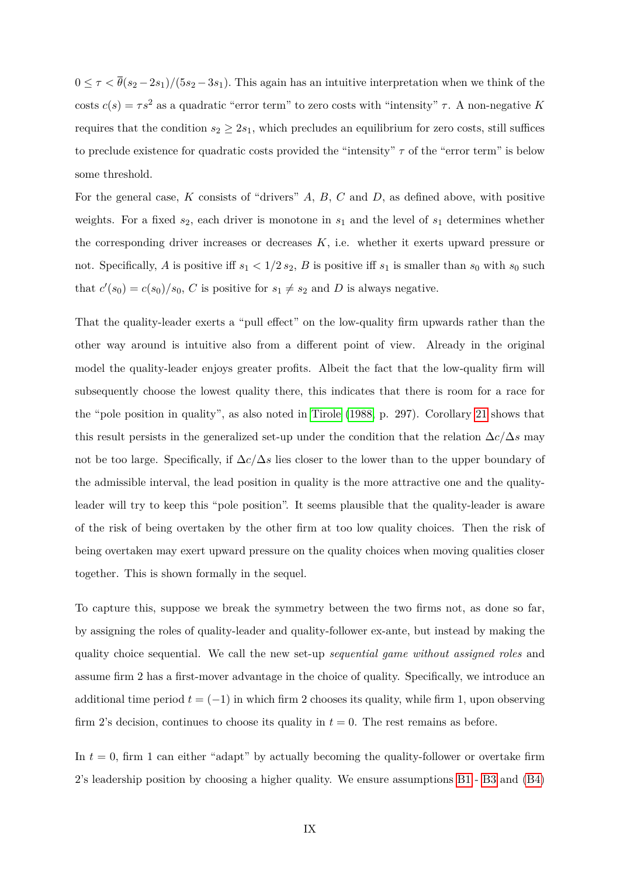$0 \leq \tau \leq \bar{\theta}(s_2 - 2s_1)/(5s_2 - 3s_1)$ . This again has an intuitive interpretation when we think of the costs  $c(s) = \tau s^2$  as a quadratic "error term" to zero costs with "intensity"  $\tau$ . A non-negative *K* requires that the condition  $s_2 \geq 2s_1$ , which precludes an equilibrium for zero costs, still suffices to preclude existence for quadratic costs provided the "intensity" *τ* of the "error term" is below some threshold.

For the general case, *K* consists of "drivers" *A*, *B*, *C* and *D*, as defined above, with positive weights. For a fixed  $s_2$ , each driver is monotone in  $s_1$  and the level of  $s_1$  determines whether the corresponding driver increases or decreases *K*, i.e. whether it exerts upward pressure or not. Specifically, *A* is positive iff  $s_1 < 1/2 s_2$ , *B* is positive iff  $s_1$  is smaller than  $s_0$  with  $s_0$  such that  $c'(s_0) = c(s_0)/s_0$ , *C* is positive for  $s_1 \neq s_2$  and *D* is always negative.

That the quality-leader exerts a "pull effect" on the low-quality firm upwards rather than the other way around is intuitive also from a different point of view. Already in the original model the quality-leader enjoys greater profits. Albeit the fact that the low-quality firm will subsequently choose the lowest quality there, this indicates that there is room for a race for the "pole position in quality", as also noted in [Tirole](#page-27-3) [\(1988,](#page-27-3) p. 297). Corollary [21](#page-1-0) shows that this result persists in the generalized set-up under the condition that the relation  $\Delta c/\Delta s$  may not be too large. Specifically, if ∆*c/*∆*s* lies closer to the lower than to the upper boundary of the admissible interval, the lead position in quality is the more attractive one and the qualityleader will try to keep this "pole position". It seems plausible that the quality-leader is aware of the risk of being overtaken by the other firm at too low quality choices. Then the risk of being overtaken may exert upward pressure on the quality choices when moving qualities closer together. This is shown formally in the sequel.

To capture this, suppose we break the symmetry between the two firms not, as done so far, by assigning the roles of quality-leader and quality-follower ex-ante, but instead by making the quality choice sequential. We call the new set-up *sequential game without assigned roles* and assume firm 2 has a first-mover advantage in the choice of quality. Specifically, we introduce an additional time period  $t = (-1)$  in which firm 2 chooses its quality, while firm 1, upon observing firm 2's decision, continues to choose its quality in  $t = 0$ . The rest remains as before.

In  $t = 0$ , firm 1 can either "adapt" by actually becoming the quality-follower or overtake firm 2's leadership position by choosing a higher quality. We ensure assumptions [B1](#page-9-2) - [B3](#page-10-3) and [\(B4\)](#page-55-0)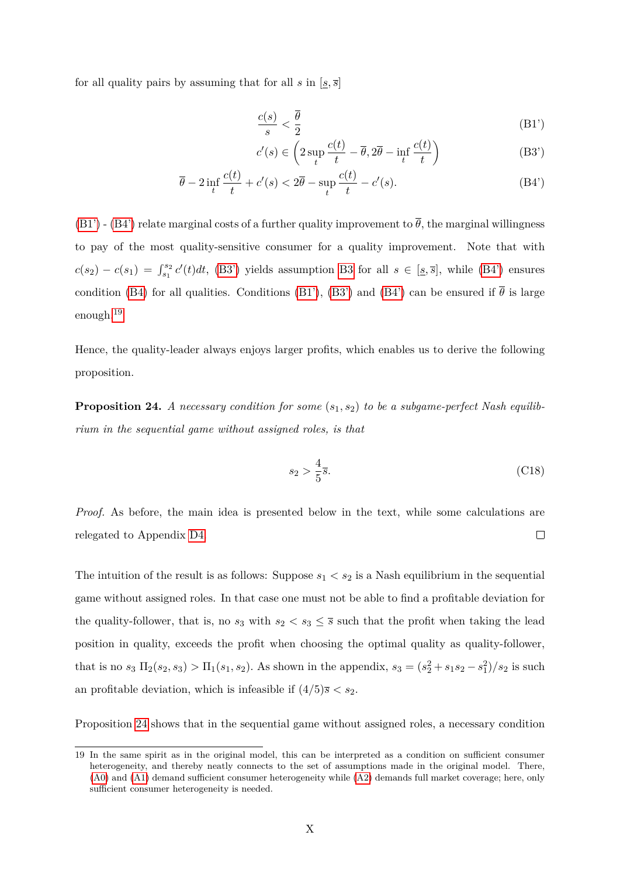for all quality pairs by assuming that for all  $s$  in  $[s, \overline{s}]$ 

<span id="page-59-1"></span>
$$
\frac{c(s)}{s} < \frac{\overline{\theta}}{2} \tag{B1'}
$$

<span id="page-59-3"></span><span id="page-59-2"></span>
$$
c'(s) \in \left(2\sup_t \frac{c(t)}{t} - \overline{\theta}, 2\overline{\theta} - \inf_t \frac{c(t)}{t}\right)
$$
 (B3')

$$
\overline{\theta} - 2\inf_{t} \frac{c(t)}{t} + c'(s) < 2\overline{\theta} - \sup_{t} \frac{c(t)}{t} - c'(s). \tag{B4'}
$$

[\(B1'\)](#page-59-1) - [\(B4'\)](#page-59-2) relate marginal costs of a further quality improvement to  $\bar{\theta}$ , the marginal willingness to pay of the most quality-sensitive consumer for a quality improvement. Note that with  $c(s_2) - c(s_1) = \int_{s_1}^{s_2} c'(t) dt$ , [\(B3'\)](#page-59-3) yields assumption [B3](#page-10-3) for all  $s \in [s, \overline{s}]$ , while [\(B4'\)](#page-59-2) ensures condition [\(B4\)](#page-55-0) for all qualities. Conditions [\(B1'\)](#page-59-1), [\(B3'\)](#page-59-3) and [\(B4'\)](#page-59-2) can be ensured if  $\bar{\theta}$  is large enough.[19](#page-59-4)

Hence, the quality-leader always enjoys larger profits, which enables us to derive the following proposition.

<span id="page-59-0"></span>**Proposition 24.** *A necessary condition for some* (*s*1*, s*2) *to be a subgame-perfect Nash equilibrium in the sequential game without assigned roles, is that*

$$
s_2 > \frac{4}{5}\overline{s}.\tag{C18}
$$

*Proof.* As before, the main idea is presented below in the text, while some calculations are relegated to Appendix [D4.](#page-67-0)  $\Box$ 

The intuition of the result is as follows: Suppose  $s_1 < s_2$  is a Nash equilibrium in the sequential game without assigned roles. In that case one must not be able to find a profitable deviation for the quality-follower, that is, no  $s_3$  with  $s_2 < s_3 \leq \overline{s}$  such that the profit when taking the lead position in quality, exceeds the profit when choosing the optimal quality as quality-follower, that is no  $s_3 \Pi_2(s_2, s_3) > \Pi_1(s_1, s_2)$ . As shown in the appendix,  $s_3 = (s_2^2 + s_1s_2 - s_1^2)/s_2$  is such an profitable deviation, which is infeasible if  $(4/5)\bar{s} < s_2$ .

Proposition [24](#page-59-0) shows that in the sequential game without assigned roles, a necessary condition

<span id="page-59-4"></span><sup>19</sup> In the same spirit as in the original model, this can be interpreted as a condition on sufficient consumer heterogeneity, and thereby neatly connects to the set of assumptions made in the original model. There, [\(A0\)](#page-51-2) and [\(A1\)](#page-51-3) demand sufficient consumer heterogeneity while [\(A2\)](#page-51-4) demands full market coverage; here, only sufficient consumer heterogeneity is needed.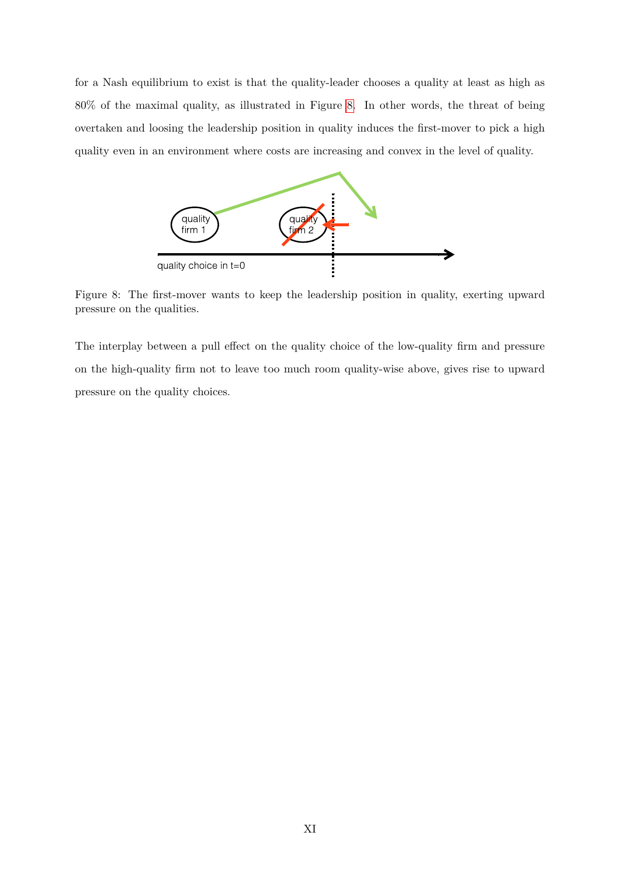for a Nash equilibrium to exist is that the quality-leader chooses a quality at least as high as 80% of the maximal quality, as illustrated in Figure [8.](#page-60-0) In other words, the threat of being overtaken and loosing the leadership position in quality induces the first-mover to pick a high quality even in an environment where costs are increasing and convex in the level of quality.

<span id="page-60-0"></span>

Figure 8: The first-mover wants to keep the leadership position in quality, exerting upward pressure on the qualities.

The interplay between a pull effect on the quality choice of the low-quality firm and pressure on the high-quality firm not to leave too much room quality-wise above, gives rise to upward pressure on the quality choices.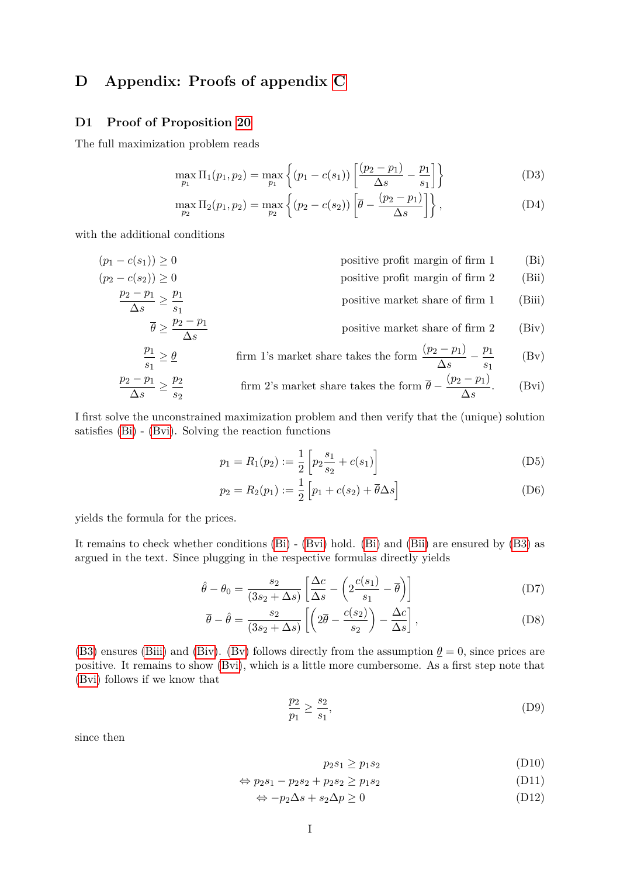# **D Appendix: Proofs of appendix [C](#page-50-0)**

### <span id="page-61-0"></span>**D1 Proof of Proposition [20](#page-54-2)**

The full maximization problem reads

$$
\max_{p_1} \Pi_1(p_1, p_2) = \max_{p_1} \left\{ (p_1 - c(s_1)) \left[ \frac{(p_2 - p_1)}{\Delta s} - \frac{p_1}{s_1} \right] \right\} \tag{D3}
$$

<span id="page-61-3"></span><span id="page-61-1"></span>
$$
\max_{p_2} \Pi_2(p_1, p_2) = \max_{p_2} \left\{ (p_2 - c(s_2)) \left[ \overline{\theta} - \frac{(p_2 - p_1)}{\Delta s} \right] \right\},\tag{D4}
$$

with the additional conditions

 $(p_1 - c(s_1)) \geq 0$  positive profit margin of firm 1 (Bi)  $(p_2 - c(s_2)) \ge 0$  positive profit margin of firm 2 (Bii)

$$
\frac{p_2 - p_1}{\Delta s} \ge \frac{p_1}{s_1}
$$
 positive market share of firm 1 (Biii)

$$
\overline{\theta} \ge \frac{p_2 - p_1}{\Delta s}
$$
 positive market share of firm 2 (Biv)

$$
\frac{p_1}{s_1} \ge \underline{\theta} \qquad \text{firm 1's market share takes the form } \frac{(p_2 - p_1)}{\Delta s} - \frac{p_1}{s_1} \qquad \text{(Bv)}
$$
\n
$$
\frac{p_2 - p_1}{\Delta s} \ge \frac{p_2}{s_2} \qquad \text{firm 2's market share takes the form } \overline{\theta} - \frac{(p_2 - p_1)}{\Delta s}. \qquad \text{(Bvi)}
$$

I first solve the unconstrained maximization problem and then verify that the (unique) solution satisfies [\(Bi\)](#page-61-1) - [\(Bvi\)](#page-61-2). Solving the reaction functions

<span id="page-61-6"></span><span id="page-61-5"></span><span id="page-61-4"></span><span id="page-61-2"></span>
$$
p_1 = R_1(p_2) := \frac{1}{2} \left[ p_2 \frac{s_1}{s_2} + c(s_1) \right]
$$
 (D5)

$$
p_2 = R_2(p_1) := \frac{1}{2} \left[ p_1 + c(s_2) + \overline{\theta} \Delta s \right]
$$
 (D6)

yields the formula for the prices.

It remains to check whether conditions [\(Bi\)](#page-61-1) - [\(Bvi\)](#page-61-2) hold. [\(Bi\)](#page-61-1) and [\(Bii\)](#page-61-3) are ensured by [\(B3\)](#page-10-3) as argued in the text. Since plugging in the respective formulas directly yields

$$
\hat{\theta} - \theta_0 = \frac{s_2}{(3s_2 + \Delta s)} \left[ \frac{\Delta c}{\Delta s} - \left( 2 \frac{c(s_1)}{s_1} - \overline{\theta} \right) \right]
$$
 (D7)

$$
\overline{\theta} - \hat{\theta} = \frac{s_2}{(3s_2 + \Delta s)} \left[ \left( 2\overline{\theta} - \frac{c(s_2)}{s_2} \right) - \frac{\Delta c}{\Delta s} \right],
$$
 (D8)

[\(B3\)](#page-10-3) ensures [\(Biii\)](#page-61-4) and [\(Biv\)](#page-61-5). [\(Bv\)](#page-61-6) follows directly from the assumption  $\underline{\theta} = 0$ , since prices are positive. It remains to show [\(Bvi\)](#page-61-2), which is a little more cumbersome. As a first step note that [\(Bvi\)](#page-61-2) follows if we know that

$$
\frac{p_2}{p_1} \ge \frac{s_2}{s_1},\tag{D9}
$$

since then

<span id="page-61-7"></span>
$$
p_2s_1 \ge p_1s_2\tag{D10}
$$

$$
\Leftrightarrow p_2s_1 - p_2s_2 + p_2s_2 \ge p_1s_2 \tag{D11}
$$

$$
\Leftrightarrow -p_2 \Delta s + s_2 \Delta p \ge 0 \tag{D12}
$$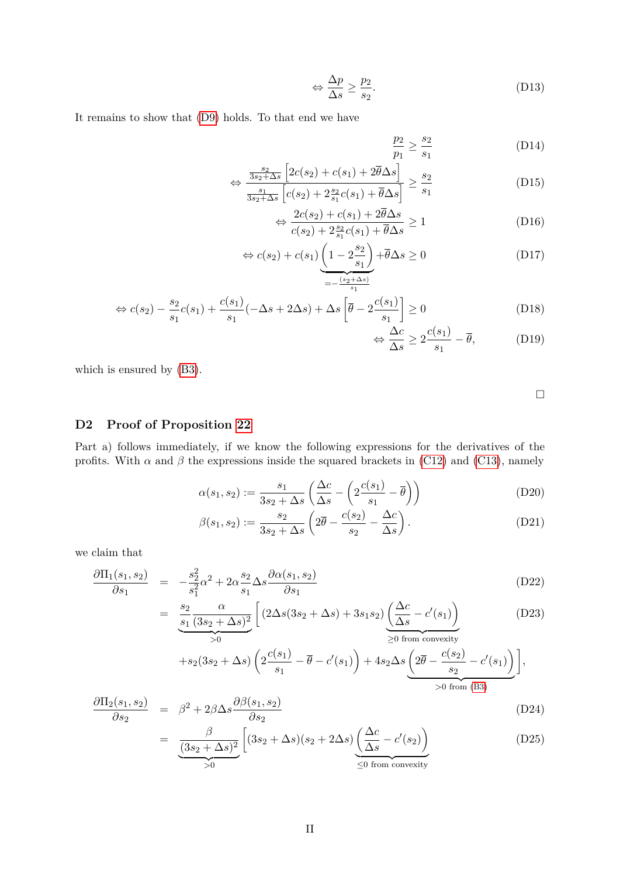$$
\Leftrightarrow \frac{\Delta p}{\Delta s} \ge \frac{p_2}{s_2}.\tag{D13}
$$

It remains to show that [\(D9\)](#page-61-7) holds. To that end we have

$$
\frac{p_2}{p_1} \ge \frac{s_2}{s_1} \tag{D14}
$$

$$
\Leftrightarrow \frac{\frac{s_2}{3s_2 + \Delta s} \left[2c(s_2) + c(s_1) + 2\overline{\theta}\Delta s\right]}{\frac{s_1}{3s_2 + \Delta s} \left[c(s_2) + 2\frac{s_2}{s_1}c(s_1) + \overline{\theta}\Delta s\right]} \ge \frac{s_2}{s_1}
$$
(D15)

$$
\Leftrightarrow \frac{2c(s_2) + c(s_1) + 2\overline{\theta}\Delta s}{c(s_2) + 2\frac{s_2}{s_1}c(s_1) + \overline{\theta}\Delta s} \ge 1
$$
\n(D16)

$$
\Leftrightarrow c(s_2) + c(s_1) \underbrace{\left(1 - 2\frac{s_2}{s_1}\right)}_{=-\frac{(s_2 + \Delta s)}{s_1}} + \overline{\theta}\Delta s \ge 0
$$
\n(D17)

$$
\Leftrightarrow c(s_2) - \frac{s_2}{s_1}c(s_1) + \frac{c(s_1)}{s_1}(-\Delta s + 2\Delta s) + \Delta s \left[\overline{\theta} - 2\frac{c(s_1)}{s_1}\right] \ge 0
$$
\n(D18)

$$
\Leftrightarrow \frac{\Delta c}{\Delta s} \ge 2 \frac{c(s_1)}{s_1} - \overline{\theta}, \tag{D19}
$$

which is ensured by [\(B3\)](#page-10-3).

<span id="page-62-3"></span><span id="page-62-2"></span> $\Box$ 

# <span id="page-62-0"></span>**D2 Proof of Proposition [22](#page-1-0)**

Part a) follows immediately, if we know the following expressions for the derivatives of the profits. With  $\alpha$  and  $\beta$  the expressions inside the squared brackets in [\(C12\)](#page-55-1) and [\(C13\)](#page-55-2), namely

$$
\alpha(s_1, s_2) := \frac{s_1}{3s_2 + \Delta s} \left( \frac{\Delta c}{\Delta s} - \left( 2 \frac{c(s_1)}{s_1} - \overline{\theta} \right) \right)
$$
(D20)

$$
\beta(s_1, s_2) := \frac{s_2}{3s_2 + \Delta s} \left( 2\overline{\theta} - \frac{c(s_2)}{s_2} - \frac{\Delta c}{\Delta s} \right). \tag{D21}
$$

we claim that

<span id="page-62-1"></span>
$$
\frac{\partial \Pi_1(s_1, s_2)}{\partial s_1} = -\frac{s_2^2}{s_1^2} \alpha^2 + 2\alpha \frac{s_2}{s_1} \Delta s \frac{\partial \alpha(s_1, s_2)}{\partial s_1}
$$
(D22)

$$
= \underbrace{\frac{s_2}{s_1} \frac{\alpha}{(3s_2 + \Delta s)^2}}_{>0} \left[ (2\Delta s(3s_2 + \Delta s) + 3s_1s_2) \underbrace{\left(\frac{\Delta c}{\Delta s} - c'(s_1)\right)}_{\geq 0 \text{ from convexity}} \right]
$$
(D23)

$$
+s_2(3s_2+\Delta s)\left(2\frac{c(s_1)}{s_1}-\overline{\theta}-c'(s_1)\right)+4s_2\Delta s\left(2\overline{\theta}-\frac{c(s_2)}{s_2}-c'(s_1)\right),>0 \text{ from (B3)}.
$$

$$
\frac{\partial \Pi_2(s_1, s_2)}{\partial s_2} = \beta^2 + 2\beta \Delta s \frac{\partial \beta(s_1, s_2)}{\partial s_2}
$$
\n(D24)

$$
= \underbrace{\frac{\beta}{(3s_2 + \Delta s)^2} \left[ (3s_2 + \Delta s)(s_2 + 2\Delta s) \underbrace{\left( \frac{\Delta c}{\Delta s} - c'(s_2) \right)}_{\leq 0 \text{ from convexity}} \right] (D25)
$$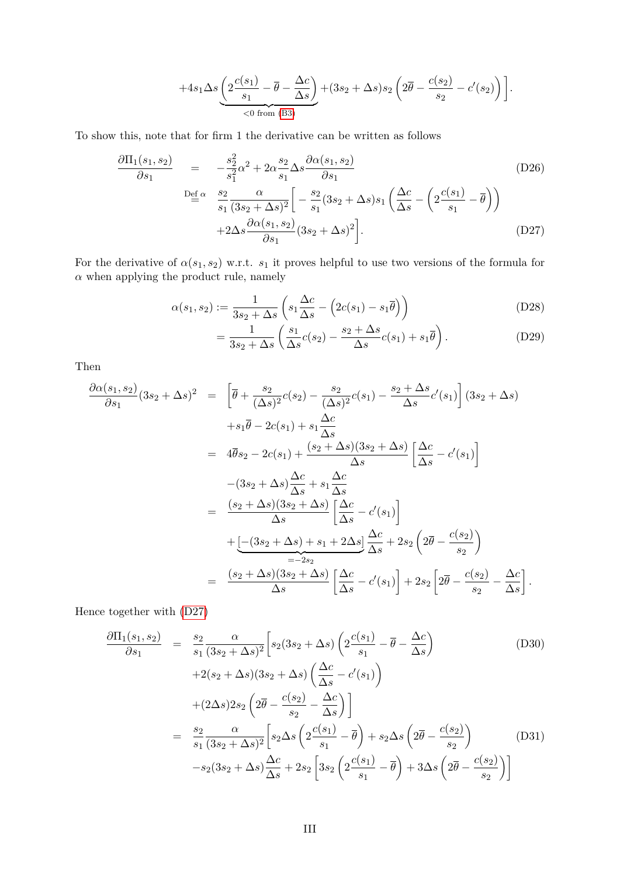$$
+4s_1\Delta s\underbrace{\left(2\frac{c(s_1)}{s_1}-\overline{\theta}-\frac{\Delta c}{\Delta s}\right)}_{\text{}&<0\text{ from (B3)}}+(3s_2+\Delta s)s_2\left(2\overline{\theta}-\frac{c(s_2)}{s_2}-c'(s_2)\right)\bigg].
$$

To show this, note that for firm 1 the derivative can be written as follows

<span id="page-63-0"></span>
$$
\frac{\partial \Pi_1(s_1, s_2)}{\partial s_1} = -\frac{s_2^2}{s_1^2} \alpha^2 + 2\alpha \frac{s_2}{s_1} \Delta s \frac{\partial \alpha(s_1, s_2)}{\partial s_1}
$$
\n
$$
\frac{\partial \Theta_1^{\epsilon}}{\partial s_1} \frac{s_2}{(3s_2 + \Delta s)^2} \left[ -\frac{s_2}{s_1} (3s_2 + \Delta s) s_1 \left( \frac{\Delta c}{\Delta s} - \left( 2 \frac{c(s_1)}{s_1} - \overline{\theta} \right) \right) + 2\Delta s \frac{\partial \alpha(s_1, s_2)}{\partial s_1} (3s_2 + \Delta s)^2 \right].
$$
\n(D27)

For the derivative of  $\alpha(s_1, s_2)$  w.r.t.  $s_1$  it proves helpful to use two versions of the formula for  $\alpha$  when applying the product rule, namely

$$
\alpha(s_1, s_2) := \frac{1}{3s_2 + \Delta s} \left( s_1 \frac{\Delta c}{\Delta s} - \left( 2c(s_1) - s_1 \overline{\theta} \right) \right)
$$
(D28)

$$
= \frac{1}{3s_2 + \Delta s} \left( \frac{s_1}{\Delta s} c(s_2) - \frac{s_2 + \Delta s}{\Delta s} c(s_1) + s_1 \overline{\theta} \right). \tag{D29}
$$

Then

<span id="page-63-1"></span>
$$
\frac{\partial \alpha(s_1, s_2)}{\partial s_1} (3s_2 + \Delta s)^2 = \left[ \overline{\theta} + \frac{s_2}{(\Delta s)^2} c(s_2) - \frac{s_2}{(\Delta s)^2} c(s_1) - \frac{s_2 + \Delta s}{\Delta s} c'(s_1) \right] (3s_2 + \Delta s) \n+ s_1 \overline{\theta} - 2c(s_1) + s_1 \frac{\Delta c}{\Delta s} \n= 4 \overline{\theta} s_2 - 2c(s_1) + \frac{(s_2 + \Delta s)(3s_2 + \Delta s)}{\Delta s} \left[ \frac{\Delta c}{\Delta s} - c'(s_1) \right] \n- (3s_2 + \Delta s) \frac{\Delta c}{\Delta s} + s_1 \frac{\Delta c}{\Delta s} \n= \frac{(s_2 + \Delta s)(3s_2 + \Delta s)}{\Delta s} \left[ \frac{\Delta c}{\Delta s} - c'(s_1) \right] \n+ \underbrace{[-(3s_2 + \Delta s) + s_1 + 2\Delta s]}_{=-2s_2} \frac{\Delta c}{\Delta s} + 2s_2 \left( 2 \overline{\theta} - \frac{c(s_2)}{s_2} \right) \n= \frac{(s_2 + \Delta s)(3s_2 + \Delta s)}{\Delta s} \left[ \frac{\Delta c}{\Delta s} - c'(s_1) \right] + 2s_2 \left[ 2 \overline{\theta} - \frac{c(s_2)}{s_2} - \frac{\Delta c}{\Delta s} \right].
$$

Hence together with [\(D27\)](#page-63-0)

$$
\frac{\partial \Pi_1(s_1, s_2)}{\partial s_1} = \frac{s_2}{s_1} \frac{\alpha}{(3s_2 + \Delta s)^2} \left[ s_2 (3s_2 + \Delta s) \left( 2 \frac{c(s_1)}{s_1} - \overline{\theta} - \frac{\Delta c}{\Delta s} \right) \right]
$$
\n
$$
+ 2(s_2 + \Delta s) (3s_2 + \Delta s) \left( \frac{\Delta c}{\Delta s} - c'(s_1) \right)
$$
\n
$$
+ (2\Delta s) 2s_2 \left( 2\overline{\theta} - \frac{c(s_2)}{s_2} - \frac{\Delta c}{\Delta s} \right) \right]
$$
\n
$$
= \frac{s_2}{s_1} \frac{\alpha}{(3s_2 + \Delta s)^2} \left[ s_2 \Delta s \left( 2 \frac{c(s_1)}{s_1} - \overline{\theta} \right) + s_2 \Delta s \left( 2\overline{\theta} - \frac{c(s_2)}{s_2} \right) \right]
$$
\n
$$
- s_2 (3s_2 + \Delta s) \frac{\Delta c}{\Delta s} + 2s_2 \left[ 3s_2 \left( 2 \frac{c(s_1)}{s_1} - \overline{\theta} \right) + 3\Delta s \left( 2\overline{\theta} - \frac{c(s_2)}{s_2} \right) \right]
$$
\n(D31)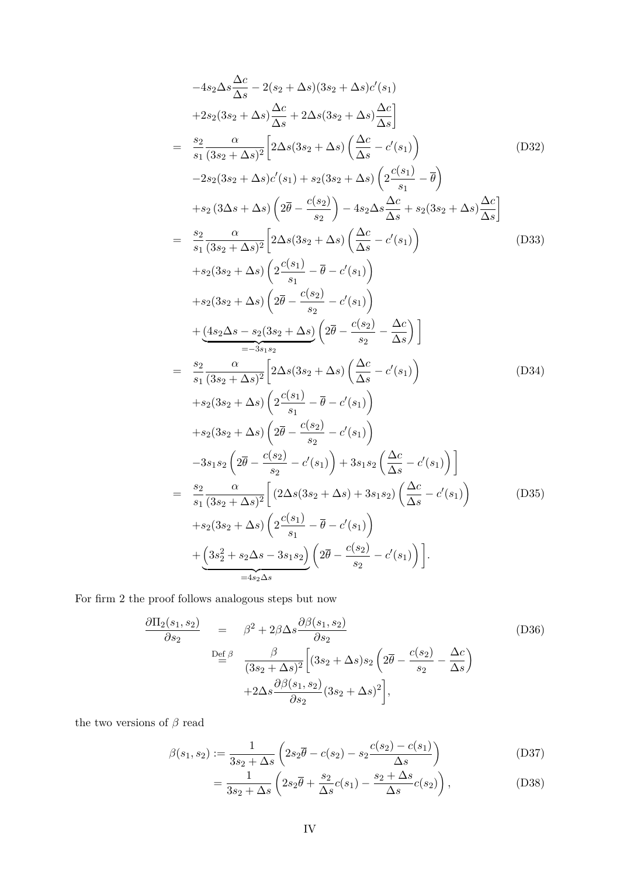$$
-4s_{2}\Delta s \frac{\Delta c}{\Delta s} - 2(s_{2} + \Delta s)(3s_{2} + \Delta s)c'(s_{1})
$$
  
\n
$$
+2s_{2}(3s_{2} + \Delta s) \frac{\Delta c}{\Delta s} + 2\Delta s(3s_{2} + \Delta s) \frac{\Delta c}{\Delta s}
$$
  
\n
$$
= \frac{s_{2}}{s_{1}} \frac{\alpha}{(3s_{2} + \Delta s)^{2}} \Big[ 2\Delta s(3s_{2} + \Delta s) \left( \frac{\Delta c}{\Delta s} - c'(s_{1}) \right)
$$
(D32)  
\n
$$
-2s_{2}(3s_{2} + \Delta s)c'(s_{1}) + s_{2}(3s_{2} + \Delta s) \left( 2\frac{c(s_{1})}{s_{1}} - \overline{\theta} \right)
$$
  
\n
$$
+s_{2}(3\Delta s + \Delta s) \left( 2\overline{\theta} - \frac{c(s_{2})}{s_{2}} \right) - 4s_{2}\Delta s \frac{\Delta c}{\Delta s} + s_{2}(3s_{2} + \Delta s) \frac{\Delta c}{\Delta s}
$$
  
\n
$$
= \frac{s_{2}}{s_{1}} \frac{\alpha}{(3s_{2} + \Delta s)^{2}} \Big[ 2\Delta s(3s_{2} + \Delta s) \left( \frac{\Delta c}{\Delta s} - c'(s_{1}) \right)
$$
  
\n
$$
+s_{2}(3s_{2} + \Delta s) \left( 2\overline{\theta} - \frac{c(s_{2})}{s_{2}} - c'(s_{1}) \right)
$$
  
\n
$$
+ \frac{(4s_{2}\Delta s - s_{2}(3s_{2} + \Delta s)}{s_{2} - s_{2} s_{2}} \Big[ 2\overline{\theta} - \frac{c(s_{2})}{s_{2}} - \frac{\Delta c}{\Delta s} \Big] \Big]
$$
  
\n
$$
= \frac{s_{2}}{s_{1}} \frac{\alpha}{(3s_{2} + \Delta s)^{2}} \Big[ 2\Delta s(3s_{2} + \Delta s) \left( \frac{\Delta c}{\Delta s} - c'(s_{1}) \right)
$$
  
\n
$$
+s_{2}(3s_{2} + \Delta s) \left( 2\overline{\theta} - \frac{c(s_{2})}{s_{2}} - c'(s_{1}) \right)
$$
  
\n<

For firm 2 the proof follows analogous steps but now

<span id="page-64-0"></span>
$$
\frac{\partial \Pi_2(s_1, s_2)}{\partial s_2} = \beta^2 + 2\beta \Delta s \frac{\partial \beta(s_1, s_2)}{\partial s_2}
$$
\n
$$
\frac{\partial \Pi_2(s_1, s_2)}{\partial s_2} = \frac{\beta^2 + 2\beta \Delta s \frac{\partial \beta(s_1, s_2)}{\partial s_2}}{\left(3s_2 + \Delta s\right)^2 \left[3s_2 + \Delta s\right)s_2 \left(2\overline{\theta} - \frac{c(s_2)}{s_2} - \frac{\Delta c}{\Delta s}\right)}
$$
\n
$$
+ 2\Delta s \frac{\partial \beta(s_1, s_2)}{\partial s_2} (3s_2 + \Delta s)^2,
$$
\n(D36)

the two versions of  $\beta$  read

$$
\beta(s_1, s_2) := \frac{1}{3s_2 + \Delta s} \left( 2s_2 \overline{\theta} - c(s_2) - s_2 \frac{c(s_2) - c(s_1)}{\Delta s} \right)
$$
(D37)

$$
=\frac{1}{3s_2+\Delta s}\left(2s_2\overline{\theta}+\frac{s_2}{\Delta s}c(s_1)-\frac{s_2+\Delta s}{\Delta s}c(s_2)\right),\tag{D38}
$$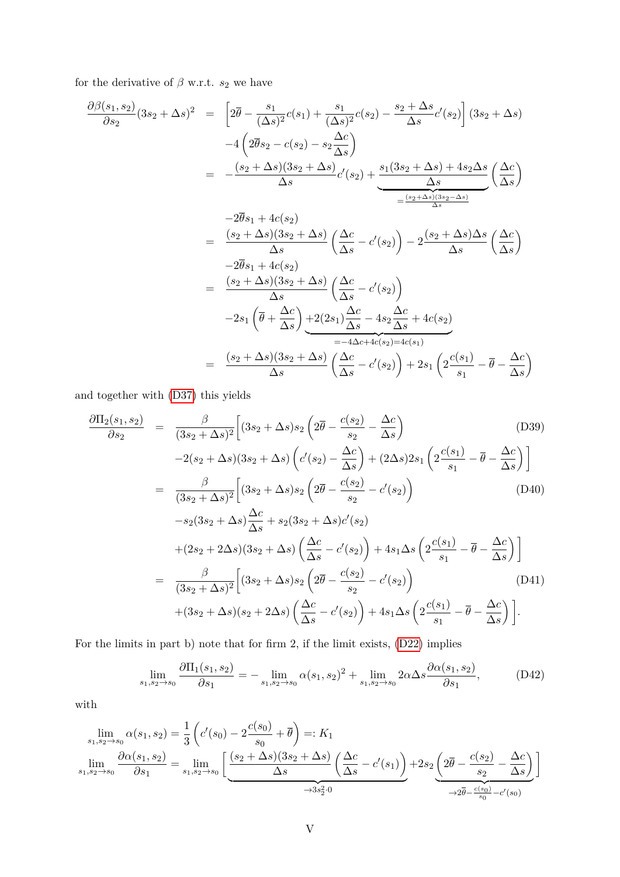for the derivative of  $\beta$  w.r.t.  $s_2$  we have

$$
\frac{\partial \beta(s_1, s_2)}{\partial s_2} (3s_2 + \Delta s)^2 = \left[ 2\overline{\theta} - \frac{s_1}{(\Delta s)^2} c(s_1) + \frac{s_1}{(\Delta s)^2} c(s_2) - \frac{s_2 + \Delta s}{\Delta s} c'(s_2) \right] (3s_2 + \Delta s)
$$

$$
-4 \left( 2\overline{\theta}s_2 - c(s_2) - s_2 \frac{\Delta c}{\Delta s} \right)
$$

$$
= -\frac{(s_2 + \Delta s)(3s_2 + \Delta s)}{\Delta s} c'(s_2) + \underbrace{\frac{s_1(3s_2 + \Delta s) + 4s_2\Delta s}{\Delta s} \left( \frac{\Delta c}{\Delta s} \right)}
$$

$$
= \frac{-2\overline{\theta}s_1 + 4c(s_2)}{\Delta s}
$$

$$
= \frac{(s_2 + \Delta s)(3s_2 + \Delta s)}{\Delta s} \left( \frac{\Delta c}{\Delta s} - c'(s_2) \right) - 2 \frac{(s_2 + \Delta s)\Delta s}{\Delta s} \left( \frac{\Delta c}{\Delta s} \right)
$$

$$
= \frac{(s_2 + \Delta s)(3s_2 + \Delta s)}{\Delta s} \left( \frac{\Delta c}{\Delta s} - c'(s_2) \right)
$$

$$
-2s_1 \left( \overline{\theta} + \frac{\Delta c}{\Delta s} \right) + 2(2s_1) \frac{\Delta c}{\Delta s} - 4s_2 \frac{\Delta c}{\Delta s} + 4c(s_2)
$$

$$
= -4\Delta c + 4c(s_2) = 4c(s_1)
$$

$$
= -4\Delta c + 4c(s_2) = 4c(s_1)
$$

$$
\Delta s
$$

and together with [\(D37\)](#page-64-0) this yields

$$
\frac{\partial \Pi_{2}(s_{1}, s_{2})}{\partial s_{2}} = \frac{\beta}{(3s_{2} + \Delta s)^{2}} \Big[ (3s_{2} + \Delta s) s_{2} \left( 2\overline{\theta} - \frac{c(s_{2})}{s_{2}} - \frac{\Delta c}{\Delta s} \right) \qquad (D39)
$$
\n
$$
-2(s_{2} + \Delta s)(3s_{2} + \Delta s) \left( c'(s_{2}) - \frac{\Delta c}{\Delta s} \right) + (2\Delta s) 2s_{1} \left( 2\frac{c(s_{1})}{s_{1}} - \overline{\theta} - \frac{\Delta c}{\Delta s} \right) \Big]
$$
\n
$$
= \frac{\beta}{(3s_{2} + \Delta s)^{2}} \Big[ (3s_{2} + \Delta s) s_{2} \left( 2\overline{\theta} - \frac{c(s_{2})}{s_{2}} - c'(s_{2}) \right) \qquad (D40)
$$
\n
$$
-s_{2} (3s_{2} + \Delta s) \frac{\Delta c}{\Delta s} + s_{2} (3s_{2} + \Delta s) c'(s_{2})
$$
\n
$$
+ (2s_{2} + 2\Delta s)(3s_{2} + \Delta s) \left( \frac{\Delta c}{\Delta s} - c'(s_{2}) \right) + 4s_{1} \Delta s \left( 2\frac{c(s_{1})}{s_{1}} - \overline{\theta} - \frac{\Delta c}{\Delta s} \right) \Big]
$$
\n
$$
= \frac{\beta}{(3s_{2} + \Delta s)^{2}} \Big[ (3s_{2} + \Delta s) s_{2} \left( 2\overline{\theta} - \frac{c(s_{2})}{s_{2}} - c'(s_{2}) \right) \qquad (D41)
$$
\n
$$
+ (3s_{2} + \Delta s)(s_{2} + 2\Delta s) \left( \frac{\Delta c}{\Delta s} - c'(s_{2}) \right) + 4s_{1} \Delta s \left( 2\frac{c(s_{1})}{s_{1}} - \overline{\theta} - \frac{\Delta c}{\Delta s} \right) \Big].
$$

For the limits in part b) note that for firm 2, if the limit exists, [\(D22\)](#page-62-1) implies

<span id="page-65-0"></span>
$$
\lim_{s_1, s_2 \to s_0} \frac{\partial \Pi_1(s_1, s_2)}{\partial s_1} = - \lim_{s_1, s_2 \to s_0} \alpha(s_1, s_2)^2 + \lim_{s_1, s_2 \to s_0} 2\alpha \Delta s \frac{\partial \alpha(s_1, s_2)}{\partial s_1},
$$
(D42)

with

$$
\lim_{s_1, s_2 \to s_0} \alpha(s_1, s_2) = \frac{1}{3} \left( c'(s_0) - 2 \frac{c(s_0)}{s_0} + \overline{\theta} \right) =: K_1
$$
\n
$$
\lim_{s_1, s_2 \to s_0} \frac{\partial \alpha(s_1, s_2)}{\partial s_1} = \lim_{s_1, s_2 \to s_0} \left[ \underbrace{\frac{(s_2 + \Delta s)(3s_2 + \Delta s)}{\Delta s} \left( \frac{\Delta c}{\Delta s} - c'(s_1) \right)}_{\rightarrow 3s_2^2 \cdot 0} + 2s_2 \underbrace{\left( 2\overline{\theta} - \frac{c(s_2)}{s_2} - \frac{\Delta c}{\Delta s} \right)}_{\rightarrow 2\overline{\theta} - \frac{c(s_0)}{s_0} - c'(s_0)} \right]
$$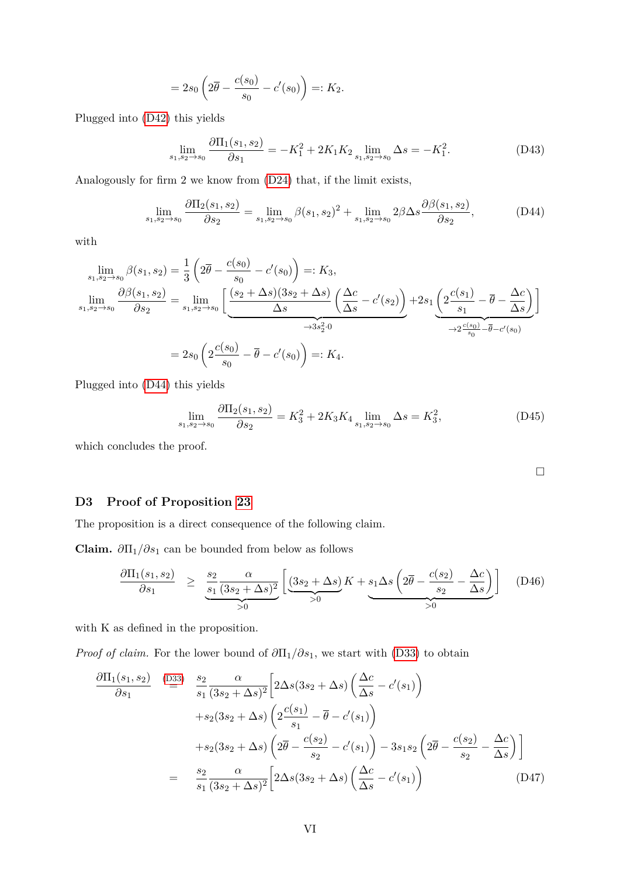$$
=2s_0\left(2\overline{\theta}-\frac{c(s_0)}{s_0}-c'(s_0)\right)=:K_2.
$$

Plugged into [\(D42\)](#page-65-0) this yields

$$
\lim_{s_1, s_2 \to s_0} \frac{\partial \Pi_1(s_1, s_2)}{\partial s_1} = -K_1^2 + 2K_1K_2 \lim_{s_1, s_2 \to s_0} \Delta s = -K_1^2. \tag{D43}
$$

Analogously for firm 2 we know from [\(D24\)](#page-62-1) that, if the limit exists,

$$
\lim_{s_1, s_2 \to s_0} \frac{\partial \Pi_2(s_1, s_2)}{\partial s_2} = \lim_{s_1, s_2 \to s_0} \beta(s_1, s_2)^2 + \lim_{s_1, s_2 \to s_0} 2\beta \Delta s \frac{\partial \beta(s_1, s_2)}{\partial s_2},\tag{D44}
$$

with

$$
\lim_{s_1, s_2 \to s_0} \beta(s_1, s_2) = \frac{1}{3} \left( 2\overline{\theta} - \frac{c(s_0)}{s_0} - c'(s_0) \right) =: K_3,
$$
\n
$$
\lim_{s_1, s_2 \to s_0} \frac{\partial \beta(s_1, s_2)}{\partial s_2} = \lim_{s_1, s_2 \to s_0} \left[ \underbrace{\frac{(s_2 + \Delta s)(3s_2 + \Delta s)}{\Delta s} \left( \frac{\Delta c}{\Delta s} - c'(s_2) \right)}_{\to 3s_2^2 \cdot 0} + 2s_1 \underbrace{\left( 2\frac{c(s_1)}{s_1} - \overline{\theta} - \frac{\Delta c}{\Delta s} \right)}_{\to 2\frac{c(s_0)}{s_0} - \overline{\theta} - c'(s_0)} \right]
$$
\n
$$
= 2s_0 \left( 2\frac{c(s_0)}{s_0} - \overline{\theta} - c'(s_0) \right) =: K_4.
$$

Plugged into [\(D44\)](#page-66-1) this yields

$$
\lim_{s_1, s_2 \to s_0} \frac{\partial \Pi_2(s_1, s_2)}{\partial s_2} = K_3^2 + 2K_3 K_4 \lim_{s_1, s_2 \to s_0} \Delta s = K_3^2,
$$
\n(D45)

which concludes the proof.

<span id="page-66-1"></span> $\Box$ 

# <span id="page-66-0"></span>**D3 Proof of Proposition [23](#page-57-2)**

The proposition is a direct consequence of the following claim.

**Claim.**  $\partial \Pi_1 / \partial s_1$  can be bounded from below as follows

$$
\frac{\partial \Pi_1(s_1, s_2)}{\partial s_1} \ge \frac{s_2}{s_1} \frac{\alpha}{(3s_2 + \Delta s)^2} \left[ \underbrace{(3s_2 + \Delta s)}_{>0} K + \underbrace{s_1 \Delta s \left( 2\overline{\theta} - \frac{c(s_2)}{s_2} - \frac{\Delta c}{\Delta s} \right)}_{>0} \right] \quad (D46)
$$

with K as defined in the proposition.

*Proof of claim.* For the lower bound of  $\partial \Pi_1/\partial s_1$ , we start with [\(D33\)](#page-63-1) to obtain

$$
\frac{\partial \Pi_1(s_1, s_2)}{\partial s_1} \stackrel{\text{(D33)}}{=} \frac{s_2}{s_1} \frac{\alpha}{(3s_2 + \Delta s)^2} \left[ 2\Delta s (3s_2 + \Delta s) \left( \frac{\Delta c}{\Delta s} - c'(s_1) \right) \right]
$$
  
\n
$$
+ s_2 (3s_2 + \Delta s) \left( 2 \frac{c(s_1)}{s_1} - \overline{\theta} - c'(s_1) \right)
$$
  
\n
$$
+ s_2 (3s_2 + \Delta s) \left( 2 \overline{\theta} - \frac{c(s_2)}{s_2} - c'(s_1) \right) - 3s_1 s_2 \left( 2 \overline{\theta} - \frac{c(s_2)}{s_2} - \frac{\Delta c}{\Delta s} \right) \right]
$$
  
\n
$$
= \frac{s_2}{s_1} \frac{\alpha}{(3s_2 + \Delta s)^2} \left[ 2\Delta s (3s_2 + \Delta s) \left( \frac{\Delta c}{\Delta s} - c'(s_1) \right) \right]
$$
 (D47)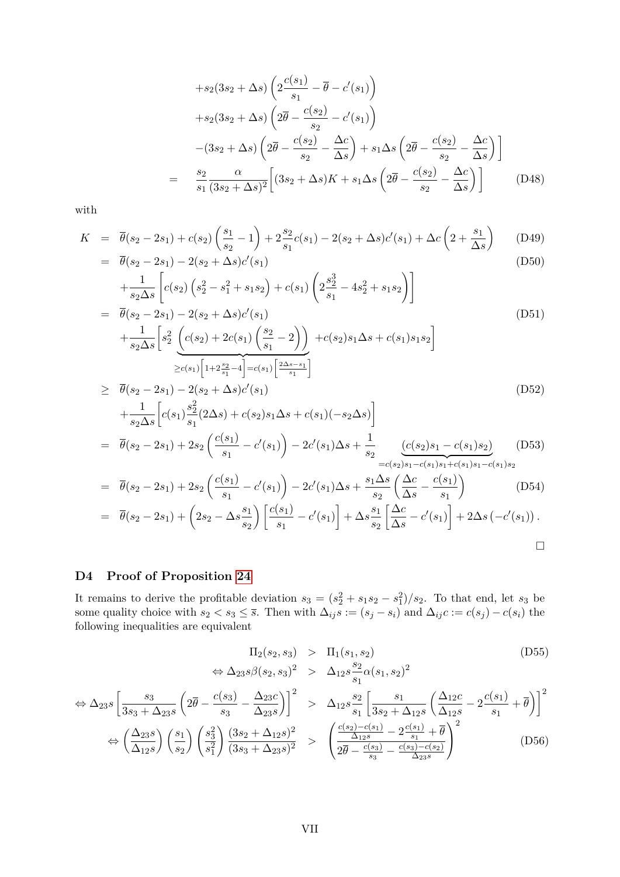$$
+s_2(3s_2+\Delta s)\left(2\frac{c(s_1)}{s_1}-\overline{\theta}-c'(s_1)\right)
$$
  
\n
$$
+s_2(3s_2+\Delta s)\left(2\overline{\theta}-\frac{c(s_2)}{s_2}-c'(s_1)\right)
$$
  
\n
$$
-(3s_2+\Delta s)\left(2\overline{\theta}-\frac{c(s_2)}{s_2}-\frac{\Delta c}{\Delta s}\right)+s_1\Delta s\left(2\overline{\theta}-\frac{c(s_2)}{s_2}-\frac{\Delta c}{\Delta s}\right)\right]
$$
  
\n
$$
=\frac{s_2}{s_1}\frac{\alpha}{(3s_2+\Delta s)^2}\left[(3s_2+\Delta s)K+s_1\Delta s\left(2\overline{\theta}-\frac{c(s_2)}{s_2}-\frac{\Delta c}{\Delta s}\right)\right]
$$
(D48)

with

$$
K = \overline{\theta}(s_2 - 2s_1) + c(s_2) \left(\frac{s_1}{s_2} - 1\right) + 2\frac{s_2}{s_1}c(s_1) - 2(s_2 + \Delta s)c'(s_1) + \Delta c\left(2 + \frac{s_1}{\Delta s}\right)
$$
(D49)

$$
= \overline{\theta}(s_2 - 2s_1) - 2(s_2 + \Delta s)c'(s_1)
$$
\n
$$
\begin{array}{ccc}\n1 & 1 & 2 & 3 & 4 & 3 & 3 \\
1 & 2 & 2 & 3 & 4 & 3 & 3\n\end{array}
$$
\n(D50)

$$
+\frac{1}{s_2 \Delta s} \left[ c(s_2) \left( s_2^2 - s_1^2 + s_1 s_2 \right) + c(s_1) \left( 2 \frac{s_2^3}{s_1} - 4 s_2^2 + s_1 s_2 \right) \right]
$$
  
=  $\overline{\theta}(s_2 - 2s_1) - 2(s_2 + \Delta s) c'(s_1)$   
+  $\frac{1}{s_2 \Delta s} \left[ s_2^2 \left( c(s_2) + 2c(s_1) \left( \frac{s_2}{s_1} - 2 \right) \right) + c(s_2) s_1 \Delta s + c(s_1) s_1 s_2 \right]$   
 $\geq c(s_1) \left[ 1 + 2 \frac{s_2}{s_1} - 4 \right] = c(s_1) \left[ \frac{2 \Delta s - s_1}{s_1} \right]$  (D51)

$$
\geq \overline{\theta}(s_2 - 2s_1) - 2(s_2 + \Delta s)c'(s_1)
$$
\n
$$
+ \frac{1}{s_2 \Delta s} \Big[ c(s_1) \frac{s_2^2}{s_1} (2\Delta s) + c(s_2) s_1 \Delta s + c(s_1) (-s_2 \Delta s) \Big]
$$
\n
$$
= \overline{\theta}(s_2 - 2s_1) + 2s_2 \left( \frac{c(s_1)}{s_1} - c'(s_1) \right) - 2c'(s_1) \Delta s + \frac{1}{s_2} \underbrace{(c(s_2)s_1 - c(s_1)s_2)}_{=c(s_2)s_1 - c(s_1)s_1 + c(s_1)s_1 - c(s_1)s_2}
$$
\n(D53)

$$
= \overline{\theta}(s_2 - 2s_1) + 2s_2 \left(\frac{c(s_1)}{s_1} - c'(s_1)\right) - 2c'(s_1)\Delta s + \frac{s_1\Delta s}{s_2} \left(\frac{\Delta c}{\Delta s} - \frac{c(s_1)}{s_1}\right)
$$
(D54)  

$$
\overline{\theta}(s_2 - 2s_1) + \left(\frac{2}{3}s_1 - \frac{s_1}{\Delta s}\right) \left[\frac{c(s_1)}{s_1} - \frac{c(s_1)}{s_1}\right] + \Delta s \left[\frac{s_1 \Delta c}{\Delta s} - \frac{c(s_1)}{s_1}\right] + 2\Delta s \left(\frac{c(s_1)}{s_1}\right)
$$

$$
= \overline{\theta}(s_2 - 2s_1) + \left(2s_2 - \Delta s \frac{s_1}{s_2}\right) \left[\frac{c(s_1)}{s_1} - c'(s_1)\right] + \Delta s \frac{s_1}{s_2} \left[\frac{\Delta c}{\Delta s} - c'(s_1)\right] + 2\Delta s \left(-c'(s_1)\right).
$$

# <span id="page-67-0"></span>**D4 Proof of Proposition [24](#page-59-0)**

It remains to derive the profitable deviation  $s_3 = (s_2^2 + s_1s_2 - s_1^2)/s_2$ . To that end, let  $s_3$  be some quality choice with  $s_2 < s_3 \leq \overline{s}$ . Then with  $\Delta_{ij}s := (s_j - s_i)$  and  $\Delta_{ij}c := c(s_j) - c(s_i)$  the following inequalities are equivalent

<span id="page-67-1"></span>
$$
\Pi_2(s_2, s_3) > \Pi_1(s_1, s_2)
$$
\n
$$
\Leftrightarrow \Delta_{23} s \beta(s_2, s_3)^2 > \Delta_{12} s \frac{s_2}{s_1} \alpha(s_1, s_2)^2
$$
\n(D55)

$$
\Leftrightarrow \Delta_{23} s \left[ \frac{s_3}{3s_3 + \Delta_{23} s} \left( 2 \overline{\theta} - \frac{c(s_3)}{s_3} - \frac{\Delta_{23} c}{\Delta_{23} s} \right) \right]^2 > \Delta_{12} s \frac{s_2}{s_1} \left[ \frac{s_1}{3s_2 + \Delta_{12} s} \left( \frac{\Delta_{12} c}{\Delta_{12} s} - 2 \frac{c(s_1)}{s_1} + \overline{\theta} \right) \right]^2
$$
  

$$
\Leftrightarrow \left( \frac{\Delta_{23} s}{\Delta_{12} s} \right) \left( \frac{s_1}{s_2} \right) \left( \frac{s_3^2}{s_1^2} \right) \frac{(3s_2 + \Delta_{12} s)^2}{(3s_3 + \Delta_{23} s)^2} > \left( \frac{\frac{c(s_2) - c(s_1)}{\Delta_{12} s} - 2 \frac{c(s_1)}{s_1} + \overline{\theta}}{\frac{2 \overline{\theta} - \frac{c(s_3)}{s_3} - \frac{c(s_3) - c(s_2)}{\Delta_{23} s}} \right)^2
$$
(D56)